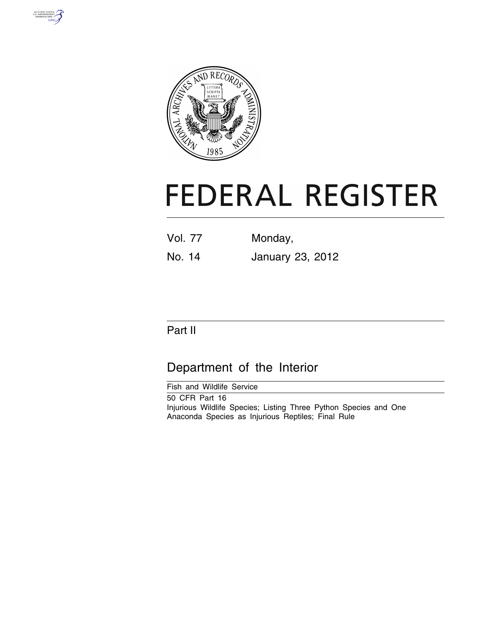



# **FEDERAL REGISTER**

| Vol. 77 | Monday, |  |
|---------|---------|--|
|         |         |  |

No. 14 January 23, 2012

# Part II

# Department of the Interior

Fish and Wildlife Service 50 CFR Part 16 Injurious Wildlife Species; Listing Three Python Species and One Anaconda Species as Injurious Reptiles; Final Rule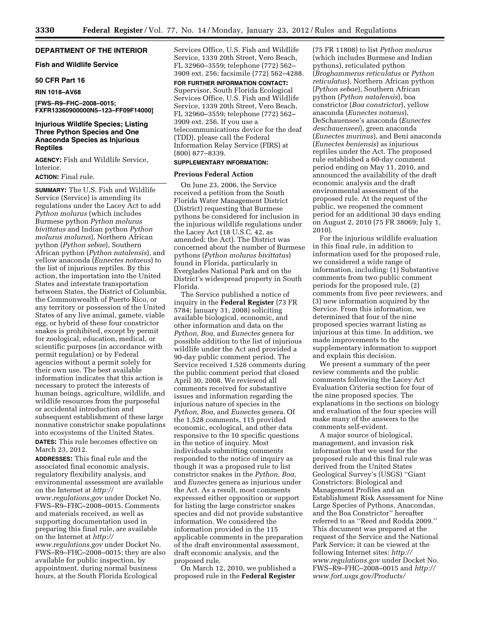# **DEPARTMENT OF THE INTERIOR**

# **Fish and Wildlife Service**

# **50 CFR Part 16**

#### **RIN 1018–AV68**

**[FWS–R9–FHC–2008–0015; FXFR13360900000N5–123–FF09F14000]** 

# **Injurious Wildlife Species; Listing Three Python Species and One Anaconda Species as Injurious Reptiles**

**AGENCY:** Fish and Wildlife Service, Interior.

# **ACTION:** Final rule.

**SUMMARY:** The U.S. Fish and Wildlife Service (Service) is amending its regulations under the Lacey Act to add *Python molurus* (which includes Burmese python *Python molurus bivittatus* and Indian python *Python molurus molurus*), Northern African python (*Python sebae*), Southern African python (*Python natalensis*), and yellow anaconda (*Eunectes notaeus*) to the list of injurious reptiles. By this action, the importation into the United States and interstate transportation between States, the District of Columbia, the Commonwealth of Puerto Rico, or any territory or possession of the United States of any live animal, gamete, viable egg, or hybrid of these four constrictor snakes is prohibited, except by permit for zoological, education, medical, or scientific purposes (in accordance with permit regulation) or by Federal agencies without a permit solely for their own use. The best available information indicates that this action is necessary to protect the interests of human beings, agriculture, wildlife, and wildlife resources from the purposeful or accidental introduction and subsequent establishment of these large nonnative constrictor snake populations into ecosystems of the United States.

**DATES:** This rule becomes effective on March 23, 2012.

**ADDRESSES:** This final rule and the associated final economic analysis, regulatory flexibility analysis, and environmental assessment are available on the Internet at *[http://](http://www.regulations.gov)  [www.regulations.gov](http://www.regulations.gov)* under Docket No. FWS–R9–FHC–2008–0015. Comments and materials received, as well as supporting documentation used in preparing this final rule, are available on the Internet at *[http://](http://www.regulations.gov)  [www.regulations.gov](http://www.regulations.gov)* under Docket No. FWS–R9–FHC–2008–0015; they are also available for public inspection, by appointment, during normal business hours, at the South Florida Ecological

Services Office, U.S. Fish and Wildlife Service, 1339 20th Street, Vero Beach, FL 32960–3559; telephone (772) 562– 3909 ext. 256; facsimile (772) 562–4288.

**FOR FURTHER INFORMATION CONTACT:**  Supervisor, South Florida Ecological Services Office, U.S. Fish and Wildlife Service, 1339 20th Street, Vero Beach, FL 32960–3559; telephone (772) 562– 3909 ext. 256*.* If you use a telecommunications device for the deaf (TDD), please call the Federal Information Relay Service (FIRS) at (800) 877–8339.

# **SUPPLEMENTARY INFORMATION:**

#### **Previous Federal Action**

On June 23, 2006, the Service received a petition from the South Florida Water Management District (District) requesting that Burmese pythons be considered for inclusion in the injurious wildlife regulations under the Lacey Act (18 U.S.C. 42, as amended; the Act). The District was concerned about the number of Burmese pythons (*Python molurus bivittatus*) found in Florida, particularly in Everglades National Park and on the District's widespread property in South Florida.

The Service published a notice of inquiry in the **Federal Register** (73 FR 5784; January 31, 2008) soliciting available biological, economic, and other information and data on the *Python, Boa,* and *Eunectes* genera for possible addition to the list of injurious wildlife under the Act and provided a 90-day public comment period. The Service received 1,528 comments during the public comment period that closed April 30, 2008. We reviewed all comments received for substantive issues and information regarding the injurious nature of species in the *Python, Boa,* and *Eunectes* genera. Of the 1,528 comments, 115 provided economic, ecological, and other data responsive to the 10 specific questions in the notice of inquiry. Most individuals submitting comments responded to the notice of inquiry as though it was a proposed rule to list constrictor snakes in the *Python, Boa,*  and *Eunectes* genera as injurious under the Act. As a result, most comments expressed either opposition or support for listing the large constrictor snakes species and did not provide substantive information. We considered the information provided in the 115 applicable comments in the preparation of the draft environmental assessment, draft economic analysis, and the proposed rule.

On March 12, 2010, we published a proposed rule in the **Federal Register** 

(75 FR 11808) to list *Python molurus*  (which includes Burmese and Indian pythons), reticulated python (*Broghammerus reticulatus* or *Python reticulatus*), Northern African python (*Python sebae*), Southern African python (*Python natalensis*), boa constrictor (*Boa constrictor*), yellow anaconda (*Eunectes notaeus*), DeSchauensee's anaconda (*Eunectes deschauenseei*), green anaconda (*Eunectes murinus*), and Beni anaconda (*Eunectes beniensis*) as injurious reptiles under the Act. The proposed rule established a 60-day comment period ending on May 11, 2010, and announced the availability of the draft economic analysis and the draft environmental assessment of the proposed rule. At the request of the public, we reopened the comment period for an additional 30 days ending on August 2, 2010 (75 FR 38069; July 1, 2010).

For the injurious wildlife evaluation in this final rule, in addition to information used for the proposed rule, we considered a wide range of information, including: (1) Substantive comments from two public comment periods for the proposed rule, (2) comments from five peer reviewers, and (3) new information acquired by the Service. From this information, we determined that four of the nine proposed species warrant listing as injurious at this time. In addition, we made improvements to the supplementary information to support and explain this decision.

We present a summary of the peer review comments and the public comments following the Lacey Act Evaluation Criteria section for four of the nine proposed species. The explanations in the sections on biology and evaluation of the four species will make many of the answers to the comments self-evident.

A major source of biological, management, and invasion risk information that we used for the proposed rule and this final rule was derived from the United States Geological Survey's (USGS) ''Giant Constrictors: Biological and Management Profiles and an Establishment Risk Assessment for Nine Large Species of Pythons, Anacondas, and the Boa Constrictor'' hereafter referred to as ''Reed and Rodda 2009.'' This document was prepared at the request of the Service and the National Park Service; it can be viewed at the following Internet sites: *[http://](http://www.regulations.gov)  [www.regulations.gov](http://www.regulations.gov)* under Docket No. FWS–R9–FHC–2008–0015 and *[http://](http://www.fort.usgs.gov/Products/Publications/pub_abstract.asp?PubID=22691) [www.fort.usgs.gov/Products/](http://www.fort.usgs.gov/Products/Publications/pub_abstract.asp?PubID=22691)*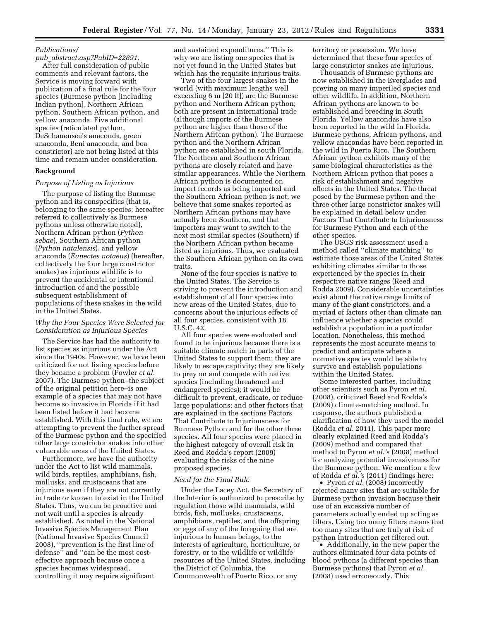# *[Publications/](http://www.fort.usgs.gov/Products/Publications/pub_abstract.asp?PubID=22691)*

*pub*\_*[abstract.asp?PubID=22691](http://www.fort.usgs.gov/Products/Publications/pub_abstract.asp?PubID=22691)*. After full consideration of public comments and relevant factors, the Service is moving forward with publication of a final rule for the four species (Burmese python [including Indian python], Northern African python, Southern African python, and yellow anaconda. Five additional species (reticulated python, DeSchauensee's anaconda, green anaconda, Beni anaconda, and boa constrictor) are not being listed at this time and remain under consideration.

# **Background**

#### *Purpose of Listing as Injurious*

The purpose of listing the Burmese python and its conspecifics (that is, belonging to the same species; hereafter referred to collectively as Burmese pythons unless otherwise noted), Northern African python (*Python sebae*), Southern African python (*Python natalensis*), and yellow anaconda (*Eunectes notaeus*) (hereafter, collectively the four large constrictor snakes) as injurious wildlife is to prevent the accidental or intentional introduction of and the possible subsequent establishment of populations of these snakes in the wild in the United States.

# *Why the Four Species Were Selected for Consideration as Injurious Species*

The Service has had the authority to list species as injurious under the Act since the 1940s. However, we have been criticized for not listing species before they became a problem (Fowler *et al.*  2007). The Burmese python–the subject of the original petition here–is one example of a species that may not have become so invasive in Florida if it had been listed before it had become established. With this final rule, we are attempting to prevent the further spread of the Burmese python and the specified other large constrictor snakes into other vulnerable areas of the United States.

Furthermore, we have the authority under the Act to list wild mammals, wild birds, reptiles, amphibians, fish, mollusks, and crustaceans that are injurious even if they are not currently in trade or known to exist in the United States. Thus, we can be proactive and not wait until a species is already established. As noted in the National Invasive Species Management Plan (National Invasive Species Council 2008), ''prevention is the first line of defense" and "can be the most costeffective approach because once a species becomes widespread, controlling it may require significant

and sustained expenditures.'' This is why we are listing one species that is not yet found in the United States but which has the requisite injurious traits.

Two of the four largest snakes in the world (with maximum lengths well exceeding 6 m [20 ft]) are the Burmese python and Northern African python; both are present in international trade (although imports of the Burmese python are higher than those of the Northern African python). The Burmese python and the Northern African python are established in south Florida. The Northern and Southern African pythons are closely related and have similar appearances. While the Northern African python is documented on import records as being imported and the Southern African python is not, we believe that some snakes reported as Northern African pythons may have actually been Southern, and that importers may want to switch to the next most similar species (Southern) if the Northern African python became listed as injurious. Thus, we evaluated the Southern African python on its own traits.

None of the four species is native to the United States. The Service is striving to prevent the introduction and establishment of all four species into new areas of the United States, due to concerns about the injurious effects of all four species, consistent with 18 U.S.C. 42.

All four species were evaluated and found to be injurious because there is a suitable climate match in parts of the United States to support them; they are likely to escape captivity; they are likely to prey on and compete with native species (including threatened and endangered species); it would be difficult to prevent, eradicate, or reduce large populations; and other factors that are explained in the sections Factors That Contribute to Injuriousness for Burmese Python and for the other three species. All four species were placed in the highest category of overall risk in Reed and Rodda's report (2009) evaluating the risks of the nine proposed species.

#### *Need for the Final Rule*

Under the Lacey Act, the Secretary of the Interior is authorized to prescribe by regulation those wild mammals, wild birds, fish, mollusks, crustaceans, amphibians, reptiles, and the offspring or eggs of any of the foregoing that are injurious to human beings, to the interests of agriculture, horticulture, or forestry, or to the wildlife or wildlife resources of the United States, including the District of Columbia, the Commonwealth of Puerto Rico, or any

territory or possession. We have determined that these four species of large constrictor snakes are injurious.

Thousands of Burmese pythons are now established in the Everglades and preying on many imperiled species and other wildlife. In addition, Northern African pythons are known to be established and breeding in South Florida. Yellow anacondas have also been reported in the wild in Florida. Burmese pythons, African pythons, and yellow anacondas have been reported in the wild in Puerto Rico. The Southern African python exhibits many of the same biological characteristics as the Northern African python that poses a risk of establishment and negative effects in the United States. The threat posed by the Burmese python and the three other large constrictor snakes will be explained in detail below under Factors That Contribute to Injuriousness for Burmese Python and each of the other species.

The USGS risk assessment used a method called ''climate matching'' to estimate those areas of the United States exhibiting climates similar to those experienced by the species in their respective native ranges (Reed and Rodda 2009). Considerable uncertainties exist about the native range limits of many of the giant constrictors, and a myriad of factors other than climate can influence whether a species could establish a population in a particular location. Nonetheless, this method represents the most accurate means to predict and anticipate where a nonnative species would be able to survive and establish populations within the United States.

Some interested parties, including other scientists such as Pyron *et al.*  (2008), criticized Reed and Rodda's (2009) climate-matching method. In response, the authors published a clarification of how they used the model (Rodda *et al.* 2011). This paper more clearly explained Reed and Rodda's (2009) method and compared that method to Pyron *et al.'*s (2008) method for analyzing potential invasiveness for the Burmese python. We mention a few of Rodda *et al.'*s (2011) findings here:

• Pyron *et al.* (2008) incorrectly rejected many sites that are suitable for Burmese python invasion because their use of an excessive number of parameters actually ended up acting as filters. Using too many filters means that too many sites that are truly at risk of python introduction get filtered out.

• Additionally, in the new paper the authors eliminated four data points of blood pythons (a different species than Burmese pythons) that Pyron *et al.*  (2008) used erroneously. This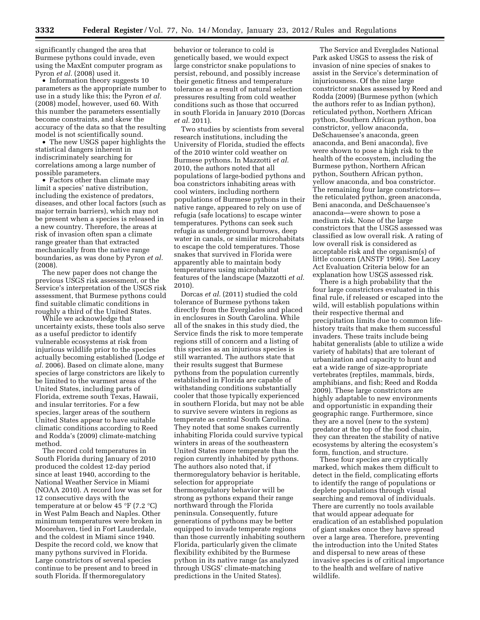significantly changed the area that Burmese pythons could invade, even using the MaxEnt computer program as Pyron *et al.* (2008) used it.

• Information theory suggests 10 parameters as the appropriate number to use in a study like this; the Pyron *et al.*  (2008) model, however, used 60. With this number the parameters essentially become constraints, and skew the accuracy of the data so that the resulting model is not scientifically sound.

• The new USGS paper highlights the statistical dangers inherent in indiscriminately searching for correlations among a large number of possible parameters.

• Factors other than climate may limit a species' native distribution, including the existence of predators, diseases, and other local factors (such as major terrain barriers), which may not be present when a species is released in a new country. Therefore, the areas at risk of invasion often span a climate range greater than that extracted mechanically from the native range boundaries, as was done by Pyron *et al.*  (2008).

The new paper does not change the previous USGS risk assessment, or the Service's interpretation of the USGS risk assessment, that Burmese pythons could find suitable climatic conditions in roughly a third of the United States.

While we acknowledge that uncertainty exists, these tools also serve as a useful predictor to identify vulnerable ecosystems at risk from injurious wildlife prior to the species actually becoming established (Lodge *et al.* 2006). Based on climate alone, many species of large constrictors are likely to be limited to the warmest areas of the United States, including parts of Florida, extreme south Texas, Hawaii, and insular territories. For a few species, larger areas of the southern United States appear to have suitable climatic conditions according to Reed and Rodda's (2009) climate-matching method.

The record cold temperatures in South Florida during January of 2010 produced the coldest 12-day period since at least 1940, according to the National Weather Service in Miami (NOAA 2010). A record low was set for 12 consecutive days with the temperature at or below 45 °F (7.2 °C) in West Palm Beach and Naples. Other minimum temperatures were broken in Moorehaven, tied in Fort Lauderdale, and the coldest in Miami since 1940. Despite the record cold, we know that many pythons survived in Florida. Large constrictors of several species continue to be present and to breed in south Florida. If thermoregulatory

behavior or tolerance to cold is genetically based, we would expect large constrictor snake populations to persist, rebound, and possibly increase their genetic fitness and temperature tolerance as a result of natural selection pressures resulting from cold weather conditions such as those that occurred in south Florida in January 2010 (Dorcas *et al.* 2011).

Two studies by scientists from several research institutions, including the University of Florida, studied the effects of the 2010 winter cold weather on Burmese pythons. In Mazzotti *et al.*  2010, the authors noted that all populations of large-bodied pythons and boa constrictors inhabiting areas with cool winters, including northern populations of Burmese pythons in their native range, appeared to rely on use of refugia (safe locations) to escape winter temperatures. Pythons can seek such refugia as underground burrows, deep water in canals, or similar microhabitats to escape the cold temperatures. Those snakes that survived in Florida were apparently able to maintain body temperatures using microhabitat features of the landscape (Mazzotti *et al.*  2010).

Dorcas *et al.* (2011) studied the cold tolerance of Burmese pythons taken directly from the Everglades and placed in enclosures in South Carolina. While all of the snakes in this study died, the Service finds the risk to more temperate regions still of concern and a listing of this species as an injurious species is still warranted. The authors state that their results suggest that Burmese pythons from the population currently established in Florida are capable of withstanding conditions substantially cooler that those typically experienced in southern Florida, but may not be able to survive severe winters in regions as temperate as central South Carolina. They noted that some snakes currently inhabiting Florida could survive typical winters in areas of the southeastern United States more temperate than the region currently inhabited by pythons. The authors also noted that, if thermoregulatory behavior is heritable, selection for appropriate thermoregulatory behavior will be strong as pythons expand their range northward through the Florida peninsula. Consequently, future generations of pythons may be better equipped to invade temperate regions than those currently inhabiting southern Florida, particularly given the climate flexibility exhibited by the Burmese python in its native range (as analyzed through USGS' climate-matching predictions in the United States).

The Service and Everglades National Park asked USGS to assess the risk of invasion of nine species of snakes to assist in the Service's determination of injuriousness. Of the nine large constrictor snakes assessed by Reed and Rodda (2009) (Burmese python (which the authors refer to as Indian python), reticulated python, Northern African python, Southern African python, boa constrictor, yellow anaconda, DeSchauensee's anaconda, green anaconda, and Beni anaconda), five were shown to pose a high risk to the health of the ecosystem, including the Burmese python, Northern African python, Southern African python, yellow anaconda, and boa constrictor. The remaining four large constrictors the reticulated python, green anaconda, Beni anaconda, and DeSchauensee's anaconda—were shown to pose a medium risk. None of the large constrictors that the USGS assessed was classified as low overall risk. A rating of low overall risk is considered as acceptable risk and the organism(s) of little concern (ANSTF 1996). See Lacey Act Evaluation Criteria below for an explanation how USGS assessed risk.

There is a high probability that the four large constrictors evaluated in this final rule, if released or escaped into the wild, will establish populations within their respective thermal and precipitation limits due to common lifehistory traits that make them successful invaders. These traits include being habitat generalists (able to utilize a wide variety of habitats) that are tolerant of urbanization and capacity to hunt and eat a wide range of size-appropriate vertebrates (reptiles, mammals, birds, amphibians, and fish; Reed and Rodda 2009). These large constrictors are highly adaptable to new environments and opportunistic in expanding their geographic range. Furthermore, since they are a novel (new to the system) predator at the top of the food chain, they can threaten the stability of native ecosystems by altering the ecosystem's form, function, and structure.

These four species are cryptically marked, which makes them difficult to detect in the field, complicating efforts to identify the range of populations or deplete populations through visual searching and removal of individuals. There are currently no tools available that would appear adequate for eradication of an established population of giant snakes once they have spread over a large area. Therefore, preventing the introduction into the United States and dispersal to new areas of these invasive species is of critical importance to the health and welfare of native wildlife.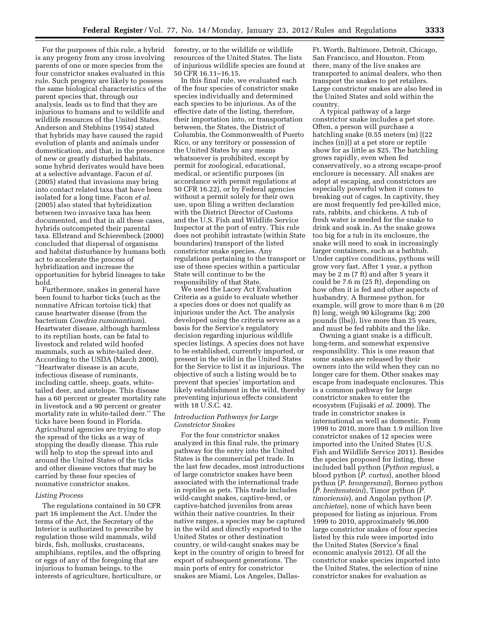For the purposes of this rule, a hybrid is any progeny from any cross involving parents of one or more species from the four constrictor snakes evaluated in this rule. Such progeny are likely to possess the same biological characteristics of the parent species that, through our analysis, leads us to find that they are injurious to humans and to wildlife and wildlife resources of the United States. Anderson and Stebbins (1954) stated that hybrids may have caused the rapid evolution of plants and animals under domestication, and that, in the presence of new or greatly disturbed habitats, some hybrid derivates would have been at a selective advantage. Facon *et al.*  (2005) stated that invasions may bring into contact related taxa that have been isolated for a long time. Facon *et al.*  (2005) also stated that hybridization between two invasive taxa has been documented, and that in all these cases, hybrids outcompeted their parental taxa. Ellstrand and Schierenbeck (2000) concluded that dispersal of organisms and habitat disturbance by humans both act to accelerate the process of hybridization and increase the opportunities for hybrid lineages to take hold.

Furthermore, snakes in general have been found to harbor ticks (such as the nonnative African tortoise tick) that cause heartwater disease (from the bacterium *Cowdria ruminantium*). Heartwater disease, although harmless to its reptilian hosts, can be fatal to livestock and related wild hoofed mammals, such as white-tailed deer. According to the USDA (March 2000), ''Heartwater disease is an acute, infectious disease of ruminants, including cattle, sheep, goats, whitetailed deer, and antelope. This disease has a 60 percent or greater mortality rate in livestock and a 90 percent or greater mortality rate in white-tailed deer.'' The ticks have been found in Florida. Agricultural agencies are trying to stop the spread of the ticks as a way of stopping the deadly disease. This rule will help to stop the spread into and around the United States of the ticks and other disease vectors that may be carried by these four species of nonnative constrictor snakes.

#### *Listing Process*

The regulations contained in 50 CFR part 16 implement the Act. Under the terms of the Act, the Secretary of the Interior is authorized to prescribe by regulation those wild mammals, wild birds, fish, mollusks, crustaceans, amphibians, reptiles, and the offspring or eggs of any of the foregoing that are injurious to human beings, to the interests of agriculture, horticulture, or forestry, or to the wildlife or wildlife resources of the United States. The lists of injurious wildlife species are found at 50 CFR 16.11–16.15.

In this final rule, we evaluated each of the four species of constrictor snake species individually and determined each species to be injurious. As of the effective date of the listing, therefore, their importation into, or transportation between, the States, the District of Columbia, the Commonwealth of Puerto Rico, or any territory or possession of the United States by any means whatsoever is prohibited, except by permit for zoological, educational, medical, or scientific purposes (in accordance with permit regulations at 50 CFR 16.22), or by Federal agencies without a permit solely for their own use, upon filing a written declaration with the District Director of Customs and the U.S. Fish and Wildlife Service Inspector at the port of entry. This rule does not prohibit intrastate (within State boundaries) transport of the listed constrictor snake species. Any regulations pertaining to the transport or use of these species within a particular State will continue to be the responsibility of that State.

We used the Lacey Act Evaluation Criteria as a guide to evaluate whether a species does or does not qualify as injurious under the Act. The analysis developed using the criteria serves as a basis for the Service's regulatory decision regarding injurious wildlife species listings. A species does not have to be established, currently imported, or present in the wild in the United States for the Service to list it as injurious. The objective of such a listing would be to prevent that species' importation and likely establishment in the wild, thereby preventing injurious effects consistent with 18 U.S.C. 42.

# *Introduction Pathways for Large Constrictor Snakes*

For the four constrictor snakes analyzed in this final rule, the primary pathway for the entry into the United States is the commercial pet trade. In the last few decades, most introductions of large constrictor snakes have been associated with the international trade in reptiles as pets. This trade includes wild-caught snakes, captive-bred, or captive-hatched juveniles from areas within their native countries. In their native ranges, a species may be captured in the wild and directly exported to the United States or other destination country, or wild-caught snakes may be kept in the country of origin to breed for export of subsequent generations. The main ports of entry for constrictor snakes are Miami, Los Angeles, DallasFt. Worth, Baltimore, Detroit, Chicago, San Francisco, and Houston. From there, many of the live snakes are transported to animal dealers, who then transport the snakes to pet retailers. Large constrictor snakes are also bred in the United States and sold within the country.

A typical pathway of a large constrictor snake includes a pet store. Often, a person will purchase a hatchling snake (0.55 meters (m) [(22 inches (in)]) at a pet store or reptile show for as little as \$25. The hatchling grows rapidly, even when fed conservatively, so a strong escape-proof enclosure is necessary. All snakes are adept at escaping, and constrictors are especially powerful when it comes to breaking out of cages. In captivity, they are most frequently fed pre-killed mice, rats, rabbits, and chickens. A tub of fresh water is needed for the snake to drink and soak in. As the snake grows too big for a tub in its enclosure, the snake will need to soak in increasingly larger containers, such as a bathtub. Under captive conditions, pythons will grow very fast. After 1 year, a python may be 2 m (7 ft) and after 5 years it could be 7.6 m (25 ft), depending on how often it is fed and other aspects of husbandry. A Burmese python, for example, will grow to more than 6 m (20 ft) long, weigh 90 kilograms (kg; 200 pounds (lbs)), live more than 25 years, and must be fed rabbits and the like.

Owning a giant snake is a difficult, long-term, and somewhat expensive responsibility. This is one reason that some snakes are released by their owners into the wild when they can no longer care for them. Other snakes may escape from inadequate enclosures. This is a common pathway for large constrictor snakes to enter the ecosystem (Fujisaki *et al.* 2009). The trade in constrictor snakes is international as well as domestic. From 1999 to 2010, more than 1.9 million live constrictor snakes of 12 species were imported into the United States (U.S. Fish and Wildlife Service 2011). Besides the species proposed for listing, these included ball python (*Python regius*), a blood python (*P. curtus*), another blood python (*P. brongersmai*), Borneo python (*P. breitensteini*), Timor python (*P. timoriensis*), and Angolan python (*P. anchietae*), none of which have been proposed for listing as injurious. From 1999 to 2010, approximately 96,000 large constrictor snakes of four species listed by this rule were imported into the United States (Service's final economic analysis 2012). Of all the constrictor snake species imported into the United States, the selection of nine constrictor snakes for evaluation as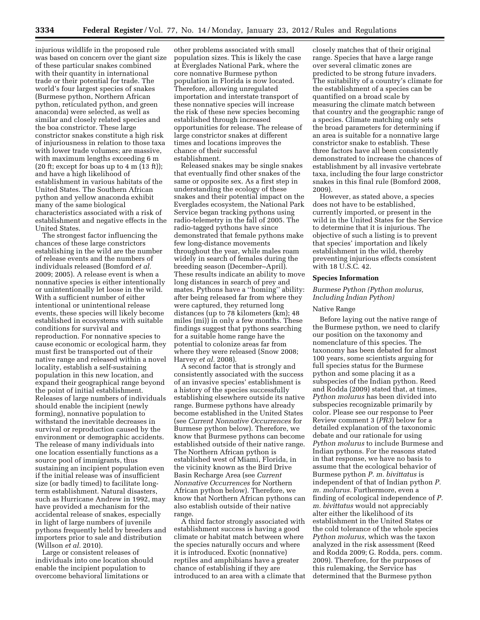injurious wildlife in the proposed rule was based on concern over the giant size of these particular snakes combined with their quantity in international trade or their potential for trade. The world's four largest species of snakes (Burmese python, Northern African python, reticulated python, and green anaconda) were selected, as well as similar and closely related species and the boa constrictor. These large constrictor snakes constitute a high risk of injuriousness in relation to those taxa with lower trade volumes; are massive, with maximum lengths exceeding 6 m  $(20 \text{ ft}; \text{except for boas up to } 4 \text{ m } (13 \text{ ft}));$ and have a high likelihood of establishment in various habitats of the United States. The Southern African python and yellow anaconda exhibit many of the same biological characteristics associated with a risk of establishment and negative effects in the United States.

The strongest factor influencing the chances of these large constrictors establishing in the wild are the number of release events and the numbers of individuals released (Bomford *et al.*  2009; 2005). A release event is when a nonnative species is either intentionally or unintentionally let loose in the wild. With a sufficient number of either intentional or unintentional release events, these species will likely become established in ecosystems with suitable conditions for survival and reproduction. For nonnative species to cause economic or ecological harm, they must first be transported out of their native range and released within a novel locality, establish a self-sustaining population in this new location, and expand their geographical range beyond the point of initial establishment. Releases of large numbers of individuals should enable the incipient (newly forming), nonnative population to withstand the inevitable decreases in survival or reproduction caused by the environment or demographic accidents. The release of many individuals into one location essentially functions as a source pool of immigrants, thus sustaining an incipient population even if the initial release was of insufficient size (or badly timed) to facilitate longterm establishment. Natural disasters, such as Hurricane Andrew in 1992, may have provided a mechanism for the accidental release of snakes, especially in light of large numbers of juvenile pythons frequently held by breeders and importers prior to sale and distribution (Willson *et al.* 2010).

Large or consistent releases of individuals into one location should enable the incipient population to overcome behavioral limitations or

other problems associated with small population sizes. This is likely the case at Everglades National Park, where the core nonnative Burmese python population in Florida is now located. Therefore, allowing unregulated importation and interstate transport of these nonnative species will increase the risk of these new species becoming established through increased opportunities for release. The release of large constrictor snakes at different times and locations improves the chance of their successful establishment.

Released snakes may be single snakes that eventually find other snakes of the same or opposite sex. As a first step in understanding the ecology of these snakes and their potential impact on the Everglades ecosystem, the National Park Service began tracking pythons using radio-telemetry in the fall of 2005. The radio-tagged pythons have since demonstrated that female pythons make few long-distance movements throughout the year, while males roam widely in search of females during the breeding season (December–April). These results indicate an ability to move long distances in search of prey and mates. Pythons have a ''homing'' ability: after being released far from where they were captured, they returned long distances (up to 78 kilometers (km); 48 miles (mi)) in only a few months. These findings suggest that pythons searching for a suitable home range have the potential to colonize areas far from where they were released (Snow 2008; Harvey *et al.* 2008).

A second factor that is strongly and consistently associated with the success of an invasive species' establishment is a history of the species successfully establishing elsewhere outside its native range. Burmese pythons have already become established in the United States (see *Current Nonnative Occurrences* for Burmese python below). Therefore, we know that Burmese pythons can become established outside of their native range. The Northern African python is established west of Miami, Florida, in the vicinity known as the Bird Drive Basin Recharge Area (see *Current Nonnative Occurrences* for Northern African python below). Therefore, we know that Northern African pythons can also establish outside of their native range.

A third factor strongly associated with establishment success is having a good climate or habitat match between where the species naturally occurs and where it is introduced. Exotic (nonnative) reptiles and amphibians have a greater chance of establishing if they are introduced to an area with a climate that closely matches that of their original range. Species that have a large range over several climatic zones are predicted to be strong future invaders. The suitability of a country's climate for the establishment of a species can be quantified on a broad scale by measuring the climate match between that country and the geographic range of a species. Climate matching only sets the broad parameters for determining if an area is suitable for a nonnative large constrictor snake to establish. These three factors have all been consistently demonstrated to increase the chances of establishment by all invasive vertebrate taxa, including the four large constrictor snakes in this final rule (Bomford 2008, 2009).

However, as stated above, a species does not have to be established, currently imported, or present in the wild in the United States for the Service to determine that it is injurious. The objective of such a listing is to prevent that species' importation and likely establishment in the wild, thereby preventing injurious effects consistent with 18 U.S.C. 42.

#### **Species Information**

# *Burmese Python (Python molurus, Including Indian Python)*

# Native Range

Before laying out the native range of the Burmese python, we need to clarify our position on the taxonomy and nomenclature of this species. The taxonomy has been debated for almost 100 years, some scientists arguing for full species status for the Burmese python and some placing it as a subspecies of the Indian python. Reed and Rodda (2009) stated that, at times, *Python molurus* has been divided into subspecies recognizable primarily by color. Please see our response to Peer Review comment 3 (*PR3*) below for a detailed explanation of the taxonomic debate and our rationale for using *Python molurus* to include Burmese and Indian pythons. For the reasons stated in that response, we have no basis to assume that the ecological behavior of Burmese python *P. m. bivittatus* is independent of that of Indian python *P. m. molurus.* Furthermore, even a finding of ecological independence of *P. m. bivittatus* would not appreciably alter either the likelihood of its establishment in the United States or the cold tolerance of the whole species *Python molurus,* which was the taxon analyzed in the risk assessment (Reed and Rodda 2009; G. Rodda, pers. comm. 2009). Therefore, for the purposes of this rulemaking, the Service has determined that the Burmese python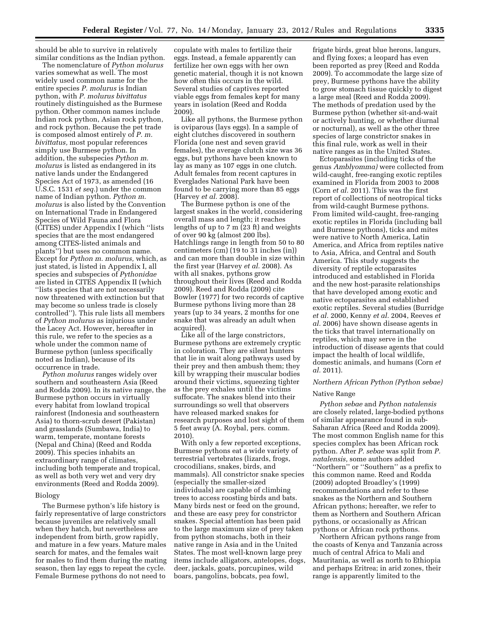should be able to survive in relatively similar conditions as the Indian python.

The nomenclature of *Python molurus*  varies somewhat as well. The most widely used common name for the entire species *P. molurus* is Indian python, with *P. molurus bivittatus*  routinely distinguished as the Burmese python. Other common names include Indian rock python, Asian rock python, and rock python. Because the pet trade is composed almost entirely of *P. m. bivittatus,* most popular references simply use Burmese python. In addition, the subspecies *Python m. molurus* is listed as endangered in its native lands under the Endangered Species Act of 1973, as amended (16 U.S.C. 1531 *et seq.*) under the common name of Indian python. *Python m. molurus* is also listed by the Convention on International Trade in Endangered Species of Wild Fauna and Flora (CITES) under Appendix I (which ''lists species that are the most endangered among CITES-listed animals and plants'') but uses no common name. Except for *Python m. molurus,* which, as just stated, is listed in Appendix I, all species and subspecies of *Pythonidae*  are listed in CITES Appendix II (which ''lists species that are not necessarily now threatened with extinction but that may become so unless trade is closely controlled''). This rule lists all members of *Python molurus* as injurious under the Lacey Act. However, hereafter in this rule, we refer to the species as a whole under the common name of Burmese python (unless specifically noted as Indian), because of its occurrence in trade.

*Python molurus* ranges widely over southern and southeastern Asia (Reed and Rodda 2009). In its native range, the Burmese python occurs in virtually every habitat from lowland tropical rainforest (Indonesia and southeastern Asia) to thorn-scrub desert (Pakistan) and grasslands (Sumbawa, India) to warm, temperate, montane forests (Nepal and China) (Reed and Rodda 2009). This species inhabits an extraordinary range of climates, including both temperate and tropical, as well as both very wet and very dry environments (Reed and Rodda 2009).

#### Biology

The Burmese python's life history is fairly representative of large constrictors because juveniles are relatively small when they hatch, but nevertheless are independent from birth, grow rapidly, and mature in a few years. Mature males search for mates, and the females wait for males to find them during the mating season, then lay eggs to repeat the cycle. Female Burmese pythons do not need to

copulate with males to fertilize their eggs. Instead, a female apparently can fertilize her own eggs with her own genetic material, though it is not known how often this occurs in the wild. Several studies of captives reported viable eggs from females kept for many years in isolation (Reed and Rodda 2009).

Like all pythons, the Burmese python is oviparous (lays eggs). In a sample of eight clutches discovered in southern Florida (one nest and seven gravid females), the average clutch size was 36 eggs, but pythons have been known to lay as many as 107 eggs in one clutch. Adult females from recent captures in Everglades National Park have been found to be carrying more than 85 eggs (Harvey *et al.* 2008).

The Burmese python is one of the largest snakes in the world, considering overall mass and length; it reaches lengths of up to 7 m (23 ft) and weights of over 90 kg (almost 200 lbs). Hatchlings range in length from 50 to 80 centimeters (cm) (19 to 31 inches (in)) and can more than double in size within the first year (Harvey *et al.* 2008). As with all snakes, pythons grow throughout their lives (Reed and Rodda 2009). Reed and Rodda (2009) cite Bowler (1977) for two records of captive Burmese pythons living more than 28 years (up to 34 years, 2 months for one snake that was already an adult when acquired).

Like all of the large constrictors, Burmese pythons are extremely cryptic in coloration. They are silent hunters that lie in wait along pathways used by their prey and then ambush them; they kill by wrapping their muscular bodies around their victims, squeezing tighter as the prey exhales until the victims suffocate. The snakes blend into their surroundings so well that observers have released marked snakes for research purposes and lost sight of them 5 feet away (A. Roybal, pers. comm. 2010).

With only a few reported exceptions, Burmese pythons eat a wide variety of terrestrial vertebrates (lizards, frogs, crocodilians, snakes, birds, and mammals). All constrictor snake species (especially the smaller-sized individuals) are capable of climbing trees to access roosting birds and bats. Many birds nest or feed on the ground, and these are easy prey for constrictor snakes. Special attention has been paid to the large maximum size of prey taken from python stomachs, both in their native range in Asia and in the United States. The most well-known large prey items include alligators, antelopes, dogs, deer, jackals, goats, porcupines, wild boars, pangolins, bobcats, pea fowl,

frigate birds, great blue herons, langurs, and flying foxes; a leopard has even been reported as prey (Reed and Rodda 2009). To accommodate the large size of prey, Burmese pythons have the ability to grow stomach tissue quickly to digest a large meal (Reed and Rodda 2009). The methods of predation used by the Burmese python (whether sit-and-wait or actively hunting, or whether diurnal or nocturnal), as well as the other three species of large constrictor snakes in this final rule, work as well in their native ranges as in the United States.

Ectoparasites (including ticks of the genus *Amblyomma)* were collected from wild-caught, free-ranging exotic reptiles examined in Florida from 2003 to 2008 (Corn *et al.* 2011). This was the first report of collections of neotropical ticks from wild-caught Burmese pythons. From limited wild-caught, free-ranging exotic reptiles in Florida (including ball and Burmese pythons), ticks and mites were native to North America, Latin America, and Africa from reptiles native to Asia, Africa, and Central and South America. This study suggests the diversity of reptile ectoparasites introduced and established in Florida and the new host-parasite relationships that have developed among exotic and native ectoparasites and established exotic reptiles. Several studies (Burridge *et al.* 2000, Kenny *et al.* 2004, Reeves *et al.* 2006) have shown disease agents in the ticks that travel internationally on reptiles, which may serve in the introduction of disease agents that could impact the health of local wildlife, domestic animals, and humans (Corn *et al.* 2011).

## *Northern African Python (Python sebae)*

#### Native Range

*Python sebae* and *Python natalensis*  are closely related, large-bodied pythons of similar appearance found in sub-Saharan Africa (Reed and Rodda 2009). The most common English name for this species complex has been African rock python. After *P. sebae* was split from *P. natalensis,* some authors added ''Northern'' or ''Southern'' as a prefix to this common name. Reed and Rodda (2009) adopted Broadley's (1999) recommendations and refer to these snakes as the Northern and Southern African pythons; hereafter, we refer to them as Northern and Southern African pythons, or occasionally as African pythons or African rock pythons.

Northern African pythons range from the coasts of Kenya and Tanzania across much of central Africa to Mali and Mauritania, as well as north to Ethiopia and perhaps Eritrea; in arid zones, their range is apparently limited to the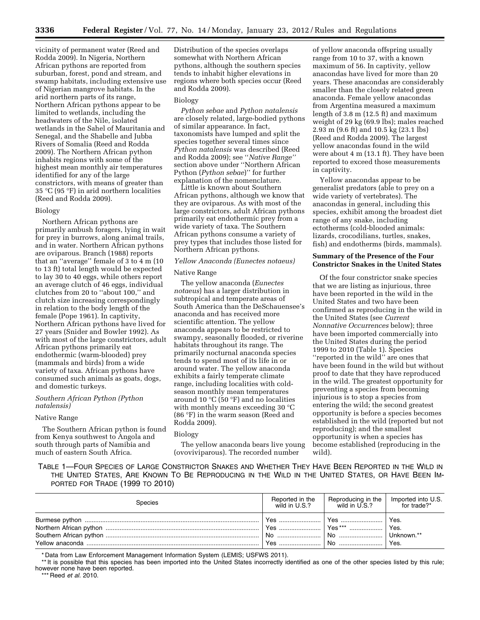vicinity of permanent water (Reed and Rodda 2009). In Nigeria, Northern African pythons are reported from suburban, forest, pond and stream, and swamp habitats, including extensive use of Nigerian mangrove habitats. In the arid northern parts of its range, Northern African pythons appear to be limited to wetlands, including the headwaters of the Nile, isolated wetlands in the Sahel of Mauritania and Senegal, and the Shabelle and Jubba Rivers of Somalia (Reed and Rodda 2009). The Northern African python inhabits regions with some of the highest mean monthly air temperatures identified for any of the large constrictors, with means of greater than 35 °C (95 °F) in arid northern localities (Reed and Rodda 2009).

# Biology

Northern African pythons are primarily ambush foragers, lying in wait for prey in burrows, along animal trails, and in water. Northern African pythons are oviparous. Branch (1988) reports that an ''average'' female of 3 to 4 m (10 to 13 ft) total length would be expected to lay 30 to 40 eggs, while others report an average clutch of 46 eggs, individual clutches from 20 to ''about 100,'' and clutch size increasing correspondingly in relation to the body length of the female (Pope 1961). In captivity, Northern African pythons have lived for 27 years (Snider and Bowler 1992). As with most of the large constrictors, adult African pythons primarily eat endothermic (warm-blooded) prey (mammals and birds) from a wide variety of taxa. African pythons have consumed such animals as goats, dogs, and domestic turkeys.

# *Southern African Python (Python natalensis)*

# Native Range

The Southern African python is found from Kenya southwest to Angola and south through parts of Namibia and much of eastern South Africa.

Distribution of the species overlaps somewhat with Northern African pythons, although the southern species tends to inhabit higher elevations in regions where both species occur (Reed and Rodda 2009).

# Biology

*Python sebae* and *Python natalensis*  are closely related, large-bodied pythons of similar appearance. In fact, taxonomists have lumped and split the species together several times since *Python natalensis* was described (Reed and Rodda 2009); see ''*Native Range''*  section above under ''Northern African Python (*Python sebae*)'' for further explanation of the nomenclature.

Little is known about Southern African pythons, although we know that they are oviparous. As with most of the large constrictors, adult African pythons primarily eat endothermic prey from a wide variety of taxa. The Southern African pythons consume a variety of prey types that includes those listed for Northern African pythons.

# *Yellow Anaconda (Eunectes notaeus)*

# Native Range

The yellow anaconda (*Eunectes notaeus*) has a larger distribution in subtropical and temperate areas of South America than the DeSchauensee's anaconda and has received more scientific attention. The yellow anaconda appears to be restricted to swampy, seasonally flooded, or riverine habitats throughout its range. The primarily nocturnal anaconda species tends to spend most of its life in or around water. The yellow anaconda exhibits a fairly temperate climate range, including localities with coldseason monthly mean temperatures around 10  $\mathrm{C}$  (50  $\mathrm{F}$ ) and no localities with monthly means exceeding 30 °C (86 °F) in the warm season (Reed and Rodda 2009).

# Biology

The yellow anaconda bears live young (ovoviviparous). The recorded number

of yellow anaconda offspring usually range from 10 to 37, with a known maximum of 56. In captivity, yellow anacondas have lived for more than 20 years. These anacondas are considerably smaller than the closely related green anaconda. Female yellow anacondas from Argentina measured a maximum length of 3.8 m (12.5 ft) and maximum weight of 29 kg (69.9 lbs); males reached 2.93 m (9.6 ft) and 10.5 kg (23.1 lbs) (Reed and Rodda 2009). The largest yellow anacondas found in the wild were about 4 m (13.1 ft). They have been reported to exceed those measurements in captivity.

Yellow anacondas appear to be generalist predators (able to prey on a wide variety of vertebrates). The anacondas in general, including this species, exhibit among the broadest diet range of any snake, including ectotherms (cold-blooded animals: lizards, crocodilians, turtles, snakes, fish) and endotherms (birds, mammals).

# **Summary of the Presence of the Four Constrictor Snakes in the United States**

Of the four constrictor snake species that we are listing as injurious, three have been reported in the wild in the United States and two have been confirmed as reproducing in the wild in the United States (see *Current Nonnative Occurrences* below); three have been imported commercially into the United States during the period 1999 to 2010 (Table 1). Species ''reported in the wild'' are ones that have been found in the wild but without proof to date that they have reproduced in the wild. The greatest opportunity for preventing a species from becoming injurious is to stop a species from entering the wild; the second greatest opportunity is before a species becomes established in the wild (reported but not reproducing); and the smallest opportunity is when a species has become established (reproducing in the wild).

TABLE 1—FOUR SPECIES OF LARGE CONSTRICTOR SNAKES AND WHETHER THEY HAVE BEEN REPORTED IN THE WILD IN THE UNITED STATES, ARE KNOWN TO BE REPRODUCING IN THE WILD IN THE UNITED STATES, OR HAVE BEEN IM-PORTED FOR TRADE (1999 TO 2010)

| <b>Species</b> | Reported in the<br>wild in U.S.? | Reproducing in the Imported into U.S.<br>wild in U.S.? for trade?* |                        |
|----------------|----------------------------------|--------------------------------------------------------------------|------------------------|
|                | Yes    Yes ***                   |                                                                    | Yes.<br>Yes.<br>  Yes. |

\* Data from Law Enforcement Management Information System (LEMIS; USFWS 2011).

\*\*\* Reed *et al.* 2010.

<sup>\*\*</sup> It is possible that this species has been imported into the United States incorrectly identified as one of the other species listed by this rule; however none have been reported.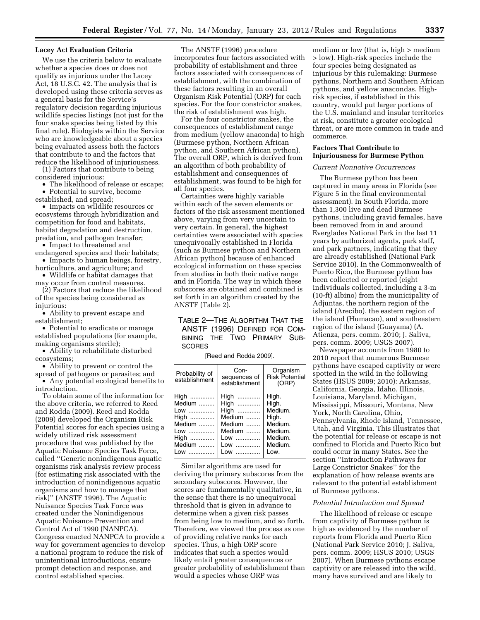## **Lacey Act Evaluation Criteria**

We use the criteria below to evaluate whether a species does or does not qualify as injurious under the Lacey Act, 18 U.S.C. 42. The analysis that is developed using these criteria serves as a general basis for the Service's regulatory decision regarding injurious wildlife species listings (not just for the four snake species being listed by this final rule). Biologists within the Service who are knowledgeable about a species being evaluated assess both the factors that contribute to and the factors that reduce the likelihood of injuriousness.

(1) Factors that contribute to being considered injurious:

• The likelihood of release or escape; • Potential to survive, become

established, and spread; • Impacts on wildlife resources or ecosystems through hybridization and competition for food and habitats, habitat degradation and destruction, predation, and pathogen transfer;

• Impact to threatened and

endangered species and their habitats; • Impacts to human beings, forestry,

horticulture, and agriculture; and • Wildlife or habitat damages that

may occur from control measures. (2) Factors that reduce the likelihood of the species being considered as

injurious: • Ability to prevent escape and

establishment;

• Potential to eradicate or manage established populations (for example, making organisms sterile);

• Ability to rehabilitate disturbed ecosystems;

• Ability to prevent or control the spread of pathogens or parasites; and

• Any potential ecological benefits to introduction.

To obtain some of the information for the above criteria, we referred to Reed and Rodda (2009). Reed and Rodda (2009) developed the Organism Risk Potential scores for each species using a widely utilized risk assessment procedure that was published by the Aquatic Nuisance Species Task Force, called ''Generic nonindigenous aquatic organisms risk analysis review process (for estimating risk associated with the introduction of nonindigenous aquatic organisms and how to manage that risk)'' (ANSTF 1996). The Aquatic Nuisance Species Task Force was created under the Nonindigenous Aquatic Nuisance Prevention and Control Act of 1990 (NANPCA). Congress enacted NANPCA to provide a way for government agencies to develop a national program to reduce the risk of unintentional introductions, ensure prompt detection and response, and control established species.

The ANSTF (1996) procedure incorporates four factors associated with probability of establishment and three factors associated with consequences of establishment, with the combination of these factors resulting in an overall Organism Risk Potential (ORP) for each species. For the four constrictor snakes, the risk of establishment was high.

For the four constrictor snakes, the consequences of establishment range from medium (yellow anaconda) to high (Burmese python, Northern African python, and Southern African python). The overall ORP, which is derived from an algorithm of both probability of establishment and consequences of establishment, was found to be high for all four species.

Certainties were highly variable within each of the seven elements or factors of the risk assessment mentioned above, varying from very uncertain to very certain. In general, the highest certainties were associated with species unequivocally established in Florida (such as Burmese python and Northern African python) because of enhanced ecological information on these species from studies in both their native range and in Florida. The way in which these subscores are obtained and combined is set forth in an algorithm created by the ANSTF (Table 2).

# TABLE 2—THE ALGORITHM THAT THE ANSTF (1996) DEFINED FOR COM-BINING THE TWO PRIMARY SUB-SCORES

[Reed and Rodda 2009].

| Probability of<br>establishment                                              | Con-<br>sequences of<br>establishment                                              | Organism<br>Risk Potential<br>(ORP)                                                    |  |  |
|------------------------------------------------------------------------------|------------------------------------------------------------------------------------|----------------------------------------------------------------------------------------|--|--|
| High<br>$M$ edium<br>Low<br>High<br>Medium<br>$Low$<br>High<br>Medium<br>Low | High<br>High<br>High<br>Medium<br>Medium $\ldots$<br>Medium<br>Low<br>Low<br>$Low$ | High.<br>High.<br>Medium.<br>High.<br>Medium.<br>Medium.<br>Medium.<br>Medium.<br>Low. |  |  |

Similar algorithms are used for deriving the primary subscores from the secondary subscores. However, the scores are fundamentally qualitative, in the sense that there is no unequivocal threshold that is given in advance to determine when a given risk passes from being low to medium, and so forth. Therefore, we viewed the process as one of providing relative ranks for each species. Thus, a high ORP score indicates that such a species would likely entail greater consequences or greater probability of establishment than would a species whose ORP was

medium or low (that is, high > medium > low). High-risk species include the four species being designated as injurious by this rulemaking: Burmese pythons, Northern and Southern African pythons, and yellow anacondas. Highrisk species, if established in this country, would put larger portions of the U.S. mainland and insular territories at risk, constitute a greater ecological threat, or are more common in trade and commerce.

# **Factors That Contribute to Injuriousness for Burmese Python**

# *Current Nonnative Occurrences*

The Burmese python has been captured in many areas in Florida (see Figure 5 in the final environmental assessment). In South Florida, more than 1,300 live and dead Burmese pythons, including gravid females, have been removed from in and around Everglades National Park in the last 11 years by authorized agents, park staff, and park partners, indicating that they are already established (National Park Service 2010). In the Commonwealth of Puerto Rico, the Burmese python has been collected or reported (eight individuals collected, including a 3-m (10-ft) albino) from the municipality of Adjuntas, the northern region of the island (Arecibo), the eastern region of the island (Humacao), and southeastern region of the island (Guayama) (A. Atienza, pers. comm. 2010; J. Saliva, pers. comm. 2009; USGS 2007).

Newspaper accounts from 1980 to 2010 report that numerous Burmese pythons have escaped captivity or were spotted in the wild in the following States (HSUS 2009; 2010): Arkansas, California, Georgia, Idaho, Illinois, Louisiana, Maryland, Michigan, Mississippi, Missouri, Montana, New York, North Carolina, Ohio, Pennsylvania, Rhode Island, Tennessee, Utah, and Virginia. This illustrates that the potential for release or escape is not confined to Florida and Puerto Rico but could occur in many States. See the section ''Introduction Pathways for Large Constrictor Snakes'' for the explanation of how release events are relevant to the potential establishment of Burmese pythons.

## *Potential Introduction and Spread*

The likelihood of release or escape from captivity of Burmese python is high as evidenced by the number of reports from Florida and Puerto Rico (National Park Service 2010; J. Saliva, pers. comm. 2009; HSUS 2010; USGS 2007). When Burmese pythons escape captivity or are released into the wild, many have survived and are likely to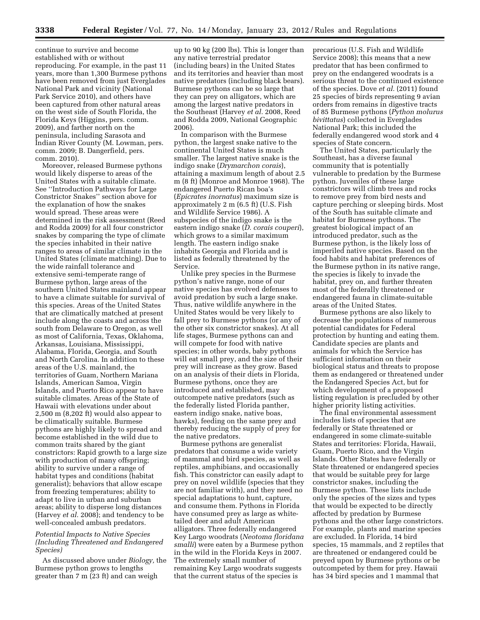continue to survive and become established with or without reproducing. For example, in the past 11 years, more than 1,300 Burmese pythons have been removed from just Everglades National Park and vicinity (National Park Service 2010), and others have been captured from other natural areas on the west side of South Florida, the Florida Keys (Higgins, pers. comm. 2009), and farther north on the peninsula, including Sarasota and Indian River County (M. Lowman, pers. comm. 2009; B. Dangerfield, pers. comm. 2010).

Moreover, released Burmese pythons would likely disperse to areas of the United States with a suitable climate. See ''Introduction Pathways for Large Constrictor Snakes'' section above for the explanation of how the snakes would spread. These areas were determined in the risk assessment (Reed and Rodda 2009) for all four constrictor snakes by comparing the type of climate the species inhabited in their native ranges to areas of similar climate in the United States (climate matching). Due to the wide rainfall tolerance and extensive semi-temperate range of Burmese python, large areas of the southern United States mainland appear to have a climate suitable for survival of this species. Areas of the United States that are climatically matched at present include along the coasts and across the south from Delaware to Oregon, as well as most of California, Texas, Oklahoma, Arkansas, Louisiana, Mississippi, Alabama, Florida, Georgia, and South and North Carolina. In addition to these areas of the U.S. mainland, the territories of Guam, Northern Mariana Islands, American Samoa, Virgin Islands, and Puerto Rico appear to have suitable climates. Areas of the State of Hawaii with elevations under about 2,500 m (8,202 ft) would also appear to be climatically suitable. Burmese pythons are highly likely to spread and become established in the wild due to common traits shared by the giant constrictors: Rapid growth to a large size with production of many offspring; ability to survive under a range of habitat types and conditions (habitat generalist); behaviors that allow escape from freezing temperatures; ability to adapt to live in urban and suburban areas; ability to disperse long distances (Harvey *et al.* 2008); and tendency to be well-concealed ambush predators.

# *Potential Impacts to Native Species (Including Threatened and Endangered Species)*

As discussed above under *Biology,* the Burmese python grows to lengths greater than 7 m (23 ft) and can weigh

up to 90 kg (200 lbs). This is longer than any native terrestrial predator (including bears) in the United States and its territories and heavier than most native predators (including black bears). Burmese pythons can be so large that they can prey on alligators, which are among the largest native predators in the Southeast (Harvey *et al.* 2008, Reed and Rodda 2009, National Geographic 2006).

In comparison with the Burmese python, the largest snake native to the continental United States is much smaller. The largest native snake is the indigo snake (*Drymarchon corais*), attaining a maximum length of about 2.5 m (8 ft) (Monroe and Monroe 1968). The endangered Puerto Rican boa's (*Epicrates inornatus*) maximum size is approximately 2 m (6.5 ft) (U.S. Fish and Wildlife Service 1986). A subspecies of the indigo snake is the eastern indigo snake (*D. corais couperi*), which grows to a similar maximum length. The eastern indigo snake inhabits Georgia and Florida and is listed as federally threatened by the Service.

Unlike prey species in the Burmese python's native range, none of our native species has evolved defenses to avoid predation by such a large snake. Thus, native wildlife anywhere in the United States would be very likely to fall prey to Burmese pythons (or any of the other six constrictor snakes). At all life stages, Burmese pythons can and will compete for food with native species; in other words, baby pythons will eat small prey, and the size of their prey will increase as they grow. Based on an analysis of their diets in Florida, Burmese pythons, once they are introduced and established, may outcompete native predators (such as the federally listed Florida panther, eastern indigo snake, native boas, hawks), feeding on the same prey and thereby reducing the supply of prey for the native predators.

Burmese pythons are generalist predators that consume a wide variety of mammal and bird species, as well as reptiles, amphibians, and occasionally fish. This constrictor can easily adapt to prey on novel wildlife (species that they are not familiar with), and they need no special adaptations to hunt, capture, and consume them. Pythons in Florida have consumed prey as large as whitetailed deer and adult American alligators. Three federally endangered Key Largo woodrats (*Neotoma floridana smalli*) were eaten by a Burmese python in the wild in the Florida Keys in 2007. The extremely small number of remaining Key Largo woodrats suggests that the current status of the species is

precarious (U.S. Fish and Wildlife Service 2008); this means that a new predator that has been confirmed to prey on the endangered woodrats is a serious threat to the continued existence of the species. Dove *et al.* (2011) found 25 species of birds representing 9 avian orders from remains in digestive tracts of 85 Burmese pythons (*Python molurus bivittatus*) collected in Everglades National Park; this included the federally endangered wood stork and 4 species of State concern.

The United States, particularly the Southeast, has a diverse faunal community that is potentially vulnerable to predation by the Burmese python. Juveniles of these large constrictors will climb trees and rocks to remove prey from bird nests and capture perching or sleeping birds. Most of the South has suitable climate and habitat for Burmese pythons. The greatest biological impact of an introduced predator, such as the Burmese python, is the likely loss of imperiled native species. Based on the food habits and habitat preferences of the Burmese python in its native range, the species is likely to invade the habitat, prey on, and further threaten most of the federally threatened or endangered fauna in climate-suitable areas of the United States.

Burmese pythons are also likely to decrease the populations of numerous potential candidates for Federal protection by hunting and eating them. Candidate species are plants and animals for which the Service has sufficient information on their biological status and threats to propose them as endangered or threatened under the Endangered Species Act, but for which development of a proposed listing regulation is precluded by other higher priority listing activities.

The final environmental assessment includes lists of species that are federally or State threatened or endangered in some climate-suitable States and territories: Florida, Hawaii, Guam, Puerto Rico, and the Virgin Islands. Other States have federally or State threatened or endangered species that would be suitable prey for large constrictor snakes, including the Burmese python. These lists include only the species of the sizes and types that would be expected to be directly affected by predation by Burmese pythons and the other large constrictors. For example, plants and marine species are excluded. In Florida, 14 bird species, 15 mammals, and 2 reptiles that are threatened or endangered could be preyed upon by Burmese pythons or be outcompeted by them for prey. Hawaii has 34 bird species and 1 mammal that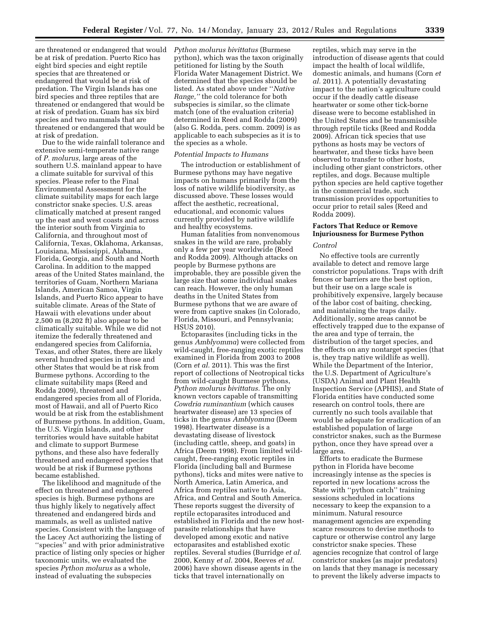are threatened or endangered that would *Python molurus bivittatus* (Burmese be at risk of predation. Puerto Rico has eight bird species and eight reptile species that are threatened or endangered that would be at risk of predation. The Virgin Islands has one bird species and three reptiles that are threatened or endangered that would be at risk of predation. Guam has six bird species and two mammals that are threatened or endangered that would be at risk of predation.

Due to the wide rainfall tolerance and extensive semi-temperate native range of *P. molurus,* large areas of the southern U.S. mainland appear to have a climate suitable for survival of this species. Please refer to the Final Environmental Assessment for the climate suitability maps for each large constrictor snake species. U.S. areas climatically matched at present ranged up the east and west coasts and across the interior south from Virginia to California, and throughout most of California, Texas, Oklahoma, Arkansas, Louisiana, Mississippi, Alabama, Florida, Georgia, and South and North Carolina. In addition to the mapped areas of the United States mainland, the territories of Guam, Northern Mariana Islands, American Samoa, Virgin Islands, and Puerto Rico appear to have suitable climate. Areas of the State of Hawaii with elevations under about 2,500 m (8,202 ft) also appear to be climatically suitable. While we did not itemize the federally threatened and endangered species from California, Texas, and other States, there are likely several hundred species in those and other States that would be at risk from Burmese pythons. According to the climate suitability maps (Reed and Rodda 2009), threatened and endangered species from all of Florida, most of Hawaii, and all of Puerto Rico would be at risk from the establishment of Burmese pythons. In addition, Guam, the U.S. Virgin Islands, and other territories would have suitable habitat and climate to support Burmese pythons, and these also have federally threatened and endangered species that would be at risk if Burmese pythons became established.

The likelihood and magnitude of the effect on threatened and endangered species is high. Burmese pythons are thus highly likely to negatively affect threatened and endangered birds and mammals, as well as unlisted native species. Consistent with the language of the Lacey Act authorizing the listing of ''species'' and with prior administrative practice of listing only species or higher taxonomic units, we evaluated the species *Python molurus* as a whole, instead of evaluating the subspecies

python), which was the taxon originally petitioned for listing by the South Florida Water Management District. We determined that the species should be listed. As stated above under ''*Native Range,''* the cold tolerance for both subspecies is similar, so the climate match (one of the evaluation criteria) determined in Reed and Rodda (2009) (also G. Rodda, pers. comm. 2009) is as applicable to each subspecies as it is to the species as a whole.

# *Potential Impacts to Humans*

The introduction or establishment of Burmese pythons may have negative impacts on humans primarily from the loss of native wildlife biodiversity, as discussed above. These losses would affect the aesthetic, recreational, educational, and economic values currently provided by native wildlife and healthy ecosystems.

Human fatalities from nonvenomous snakes in the wild are rare, probably only a few per year worldwide (Reed and Rodda 2009). Although attacks on people by Burmese pythons are improbable, they are possible given the large size that some individual snakes can reach. However, the only human deaths in the United States from Burmese pythons that we are aware of were from captive snakes (in Colorado, Florida, Missouri, and Pennsylvania; HSUS 2010).

Ectoparasites (including ticks in the genus *Amblyomma*) were collected from wild-caught, free-ranging exotic reptiles examined in Florida from 2003 to 2008 (Corn *et al.* 2011). This was the first report of collections of Neotropical ticks from wild-caught Burmese pythons, *Python molurus bivittatus.* The only known vectors capable of transmitting *Cowdria ruminantium* (which causes heartwater disease) are 13 species of ticks in the genus *Amblyomma* (Deem 1998). Heartwater disease is a devastating disease of livestock (including cattle, sheep, and goats) in Africa (Deem 1998). From limited wildcaught, free-ranging exotic reptiles in Florida (including ball and Burmese pythons), ticks and mites were native to North America, Latin America, and Africa from reptiles native to Asia, Africa, and Central and South America. These reports suggest the diversity of reptile ectoparasites introduced and established in Florida and the new hostparasite relationships that have developed among exotic and native ectoparasites and established exotic reptiles. Several studies (Burridge *et al.*  2000, Kenny *et al.* 2004, Reeves *et al.*  2006) have shown disease agents in the ticks that travel internationally on

reptiles, which may serve in the introduction of disease agents that could impact the health of local wildlife, domestic animals, and humans (Corn *et al.* 2011). A potentially devastating impact to the nation's agriculture could occur if the deadly cattle disease heartwater or some other tick-borne disease were to become established in the United States and be transmissible through reptile ticks (Reed and Rodda 2009). African tick species that use pythons as hosts may be vectors of heartwater, and these ticks have been observed to transfer to other hosts, including other giant constrictors, other reptiles, and dogs. Because multiple python species are held captive together in the commercial trade, such transmission provides opportunities to occur prior to retail sales (Reed and Rodda 2009).

# **Factors That Reduce or Remove Injuriousness for Burmese Python**

#### *Control*

No effective tools are currently available to detect and remove large constrictor populations. Traps with drift fences or barriers are the best option, but their use on a large scale is prohibitively expensive, largely because of the labor cost of baiting, checking, and maintaining the traps daily. Additionally, some areas cannot be effectively trapped due to the expanse of the area and type of terrain, the distribution of the target species, and the effects on any nontarget species (that is, they trap native wildlife as well). While the Department of the Interior, the U.S. Department of Agriculture's (USDA) Animal and Plant Health Inspection Service (APHIS), and State of Florida entities have conducted some research on control tools, there are currently no such tools available that would be adequate for eradication of an established population of large constrictor snakes, such as the Burmese python, once they have spread over a large area.

Efforts to eradicate the Burmese python in Florida have become increasingly intense as the species is reported in new locations across the State with ''python catch'' training sessions scheduled in locations necessary to keep the expansion to a minimum. Natural resource management agencies are expending scarce resources to devise methods to capture or otherwise control any large constrictor snake species. These agencies recognize that control of large constrictor snakes (as major predators) on lands that they manage is necessary to prevent the likely adverse impacts to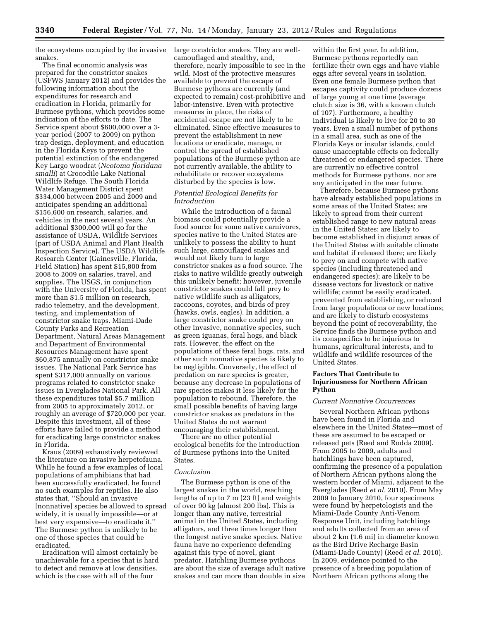the ecosystems occupied by the invasive large constrictor snakes. They are wellsnakes.

The final economic analysis was prepared for the constrictor snakes (USFWS January 2012) and provides the following information about the expenditures for research and eradication in Florida, primarily for Burmese pythons, which provides some indication of the efforts to date. The Service spent about \$600,000 over a 3 year period (2007 to 2009) on python trap design, deployment, and education in the Florida Keys to prevent the potential extinction of the endangered Key Largo woodrat (*Neotoma floridana smalli*) at Crocodile Lake National Wildlife Refuge. The South Florida Water Management District spent \$334,000 between 2005 and 2009 and anticipates spending an additional \$156,600 on research, salaries, and vehicles in the next several years. An additional \$300,000 will go for the assistance of USDA, Wildlife Services (part of USDA Animal and Plant Health Inspection Service). The USDA Wildlife Research Center (Gainesville, Florida, Field Station) has spent \$15,800 from 2008 to 2009 on salaries, travel, and supplies. The USGS, in conjunction with the University of Florida, has spent more than \$1.5 million on research, radio telemetry, and the development, testing, and implementation of constrictor snake traps. Miami-Dade County Parks and Recreation Department, Natural Areas Management and Department of Environmental Resources Management have spent \$60,875 annually on constrictor snake issues. The National Park Service has spent \$317,000 annually on various programs related to constrictor snake issues in Everglades National Park. All these expenditures total \$5.7 million from 2005 to approximately 2012, or roughly an average of \$720,000 per year. Despite this investment, all of these efforts have failed to provide a method for eradicating large constrictor snakes in Florida.

Kraus (2009) exhaustively reviewed the literature on invasive herpetofauna. While he found a few examples of local populations of amphibians that had been successfully eradicated, he found no such examples for reptiles. He also states that, ''Should an invasive [nonnative] species be allowed to spread widely, it is usually impossible—or at best very expensive—to eradicate it.'' The Burmese python is unlikely to be one of those species that could be eradicated.

Eradication will almost certainly be unachievable for a species that is hard to detect and remove at low densities, which is the case with all of the four

camouflaged and stealthy, and, therefore, nearly impossible to see in the wild. Most of the protective measures available to prevent the escape of Burmese pythons are currently (and expected to remain) cost-prohibitive and labor-intensive. Even with protective measures in place, the risks of accidental escape are not likely to be eliminated. Since effective measures to prevent the establishment in new locations or eradicate, manage, or control the spread of established populations of the Burmese python are not currently available, the ability to rehabilitate or recover ecosystems disturbed by the species is low.

# *Potential Ecological Benefits for Introduction*

While the introduction of a faunal biomass could potentially provide a food source for some native carnivores, species native to the United States are unlikely to possess the ability to hunt such large, camouflaged snakes and would not likely turn to large constrictor snakes as a food source. The risks to native wildlife greatly outweigh this unlikely benefit; however, juvenile constrictor snakes could fall prey to native wildlife such as alligators, raccoons, coyotes, and birds of prey (hawks, owls, eagles). In addition, a large constrictor snake could prey on other invasive, nonnative species, such as green iguanas, feral hogs, and black rats. However, the effect on the populations of these feral hogs, rats, and other such nonnative species is likely to be negligible. Conversely, the effect of predation on rare species is greater, because any decrease in populations of rare species makes it less likely for the population to rebound. Therefore, the small possible benefits of having large constrictor snakes as predators in the United States do not warrant encouraging their establishment.

There are no other potential ecological benefits for the introduction of Burmese pythons into the United States.

# *Conclusion*

The Burmese python is one of the largest snakes in the world, reaching lengths of up to 7 m (23 ft) and weights of over 90 kg (almost 200 lbs). This is longer than any native, terrestrial animal in the United States, including alligators, and three times longer than the longest native snake species. Native fauna have no experience defending against this type of novel, giant predator. Hatchling Burmese pythons are about the size of average adult native snakes and can more than double in size

within the first year. In addition, Burmese pythons reportedly can fertilize their own eggs and have viable eggs after several years in isolation. Even one female Burmese python that escapes captivity could produce dozens of large young at one time (average clutch size is 36, with a known clutch of 107). Furthermore, a healthy individual is likely to live for 20 to 30 years. Even a small number of pythons in a small area, such as one of the Florida Keys or insular islands, could cause unacceptable effects on federally threatened or endangered species. There are currently no effective control methods for Burmese pythons, nor are any anticipated in the near future.

Therefore, because Burmese pythons have already established populations in some areas of the United States; are likely to spread from their current established range to new natural areas in the United States; are likely to become established in disjunct areas of the United States with suitable climate and habitat if released there; are likely to prey on and compete with native species (including threatened and endangered species); are likely to be disease vectors for livestock or native wildlife; cannot be easily eradicated, prevented from establishing, or reduced from large populations or new locations; and are likely to disturb ecosystems beyond the point of recoverability, the Service finds the Burmese python and its conspecifics to be injurious to humans, agricultural interests, and to wildlife and wildlife resources of the United States.

# **Factors That Contribute to Injuriousness for Northern African Python**

#### *Current Nonnative Occurrences*

Several Northern African pythons have been found in Florida and elsewhere in the United States—most of these are assumed to be escaped or released pets (Reed and Rodda 2009). From 2005 to 2009, adults and hatchlings have been captured, confirming the presence of a population of Northern African pythons along the western border of Miami, adjacent to the Everglades (Reed *et al.* 2010). From May 2009 to January 2010, four specimens were found by herpetologists and the Miami-Dade County Anti-Venom Response Unit, including hatchlings and adults collected from an area of about 2 km (1.6 mi) in diameter known as the Bird Drive Recharge Basin (Miami-Dade County) (Reed *et al.* 2010). In 2009, evidence pointed to the presence of a breeding population of Northern African pythons along the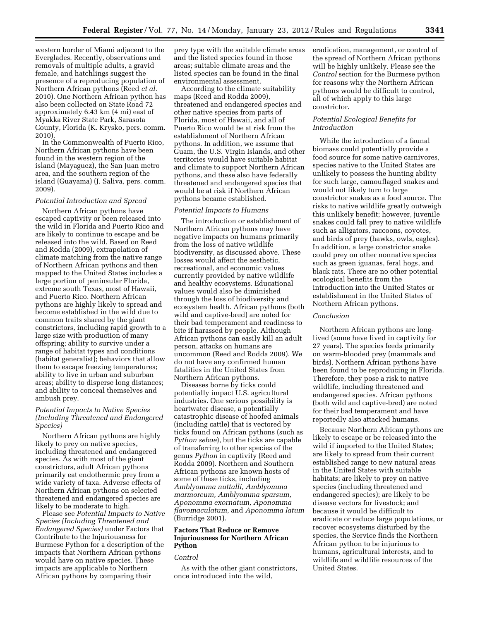western border of Miami adjacent to the Everglades. Recently, observations and removals of multiple adults, a gravid female, and hatchlings suggest the presence of a reproducing population of Northern African pythons (Reed *et al.*  2010). One Northern African python has also been collected on State Road 72 approximately 6.43 km (4 mi) east of Myakka River State Park, Sarasota County, Florida (K. Krysko, pers. comm. 2010).

In the Commonwealth of Puerto Rico, Northern African pythons have been found in the western region of the island (Mayaguez), the San Juan metro area, and the southern region of the island (Guayama) (J. Saliva, pers. comm. 2009).

# *Potential Introduction and Spread*

Northern African pythons have escaped captivity or been released into the wild in Florida and Puerto Rico and are likely to continue to escape and be released into the wild. Based on Reed and Rodda (2009), extrapolation of climate matching from the native range of Northern African pythons and then mapped to the United States includes a large portion of peninsular Florida, extreme south Texas, most of Hawaii, and Puerto Rico. Northern African pythons are highly likely to spread and become established in the wild due to common traits shared by the giant constrictors, including rapid growth to a large size with production of many offspring; ability to survive under a range of habitat types and conditions (habitat generalist); behaviors that allow them to escape freezing temperatures; ability to live in urban and suburban areas; ability to disperse long distances; and ability to conceal themselves and ambush prey.

# *Potential Impacts to Native Species (Including Threatened and Endangered Species)*

Northern African pythons are highly likely to prey on native species, including threatened and endangered species. As with most of the giant constrictors, adult African pythons primarily eat endothermic prey from a wide variety of taxa. Adverse effects of Northern African pythons on selected threatened and endangered species are likely to be moderate to high.

Please see *Potential Impacts to Native Species (Including Threatened and Endangered Species)* under Factors that Contribute to the Injuriousness for Burmese Python for a description of the impacts that Northern African pythons would have on native species. These impacts are applicable to Northern African pythons by comparing their

prey type with the suitable climate areas and the listed species found in those areas; suitable climate areas and the listed species can be found in the final environmental assessment.

According to the climate suitability maps (Reed and Rodda 2009), threatened and endangered species and other native species from parts of Florida, most of Hawaii, and all of Puerto Rico would be at risk from the establishment of Northern African pythons. In addition, we assume that Guam, the U.S. Virgin Islands, and other territories would have suitable habitat and climate to support Northern African pythons, and these also have federally threatened and endangered species that would be at risk if Northern African pythons became established.

# *Potential Impacts to Humans*

The introduction or establishment of Northern African pythons may have negative impacts on humans primarily from the loss of native wildlife biodiversity, as discussed above. These losses would affect the aesthetic, recreational, and economic values currently provided by native wildlife and healthy ecosystems. Educational values would also be diminished through the loss of biodiversity and ecosystem health. African pythons (both wild and captive-bred) are noted for their bad temperament and readiness to bite if harassed by people. Although African pythons can easily kill an adult person, attacks on humans are uncommon (Reed and Rodda 2009). We do not have any confirmed human fatalities in the United States from Northern African pythons.

Diseases borne by ticks could potentially impact U.S. agricultural industries. One serious possibility is heartwater disease, a potentially catastrophic disease of hoofed animals (including cattle) that is vectored by ticks found on African pythons (such as *Python sebae*), but the ticks are capable of transferring to other species of the genus *Python* in captivity (Reed and Rodda 2009). Northern and Southern African pythons are known hosts of some of these ticks, including *Amblyomma nuttalli, Amblyomma marmoreum, Amblyomma sparsum, Aponomma exornatum, Aponomma flavomaculatum,* and *Aponomma latum*  (Burridge 2001).

# **Factors That Reduce or Remove Injuriousness for Northern African Python**

#### *Control*

As with the other giant constrictors, once introduced into the wild,

eradication, management, or control of the spread of Northern African pythons will be highly unlikely. Please see the *Control* section for the Burmese python for reasons why the Northern African pythons would be difficult to control, all of which apply to this large constrictor.

# *Potential Ecological Benefits for Introduction*

While the introduction of a faunal biomass could potentially provide a food source for some native carnivores, species native to the United States are unlikely to possess the hunting ability for such large, camouflaged snakes and would not likely turn to large constrictor snakes as a food source. The risks to native wildlife greatly outweigh this unlikely benefit; however, juvenile snakes could fall prey to native wildlife such as alligators, raccoons, coyotes, and birds of prey (hawks, owls, eagles). In addition, a large constrictor snake could prey on other nonnative species such as green iguanas, feral hogs, and black rats. There are no other potential ecological benefits from the introduction into the United States or establishment in the United States of Northern African pythons.

## *Conclusion*

Northern African pythons are longlived (some have lived in captivity for 27 years). The species feeds primarily on warm-blooded prey (mammals and birds). Northern African pythons have been found to be reproducing in Florida. Therefore, they pose a risk to native wildlife, including threatened and endangered species. African pythons (both wild and captive-bred) are noted for their bad temperament and have reportedly also attacked humans.

Because Northern African pythons are likely to escape or be released into the wild if imported to the United States; are likely to spread from their current established range to new natural areas in the United States with suitable habitats; are likely to prey on native species (including threatened and endangered species); are likely to be disease vectors for livestock; and because it would be difficult to eradicate or reduce large populations, or recover ecosystems disturbed by the species, the Service finds the Northern African python to be injurious to humans, agricultural interests, and to wildlife and wildlife resources of the United States.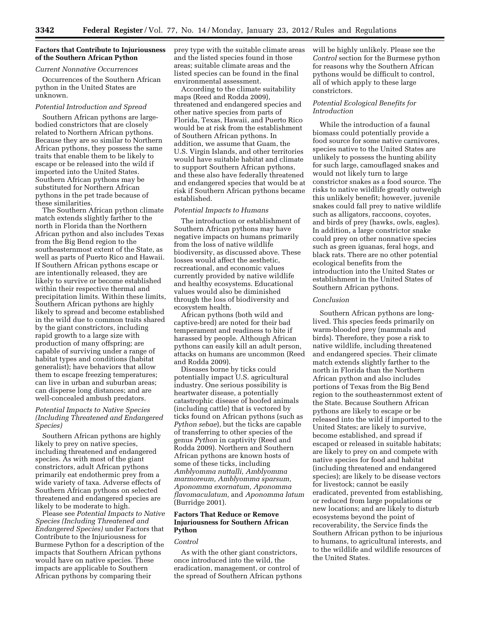# **Factors that Contribute to Injuriousness of the Southern African Python**

# *Current Nonnative Occurrences*

Occurrences of the Southern African python in the United States are unknown.

# *Potential Introduction and Spread*

Southern African pythons are largebodied constrictors that are closely related to Northern African pythons. Because they are so similar to Northern African pythons, they possess the same traits that enable them to be likely to escape or be released into the wild if imported into the United States. Southern African pythons may be substituted for Northern African pythons in the pet trade because of these similarities.

The Southern African python climate match extends slightly farther to the north in Florida than the Northern African python and also includes Texas from the Big Bend region to the southeasternmost extent of the State, as well as parts of Puerto Rico and Hawaii. If Southern African pythons escape or are intentionally released, they are likely to survive or become established within their respective thermal and precipitation limits. Within these limits, Southern African pythons are highly likely to spread and become established in the wild due to common traits shared by the giant constrictors, including rapid growth to a large size with production of many offspring; are capable of surviving under a range of habitat types and conditions (habitat generalist); have behaviors that allow them to escape freezing temperatures; can live in urban and suburban areas; can disperse long distances; and are well-concealed ambush predators.

# *Potential Impacts to Native Species (Including Threatened and Endangered Species)*

Southern African pythons are highly likely to prey on native species, including threatened and endangered species. As with most of the giant constrictors, adult African pythons primarily eat endothermic prey from a wide variety of taxa. Adverse effects of Southern African pythons on selected threatened and endangered species are likely to be moderate to high.

Please see *Potential Impacts to Native Species (Including Threatened and Endangered Species)* under Factors that Contribute to the Injuriousness for Burmese Python for a description of the impacts that Southern African pythons would have on native species. These impacts are applicable to Southern African pythons by comparing their

prey type with the suitable climate areas and the listed species found in those areas; suitable climate areas and the listed species can be found in the final environmental assessment.

According to the climate suitability maps (Reed and Rodda 2009), threatened and endangered species and other native species from parts of Florida, Texas, Hawaii, and Puerto Rico would be at risk from the establishment of Southern African pythons. In addition, we assume that Guam, the U.S. Virgin Islands, and other territories would have suitable habitat and climate to support Southern African pythons, and these also have federally threatened and endangered species that would be at risk if Southern African pythons became established.

# *Potential Impacts to Humans*

The introduction or establishment of Southern African pythons may have negative impacts on humans primarily from the loss of native wildlife biodiversity, as discussed above. These losses would affect the aesthetic, recreational, and economic values currently provided by native wildlife and healthy ecosystems. Educational values would also be diminished through the loss of biodiversity and ecosystem health.

African pythons (both wild and captive-bred) are noted for their bad temperament and readiness to bite if harassed by people. Although African pythons can easily kill an adult person, attacks on humans are uncommon (Reed and Rodda 2009).

Diseases borne by ticks could potentially impact U.S. agricultural industry. One serious possibility is heartwater disease, a potentially catastrophic disease of hoofed animals (including cattle) that is vectored by ticks found on African pythons (such as *Python sebae*), but the ticks are capable of transferring to other species of the genus *Python* in captivity (Reed and Rodda 2009). Northern and Southern African pythons are known hosts of some of these ticks, including *Amblyomma nuttalli, Amblyomma marmoreum, Amblyomma sparsum, Aponomma exornatum, Aponomma flavomaculatum,* and *Aponomma latum*  (Burridge 2001).

# **Factors That Reduce or Remove Injuriousness for Southern African Python**

#### *Control*

As with the other giant constrictors, once introduced into the wild, the eradication, management, or control of the spread of Southern African pythons will be highly unlikely. Please see the *Control* section for the Burmese python for reasons why the Southern African pythons would be difficult to control, all of which apply to these large constrictors.

# *Potential Ecological Benefits for Introduction*

While the introduction of a faunal biomass could potentially provide a food source for some native carnivores, species native to the United States are unlikely to possess the hunting ability for such large, camouflaged snakes and would not likely turn to large constrictor snakes as a food source. The risks to native wildlife greatly outweigh this unlikely benefit; however, juvenile snakes could fall prey to native wildlife such as alligators, raccoons, coyotes, and birds of prey (hawks, owls, eagles). In addition, a large constrictor snake could prey on other nonnative species such as green iguanas, feral hogs, and black rats. There are no other potential ecological benefits from the introduction into the United States or establishment in the United States of Southern African pythons.

# *Conclusion*

Southern African pythons are longlived. This species feeds primarily on warm-blooded prey (mammals and birds). Therefore, they pose a risk to native wildlife, including threatened and endangered species. Their climate match extends slightly farther to the north in Florida than the Northern African python and also includes portions of Texas from the Big Bend region to the southeasternmost extent of the State. Because Southern African pythons are likely to escape or be released into the wild if imported to the United States; are likely to survive, become established, and spread if escaped or released in suitable habitats; are likely to prey on and compete with native species for food and habitat (including threatened and endangered species); are likely to be disease vectors for livestock; cannot be easily eradicated, prevented from establishing, or reduced from large populations or new locations; and are likely to disturb ecosystems beyond the point of recoverability, the Service finds the Southern African python to be injurious to humans, to agricultural interests, and to the wildlife and wildlife resources of the United States.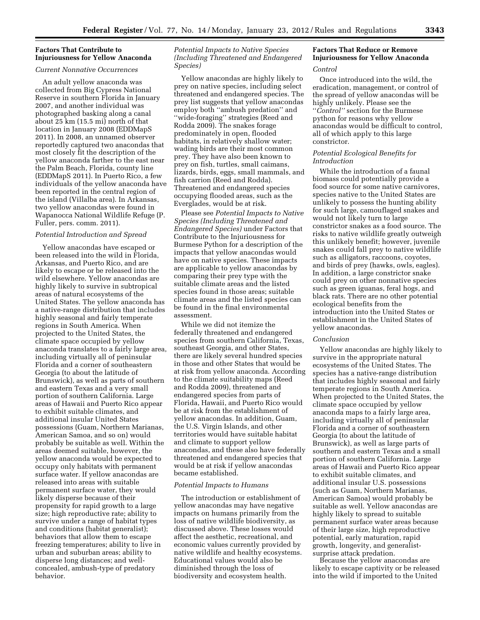# **Factors That Contribute to Injuriousness for Yellow Anaconda**

# *Current Nonnative Occurrences*

An adult yellow anaconda was collected from Big Cypress National Reserve in southern Florida in January 2007, and another individual was photographed basking along a canal about 25 km (15.5 mi) north of that location in January 2008 (EDDMapS 2011). In 2008, an unnamed observer reportedly captured two anacondas that most closely fit the description of the yellow anaconda farther to the east near the Palm Beach, Florida, county line (EDDMapS 2011). In Puerto Rico, a few individuals of the yellow anaconda have been reported in the central region of the island (Villalba area). In Arkansas, two yellow anacondas were found in Wapanocca National Wildlife Refuge (P. Fuller, pers. comm. 2011).

# *Potential Introduction and Spread*

Yellow anacondas have escaped or been released into the wild in Florida, Arkansas, and Puerto Rico, and are likely to escape or be released into the wild elsewhere. Yellow anacondas are highly likely to survive in subtropical areas of natural ecosystems of the United States. The yellow anaconda has a native-range distribution that includes highly seasonal and fairly temperate regions in South America. When projected to the United States, the climate space occupied by yellow anaconda translates to a fairly large area, including virtually all of peninsular Florida and a corner of southeastern Georgia (to about the latitude of Brunswick), as well as parts of southern and eastern Texas and a very small portion of southern California. Large areas of Hawaii and Puerto Rico appear to exhibit suitable climates, and additional insular United States possessions (Guam, Northern Marianas, American Samoa, and so on) would probably be suitable as well. Within the areas deemed suitable, however, the yellow anaconda would be expected to occupy only habitats with permanent surface water. If yellow anacondas are released into areas with suitable permanent surface water, they would likely disperse because of their propensity for rapid growth to a large size; high reproductive rate; ability to survive under a range of habitat types and conditions (habitat generalist); behaviors that allow them to escape freezing temperatures; ability to live in urban and suburban areas; ability to disperse long distances; and wellconcealed, ambush-type of predatory behavior.

# *Potential Impacts to Native Species (Including Threatened and Endangered Species)*

Yellow anacondas are highly likely to prey on native species, including select threatened and endangered species. The prey list suggests that yellow anacondas employ both ''ambush predation'' and ''wide-foraging'' strategies (Reed and Rodda 2009). The snakes forage predominately in open, flooded habitats, in relatively shallow water; wading birds are their most common prey. They have also been known to prey on fish, turtles, small caimans, lizards, birds, eggs, small mammals, and fish carrion (Reed and Rodda). Threatened and endangered species occupying flooded areas, such as the Everglades, would be at risk.

Please see *Potential Impacts to Native Species (Including Threatened and Endangered Species)* under Factors that Contribute to the Injuriousness for Burmese Python for a description of the impacts that yellow anacondas would have on native species. These impacts are applicable to yellow anacondas by comparing their prey type with the suitable climate areas and the listed species found in those areas; suitable climate areas and the listed species can be found in the final environmental assessment.

While we did not itemize the federally threatened and endangered species from southern California, Texas, southeast Georgia, and other States, there are likely several hundred species in those and other States that would be at risk from yellow anaconda. According to the climate suitability maps (Reed and Rodda 2009), threatened and endangered species from parts of Florida, Hawaii, and Puerto Rico would be at risk from the establishment of yellow anacondas. In addition, Guam, the U.S. Virgin Islands, and other territories would have suitable habitat and climate to support yellow anacondas, and these also have federally threatened and endangered species that would be at risk if yellow anacondas became established.

# *Potential Impacts to Humans*

The introduction or establishment of yellow anacondas may have negative impacts on humans primarily from the loss of native wildlife biodiversity, as discussed above. These losses would affect the aesthetic, recreational, and economic values currently provided by native wildlife and healthy ecosystems. Educational values would also be diminished through the loss of biodiversity and ecosystem health.

# **Factors That Reduce or Remove Injuriousness for Yellow Anaconda**

#### *Control*

Once introduced into the wild, the eradication, management, or control of the spread of yellow anacondas will be highly unlikely. Please see the ''*Control''* section for the Burmese python for reasons why yellow anacondas would be difficult to control, all of which apply to this large constrictor.

# *Potential Ecological Benefits for Introduction*

While the introduction of a faunal biomass could potentially provide a food source for some native carnivores, species native to the United States are unlikely to possess the hunting ability for such large, camouflaged snakes and would not likely turn to large constrictor snakes as a food source. The risks to native wildlife greatly outweigh this unlikely benefit; however, juvenile snakes could fall prey to native wildlife such as alligators, raccoons, coyotes, and birds of prey (hawks, owls, eagles). In addition, a large constrictor snake could prey on other nonnative species such as green iguanas, feral hogs, and black rats. There are no other potential ecological benefits from the introduction into the United States or establishment in the United States of yellow anacondas.

#### *Conclusion*

Yellow anacondas are highly likely to survive in the appropriate natural ecosystems of the United States. The species has a native-range distribution that includes highly seasonal and fairly temperate regions in South America. When projected to the United States, the climate space occupied by yellow anaconda maps to a fairly large area, including virtually all of peninsular Florida and a corner of southeastern Georgia (to about the latitude of Brunswick), as well as large parts of southern and eastern Texas and a small portion of southern California. Large areas of Hawaii and Puerto Rico appear to exhibit suitable climates, and additional insular U.S. possessions (such as Guam, Northern Marianas, American Samoa) would probably be suitable as well. Yellow anacondas are highly likely to spread to suitable permanent surface water areas because of their large size, high reproductive potential, early maturation, rapid growth, longevity, and generalistsurprise attack predation.

Because the yellow anacondas are likely to escape captivity or be released into the wild if imported to the United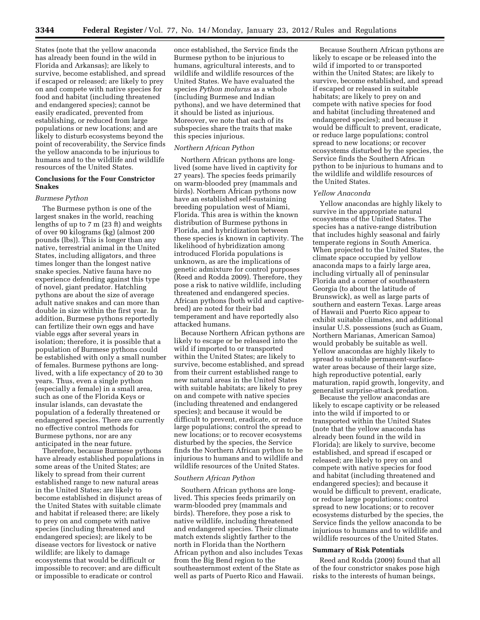States (note that the yellow anaconda has already been found in the wild in Florida and Arkansas); are likely to survive, become established, and spread if escaped or released; are likely to prey on and compete with native species for food and habitat (including threatened and endangered species); cannot be easily eradicated, prevented from establishing, or reduced from large populations or new locations; and are likely to disturb ecosystems beyond the point of recoverability, the Service finds the yellow anaconda to be injurious to humans and to the wildlife and wildlife resources of the United States.

# **Conclusions for the Four Constrictor Snakes**

## *Burmese Python*

The Burmese python is one of the largest snakes in the world, reaching lengths of up to 7 m (23 ft) and weights of over 90 kilograms (kg) (almost 200 pounds (lbs)). This is longer than any native, terrestrial animal in the United States, including alligators, and three times longer than the longest native snake species. Native fauna have no experience defending against this type of novel, giant predator. Hatchling pythons are about the size of average adult native snakes and can more than double in size within the first year. In addition, Burmese pythons reportedly can fertilize their own eggs and have viable eggs after several years in isolation; therefore, it is possible that a population of Burmese pythons could be established with only a small number of females. Burmese pythons are longlived, with a life expectancy of 20 to 30 years. Thus, even a single python (especially a female) in a small area, such as one of the Florida Keys or insular islands, can devastate the population of a federally threatened or endangered species. There are currently no effective control methods for Burmese pythons, nor are any anticipated in the near future.

Therefore, because Burmese pythons have already established populations in some areas of the United States; are likely to spread from their current established range to new natural areas in the United States; are likely to become established in disjunct areas of the United States with suitable climate and habitat if released there; are likely to prey on and compete with native species (including threatened and endangered species); are likely to be disease vectors for livestock or native wildlife; are likely to damage ecosystems that would be difficult or impossible to recover; and are difficult or impossible to eradicate or control

once established, the Service finds the Burmese python to be injurious to humans, agricultural interests, and to wildlife and wildlife resources of the United States. We have evaluated the species *Python molurus* as a whole (including Burmese and Indian pythons), and we have determined that it should be listed as injurious. Moreover, we note that each of its subspecies share the traits that make this species injurious.

#### *Northern African Python*

Northern African pythons are longlived (some have lived in captivity for 27 years). The species feeds primarily on warm-blooded prey (mammals and birds). Northern African pythons now have an established self-sustaining breeding population west of Miami, Florida. This area is within the known distribution of Burmese pythons in Florida, and hybridization between these species is known in captivity. The likelihood of hybridization among introduced Florida populations is unknown, as are the implications of genetic admixture for control purposes (Reed and Rodda 2009). Therefore, they pose a risk to native wildlife, including threatened and endangered species. African pythons (both wild and captivebred) are noted for their bad temperament and have reportedly also attacked humans.

Because Northern African pythons are likely to escape or be released into the wild if imported to or transported within the United States; are likely to survive, become established, and spread from their current established range to new natural areas in the United States with suitable habitats; are likely to prey on and compete with native species (including threatened and endangered species); and because it would be difficult to prevent, eradicate, or reduce large populations; control the spread to new locations; or to recover ecosystems disturbed by the species, the Service finds the Northern African python to be injurious to humans and to wildlife and wildlife resources of the United States.

# *Southern African Python*

Southern African pythons are longlived. This species feeds primarily on warm-blooded prey (mammals and birds). Therefore, they pose a risk to native wildlife, including threatened and endangered species. Their climate match extends slightly farther to the north in Florida than the Northern African python and also includes Texas from the Big Bend region to the southeasternmost extent of the State as well as parts of Puerto Rico and Hawaii.

Because Southern African pythons are likely to escape or be released into the wild if imported to or transported within the United States; are likely to survive, become established, and spread if escaped or released in suitable habitats; are likely to prey on and compete with native species for food and habitat (including threatened and endangered species); and because it would be difficult to prevent, eradicate, or reduce large populations; control spread to new locations; or recover ecosystems disturbed by the species, the Service finds the Southern African python to be injurious to humans and to the wildlife and wildlife resources of the United States.

# *Yellow Anaconda*

Yellow anacondas are highly likely to survive in the appropriate natural ecosystems of the United States. The species has a native-range distribution that includes highly seasonal and fairly temperate regions in South America. When projected to the United States, the climate space occupied by yellow anaconda maps to a fairly large area, including virtually all of peninsular Florida and a corner of southeastern Georgia (to about the latitude of Brunswick), as well as large parts of southern and eastern Texas. Large areas of Hawaii and Puerto Rico appear to exhibit suitable climates, and additional insular U.S. possessions (such as Guam, Northern Marianas, American Samoa) would probably be suitable as well. Yellow anacondas are highly likely to spread to suitable permanent-surfacewater areas because of their large size, high reproductive potential, early maturation, rapid growth, longevity, and generalist surprise-attack predation.

Because the yellow anacondas are likely to escape captivity or be released into the wild if imported to or transported within the United States (note that the yellow anaconda has already been found in the wild in Florida); are likely to survive, become established, and spread if escaped or released; are likely to prey on and compete with native species for food and habitat (including threatened and endangered species); and because it would be difficult to prevent, eradicate, or reduce large populations; control spread to new locations; or to recover ecosystems disturbed by the species, the Service finds the yellow anaconda to be injurious to humans and to wildlife and wildlife resources of the United States.

# **Summary of Risk Potentials**

Reed and Rodda (2009) found that all of the four constrictor snakes pose high risks to the interests of human beings,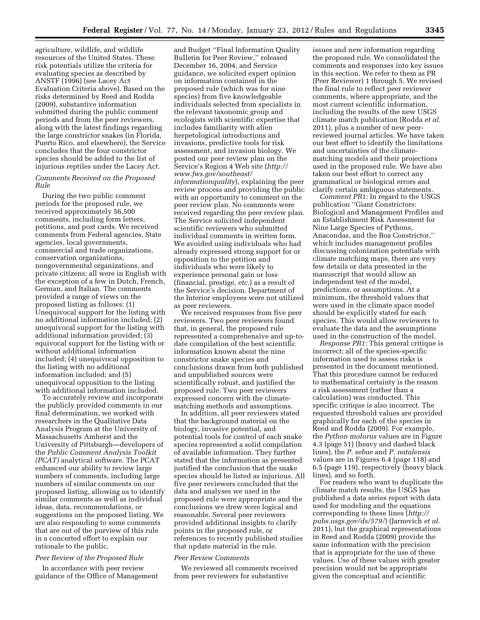agriculture, wildlife, and wildlife resources of the United States. These risk potentials utilize the criteria for evaluating species as described by ANSTF (1996) (see Lacey Act Evaluation Criteria above). Based on the risks determined by Reed and Rodda (2009), substantive information submitted during the public comment periods and from the peer reviewers, along with the latest findings regarding the large constrictor snakes (in Florida, Puerto Rico, and elsewhere), the Service concludes that the four constrictor species should be added to the list of injurious reptiles under the Lacey Act.

# *Comments Received on the Proposed Rule*

During the two public comment periods for the proposed rule, we received approximately 56,500 comments, including form letters, petitions, and post cards. We received comments from Federal agencies, State agencies, local governments, commercial and trade organizations, conservation organizations, nongovernmental organizations, and private citizens; all were in English with the exception of a few in Dutch, French, German, and Italian. The comments provided a range of views on the proposed listing as follows: (1) Unequivocal support for the listing with no additional information included; (2) unequivocal support for the listing with additional information provided; (3) equivocal support for the listing with or without additional information included; (4) unequivocal opposition to the listing with no additional information included; and (5) unequivocal opposition to the listing with additional information included.

To accurately review and incorporate the publicly provided comments in our final determination, we worked with researchers in the Qualitative Data Analysis Program at the University of Massachusetts Amherst and the University of Pittsburgh—developers of the *Public Comment Analysis Toolkit (PCAT)* analytical software. The PCAT enhanced our ability to review large numbers of comments, including large numbers of similar comments on our proposed listing, allowing us to identify similar comments as well as individual ideas, data, recommendations, or suggestions on the proposed listing. We are also responding to some comments that are out of the purview of this rule in a concerted effort to explain our rationale to the public.

# *Peer Review of the Proposed Rule*

In accordance with peer review guidance of the Office of Management

and Budget ''Final Information Quality Bulletin for Peer Review,'' released December 16, 2004, and Service guidance, we solicited expert opinion on information contained in the proposed rule (which was for nine species) from five knowledgeable individuals selected from specialists in the relevant taxonomic group and ecologists with scientific expertise that includes familiarity with alien herpetological introductions and invasions, predictive tools for risk assessment, and invasion biology. We posted our peer review plan on the Service's Region 4 Web site (*[http://](http://www.fws.gov/southeast/informationquality) [www.fws.gov/southeast/](http://www.fws.gov/southeast/informationquality)  [informationquality](http://www.fws.gov/southeast/informationquality)*), explaining the peer review process and providing the public with an opportunity to comment on the peer review plan. No comments were received regarding the peer review plan. The Service solicited independent scientific reviewers who submitted individual comments in written form. We avoided using individuals who had already expressed strong support for or opposition to the petition and individuals who were likely to experience personal gain or loss (financial, prestige, *etc.*) as a result of the Service's decision. Department of the Interior employees were not utilized as peer reviewers.

We received responses from five peer reviewers. Two peer reviewers found that, in general, the proposed rule represented a comprehensive and up-todate compilation of the best scientific information known about the nine constrictor snake species and conclusions drawn from both published and unpublished sources were scientifically robust, and justified the proposed rule. Two peer reviewers expressed concern with the climatematching methods and assumptions.

In addition, all peer reviewers stated that the background material on the biology, invasive potential, and potential tools for control of each snake species represented a solid compilation of available information. They further stated that the information as presented justified the conclusion that the snake species should be listed as injurious. All five peer reviewers concluded that the data and analyses we used in the proposed rule were appropriate and the conclusions we drew were logical and reasonable. Several peer reviewers provided additional insights to clarify points in the proposed rule, or references to recently published studies that update material in the rule.

# *Peer Review Comments*

We reviewed all comments received from peer reviewers for substantive

issues and new information regarding the proposed rule. We consolidated the comments and responses into key issues in this section. We refer to them as PR (Peer Reviewer) 1 through 5. We revised the final rule to reflect peer reviewer comments, where appropriate, and the most current scientific information, including the results of the new USGS climate match publication (Rodda *et al.*  2011), plus a number of new peerreviewed journal articles. We have taken our best effort to identify the limitations and uncertainties of the climatematching models and their projections used in the proposed rule. We have also taken our best effort to correct any grammatical or biological errors and clarify certain ambiguous statements.

*Comment PR1:* In regard to the USGS publication ''Giant Constrictors: Biological and Management Profiles and an Establishment Risk Assessment for Nine Large Species of Pythons, Anacondas, and the Boa Constrictor,'' which includes management profiles discussing colonization potentials with climate matching maps, there are very few details or data presented in the manuscript that would allow an independent test of the model, predictions, or assumptions. At a minimum, the threshold values that were used in the climate space model should be explicitly stated for each species. This would allow reviewers to evaluate the data and the assumptions used in the construction of the model.

*Response PR1:* This general critique is incorrect; all of the species-specific information used to assess risks is presented in the document mentioned. That this procedure cannot be reduced to mathematical certainty is the reason a risk assessment (rather than a calculation) was conducted. This specific critique is also incorrect. The requested threshold values are provided graphically for each of the species in Reed and Rodda (2009). For example, the *Python molurus* values are in Figure 4.3 (page 51) (heavy and dashed black lines), the *P. sebae* and *P. natalensis*  values are in Figures 6.4 (page 118) and 6.5 (page 119), respectively (heavy black lines), and so forth.

For readers who want to duplicate the climate match results, the USGS has published a data series report with data used for modeling and the equations corresponding to these lines (*[http://](http://pubs.usgs.gov/ds/579/) [pubs.usgs.gov/ds/579/](http://pubs.usgs.gov/ds/579/)*) (Jarnevich *et al.*  2011), but the graphical representations in Reed and Rodda (2009) provide the same information with the precision that is appropriate for the use of these values. Use of these values with greater precision would not be appropriate given the conceptual and scientific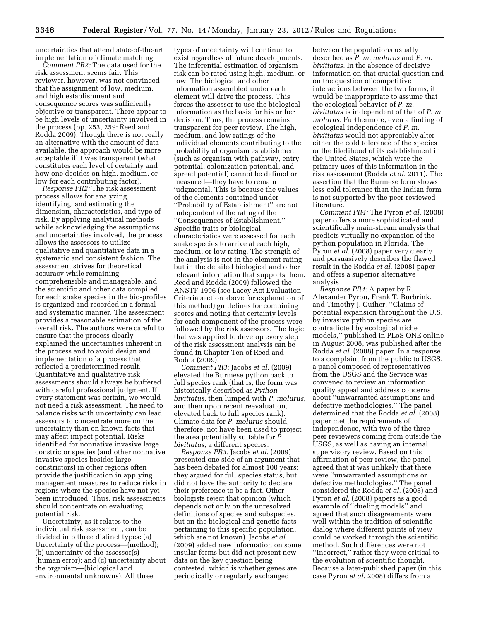uncertainties that attend state-of-the-art implementation of climate matching.

*Comment PR2:* The data used for the risk assessment seems fair. This reviewer, however, was not convinced that the assignment of low, medium, and high establishment and consequence scores was sufficiently objective or transparent. There appear to be high levels of uncertainty involved in the process (pp. 253, 259: Reed and Rodda 2009). Though there is not really an alternative with the amount of data available, the approach would be more acceptable if it was transparent (what constitutes each level of certainty and how one decides on high, medium, or low for each contributing factor).

*Response PR2:* The risk assessment process allows for analyzing, identifying, and estimating the dimension, characteristics, and type of risk. By applying analytical methods while acknowledging the assumptions and uncertainties involved, the process allows the assessors to utilize qualitative and quantitative data in a systematic and consistent fashion. The assessment strives for theoretical accuracy while remaining comprehensible and manageable, and the scientific and other data compiled for each snake species in the bio-profiles is organized and recorded in a formal and systematic manner. The assessment provides a reasonable estimation of the overall risk. The authors were careful to ensure that the process clearly explained the uncertainties inherent in the process and to avoid design and implementation of a process that reflected a predetermined result. Quantitative and qualitative risk assessments should always be buffered with careful professional judgment. If every statement was certain, we would not need a risk assessment. The need to balance risks with uncertainty can lead assessors to concentrate more on the uncertainty than on known facts that may affect impact potential. Risks identified for nonnative invasive large constrictor species (and other nonnative invasive species besides large constrictors) in other regions often provide the justification in applying management measures to reduce risks in regions where the species have not yet been introduced. Thus, risk assessments should concentrate on evaluating potential risk.

Uncertainty, as it relates to the individual risk assessment, can be divided into three distinct types: (a) Uncertainty of the process—(method); (b) uncertainty of the assessor(s)— (human error); and (c) uncertainty about the organism—(biological and environmental unknowns). All three

types of uncertainty will continue to exist regardless of future developments. The inferential estimation of organism risk can be rated using high, medium, or low. The biological and other information assembled under each element will drive the process. This forces the assessor to use the biological information as the basis for his or her decision. Thus, the process remains transparent for peer review. The high, medium, and low ratings of the individual elements contributing to the probability of organism establishment (such as organism with pathway, entry potential, colonization potential, and spread potential) cannot be defined or measured—they have to remain judgmental. This is because the values of the elements contained under ''Probability of Establishment'' are not independent of the rating of the ''Consequences of Establishment.'' Specific traits or biological characteristics were assessed for each snake species to arrive at each high, medium, or low rating. The strength of the analysis is not in the element-rating but in the detailed biological and other relevant information that supports them. Reed and Rodda (2009) followed the ANSTF 1996 (see Lacey Act Evaluation Criteria section above for explanation of this method) guidelines for combining scores and noting that certainty levels for each component of the process were followed by the risk assessors. The logic that was applied to develop every step of the risk assessment analysis can be found in Chapter Ten of Reed and Rodda (2009).

*Comment PR3:* Jacobs *et al.* (2009) elevated the Burmese python back to full species rank (that is, the form was historically described as *Python bivittatus,* then lumped with *P. molurus,*  and then upon recent reevaluation, elevated back to full species rank). Climate data for *P. molurus* should, therefore, not have been used to project the area potentially suitable for *P. bivittatus,* a different species.

*Response PR3:* Jacobs *et al.* (2009) presented one side of an argument that has been debated for almost 100 years; they argued for full species status, but did not have the authority to declare their preference to be a fact. Other biologists reject that opinion (which depends not only on the unresolved definitions of species and subspecies, but on the biological and genetic facts pertaining to this specific population, which are not known). Jacobs *et al.*  (2009) added new information on some insular forms but did not present new data on the key question being contested, which is whether genes are periodically or regularly exchanged

between the populations usually described as *P. m. molurus* and *P. m. bivittatus.* In the absence of decisive information on that crucial question and on the question of competitive interactions between the two forms, it would be inappropriate to assume that the ecological behavior of *P. m. bivittatus* is independent of that of *P. m. molurus.* Furthermore, even a finding of ecological independence of *P. m. bivittatus* would not appreciably alter either the cold tolerance of the species or the likelihood of its establishment in the United States, which were the primary uses of this information in the risk assessment (Rodda *et al.* 2011). The assertion that the Burmese form shows less cold tolerance than the Indian form is not supported by the peer-reviewed literature.

*Comment PR4:* The Pyron *et al.* (2008) paper offers a more sophisticated and scientifically main-stream analysis that predicts virtually no expansion of the python population in Florida. The Pyron *et al.* (2008) paper very clearly and persuasively describes the flawed result in the Rodda *et al.* (2008) paper and offers a superior alternative analysis.

*Response PR4:* A paper by R. Alexander Pyron, Frank T. Burbrink, and Timothy J. Guiher, ''Claims of potential expansion throughout the U.S. by invasive python species are contradicted by ecological niche models,*''* published in PLoS ONE online in August 2008, was published after the Rodda *et al.* (2008) paper. In a response to a complaint from the public to USGS, a panel composed of representatives from the USGS and the Service was convened to review an information quality appeal and address concerns about ''unwarranted assumptions and defective methodologies.'' The panel determined that the Rodda *et al.* (2008) paper met the requirements of independence, with two of the three peer reviewers coming from outside the USGS, as well as having an internal supervisory review. Based on this affirmation of peer review, the panel agreed that it was unlikely that there were ''unwarranted assumptions or defective methodologies.'' The panel considered the Rodda *et al.* (2008) and Pyron *et al.* (2008) papers as a good example of ''dueling models'' and agreed that such disagreements were well within the tradition of scientific dialog where different points of view could be worked through the scientific method. Such differences were not ''incorrect,'' rather they were critical to the evolution of scientific thought. Because a later-published paper (in this case Pyron *et al.* 2008) differs from a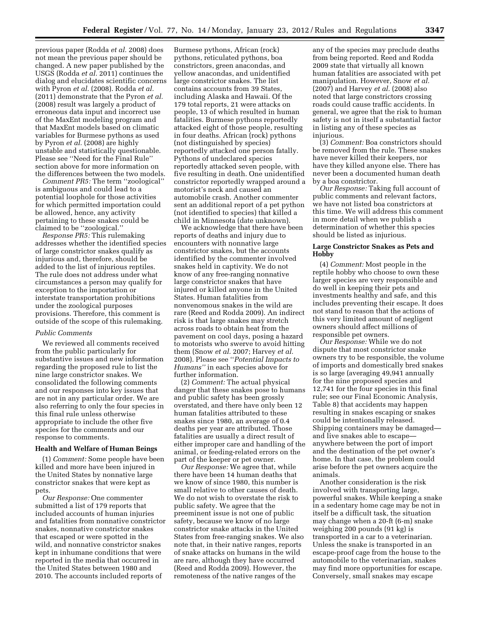previous paper (Rodda *et al.* 2008) does not mean the previous paper should be changed. A new paper published by the USGS (Rodda *et al.* 2011) continues the dialog and elucidates scientific concerns with Pyron *et al.* (2008). Rodda *et al.*  (2011) demonstrate that the Pyron *et al.*  (2008) result was largely a product of erroneous data input and incorrect use of the MaxEnt modeling program and that MaxEnt models based on climatic variables for Burmese pythons as used by Pyron *et al.* (2008) are highly unstable and statistically questionable. Please see ''Need for the Final Rule'' section above for more information on the differences between the two models.

*Comment PR5:* The term ''zoological'' is ambiguous and could lead to a potential loophole for those activities for which permitted importation could be allowed, hence, any activity pertaining to these snakes could be claimed to be ''zoological.''

*Response PR5:* This rulemaking addresses whether the identified species of large constrictor snakes qualify as injurious and, therefore, should be added to the list of injurious reptiles. The rule does not address under what circumstances a person may qualify for exception to the importation or interstate transportation prohibitions under the zoological purposes provisions. Therefore, this comment is outside of the scope of this rulemaking.

# *Public Comments*

We reviewed all comments received from the public particularly for substantive issues and new information regarding the proposed rule to list the nine large constrictor snakes. We consolidated the following comments and our responses into key issues that are not in any particular order. We are also referring to only the four species in this final rule unless otherwise appropriate to include the other five species for the comments and our response to comments.

#### **Health and Welfare of Human Beings**

(1) *Comment:* Some people have been killed and more have been injured in the United States by nonnative large constrictor snakes that were kept as pets.

*Our Response:* One commenter submitted a list of 179 reports that included accounts of human injuries and fatalities from nonnative constrictor snakes, nonnative constrictor snakes that escaped or were spotted in the wild, and nonnative constrictor snakes kept in inhumane conditions that were reported in the media that occurred in the United States between 1980 and 2010. The accounts included reports of

Burmese pythons, African (rock) pythons, reticulated pythons, boa constrictors, green anacondas, and yellow anacondas, and unidentified large constrictor snakes. The list contains accounts from 39 States, including Alaska and Hawaii. Of the 179 total reports, 21 were attacks on people, 13 of which resulted in human fatalities. Burmese pythons reportedly attacked eight of those people, resulting in four deaths. African (rock) pythons (not distinguished by species) reportedly attacked one person fatally. Pythons of undeclared species reportedly attacked seven people, with five resulting in death. One unidentified constrictor reportedly wrapped around a motorist's neck and caused an automobile crash. Another commenter sent an additional report of a pet python (not identified to species) that killed a child in Minnesota (date unknown).

We acknowledge that there have been reports of deaths and injury due to encounters with nonnative large constrictor snakes, but the accounts identified by the commenter involved snakes held in captivity. We do not know of any free-ranging nonnative large constrictor snakes that have injured or killed anyone in the United States. Human fatalities from nonvenomous snakes in the wild are rare (Reed and Rodda 2009). An indirect risk is that large snakes may stretch across roads to obtain heat from the pavement on cool days, posing a hazard to motorists who swerve to avoid hitting them (Snow *et al.* 2007; Harvey *et al.*  2008). Please see ''*Potential Impacts to Humans''* in each species above for further information.

(2) *Comment:* The actual physical danger that these snakes pose to humans and public safety has been grossly overstated, and there have only been 12 human fatalities attributed to these snakes since 1980, an average of 0.4 deaths per year are attributed. Those fatalities are usually a direct result of either improper care and handling of the animal, or feeding-related errors on the part of the keeper or pet owner.

*Our Response:* We agree that, while there have been 14 human deaths that we know of since 1980, this number is small relative to other causes of death. We do not wish to overstate the risk to public safety. We agree that the preeminent issue is not one of public safety, because we know of no large constrictor snake attacks in the United States from free-ranging snakes. We also note that, in their native ranges, reports of snake attacks on humans in the wild are rare, although they have occurred (Reed and Rodda 2009). However, the remoteness of the native ranges of the

any of the species may preclude deaths from being reported. Reed and Rodda 2009 state that virtually all known human fatalities are associated with pet manipulation. However, Snow *et al.*  (2007) and Harvey *et al.* (2008) also noted that large constrictors crossing roads could cause traffic accidents. In general, we agree that the risk to human safety is not in itself a substantial factor in listing any of these species as injurious.

(3) *Comment:* Boa constrictors should be removed from the rule. These snakes have never killed their keepers, nor have they killed anyone else. There has never been a documented human death by a boa constrictor.

*Our Response:* Taking full account of public comments and relevant factors, we have not listed boa constrictors at this time. We will address this comment in more detail when we publish a determination of whether this species should be listed as injurious.

#### **Large Constrictor Snakes as Pets and Hobby**

(4) *Comment:* Most people in the reptile hobby who choose to own these larger species are very responsible and do well in keeping their pets and investments healthy and safe, and this includes preventing their escape. It does not stand to reason that the actions of this very limited amount of negligent owners should affect millions of responsible pet owners.

*Our Response:* While we do not dispute that most constrictor snake owners try to be responsible, the volume of imports and domestically bred snakes is so large (averaging 49,941 annually for the nine proposed species and 12,741 for the four species in this final rule; see our Final Economic Analysis, Table 8) that accidents may happen resulting in snakes escaping or snakes could be intentionally released. Shipping containers may be damaged and live snakes able to escape anywhere between the port of import and the destination of the pet owner's home. In that case, the problem could arise before the pet owners acquire the animals.

Another consideration is the risk involved with transporting large, powerful snakes. While keeping a snake in a sedentary home cage may be not in itself be a difficult task, the situation may change when a 20-ft (6-m) snake weighing 200 pounds (91 kg) is transported in a car to a veterinarian. Unless the snake is transported in an escape-proof cage from the house to the automobile to the veterinarian, snakes may find more opportunities for escape. Conversely, small snakes may escape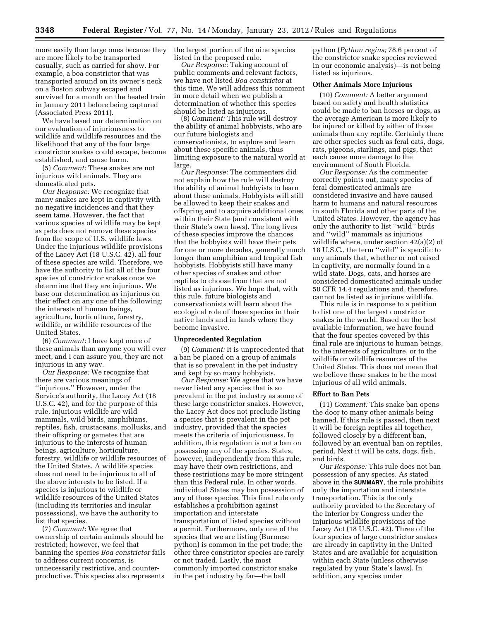more easily than large ones because they are more likely to be transported casually, such as carried for show. For example, a boa constrictor that was transported around on its owner's neck on a Boston subway escaped and survived for a month on the heated train in January 2011 before being captured (Associated Press 2011).

We have based our determination on our evaluation of injuriousness to wildlife and wildlife resources and the likelihood that any of the four large constrictor snakes could escape, become established, and cause harm.

(5) *Comment:* These snakes are not injurious wild animals. They are domesticated pets.

*Our Response:* We recognize that many snakes are kept in captivity with no negative incidences and that they seem tame. However, the fact that various species of wildlife may be kept as pets does not remove these species from the scope of U.S. wildlife laws. Under the injurious wildlife provisions of the Lacey Act (18 U.S.C. 42), all four of these species are wild. Therefore, we have the authority to list all of the four species of constrictor snakes once we determine that they are injurious. We base our determination as injurious on their effect on any one of the following: the interests of human beings, agriculture, horticulture, forestry, wildlife, or wildlife resources of the United States.

(6) *Comment:* I have kept more of these animals than anyone you will ever meet, and I can assure you, they are not injurious in any way.

*Our Response:* We recognize that there are various meanings of ''injurious.'' However, under the Service's authority, the Lacey Act (18 U.S.C. 42), and for the purpose of this rule, injurious wildlife are wild mammals, wild birds, amphibians, reptiles, fish, crustaceans, mollusks, and their offspring or gametes that are injurious to the interests of human beings, agriculture, horticulture, forestry, wildlife or wildlife resources of the United States. A wildlife species does not need to be injurious to all of the above interests to be listed. If a species is injurious to wildlife or wildlife resources of the United States (including its territories and insular possessions), we have the authority to list that species.

(7) *Comment:* We agree that ownership of certain animals should be restricted; however, we feel that banning the species *Boa constrictor* fails to address current concerns, is unnecessarily restrictive, and counterproductive. This species also represents

the largest portion of the nine species listed in the proposed rule.

*Our Response:* Taking account of public comments and relevant factors, we have not listed *Boa constrictor* at this time. We will address this comment in more detail when we publish a determination of whether this species should be listed as injurious.

(8) *Comment:* This rule will destroy the ability of animal hobbyists, who are our future biologists and conservationists, to explore and learn about these specific animals, thus limiting exposure to the natural world at large.

*Our Response:* The commenters did not explain how the rule will destroy the ability of animal hobbyists to learn about these animals. Hobbyists will still be allowed to keep their snakes and offspring and to acquire additional ones within their State (and consistent with their State's own laws). The long lives of these species improve the chances that the hobbyists will have their pets for one or more decades, generally much longer than amphibian and tropical fish hobbyists. Hobbyists still have many other species of snakes and other reptiles to choose from that are not listed as injurious. We hope that, with this rule, future biologists and conservationists will learn about the ecological role of these species in their native lands and in lands where they become invasive.

## **Unprecedented Regulation**

(9) *Comment:* It is unprecedented that a ban be placed on a group of animals that is so prevalent in the pet industry and kept by so many hobbyists.

*Our Response:* We agree that we have never listed any species that is so prevalent in the pet industry as some of these large constrictor snakes. However, the Lacey Act does not preclude listing a species that is prevalent in the pet industry, provided that the species meets the criteria of injuriousness. In addition, this regulation is not a ban on possessing any of the species. States, however, independently from this rule, may have their own restrictions, and these restrictions may be more stringent than this Federal rule. In other words, individual States may ban possession of any of these species. This final rule only establishes a prohibition against importation and interstate transportation of listed species without a permit. Furthermore, only one of the species that we are listing (Burmese python) is common in the pet trade; the other three constrictor species are rarely or not traded. Lastly, the most commonly imported constrictor snake in the pet industry by far—the ball

python (*Python regius;* 78.6 percent of the constrictor snake species reviewed in our economic analysis)—is not being listed as injurious.

# **Other Animals More Injurious**

(10) *Comment:* A better argument based on safety and health statistics could be made to ban horses or dogs, as the average American is more likely to be injured or killed by either of those animals than any reptile. Certainly there are other species such as feral cats, dogs, rats, pigeons, starlings, and pigs, that each cause more damage to the environment of South Florida.

*Our Response:* As the commenter correctly points out, many species of feral domesticated animals are considered invasive and have caused harm to humans and natural resources in south Florida and other parts of the United States. However, the agency has only the authority to list ''wild'' birds and ''wild'' mammals as injurious wildlife where, under section 42(a)(2) of 18 U.S.C., the term ''wild'' is specific to any animals that, whether or not raised in captivity, are normally found in a wild state. Dogs, cats, and horses are considered domesticated animals under 50 CFR 14.4 regulations and, therefore, cannot be listed as injurious wildlife.

This rule is in response to a petition to list one of the largest constrictor snakes in the world. Based on the best available information, we have found that the four species covered by this final rule are injurious to human beings, to the interests of agriculture, or to the wildlife or wildlife resources of the United States. This does not mean that we believe these snakes to be the most injurious of all wild animals.

#### **Effort to Ban Pets**

(11) *Comment:* This snake ban opens the door to many other animals being banned. If this rule is passed, then next it will be foreign reptiles all together, followed closely by a different ban, followed by an eventual ban on reptiles, period. Next it will be cats, dogs, fish, and birds.

*Our Response:* This rule does not ban possession of any species. As stated above in the **SUMMARY**, the rule prohibits only the importation and interstate transportation. This is the only authority provided to the Secretary of the Interior by Congress under the injurious wildlife provisions of the Lacey Act (18 U.S.C. 42). Three of the four species of large constrictor snakes are already in captivity in the United States and are available for acquisition within each State (unless otherwise regulated by your State's laws). In addition, any species under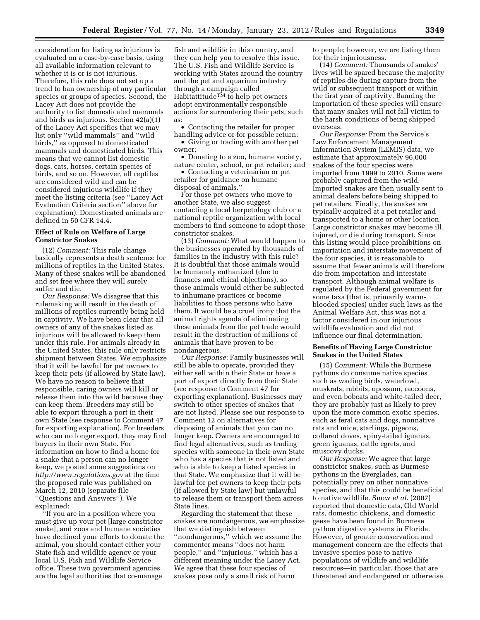consideration for listing as injurious is evaluated on a case-by-case basis, using all available information relevant to whether it is or is not injurious. Therefore, this rule does not set up a trend to ban ownership of any particular species or groups of species. Second, the Lacey Act does not provide the authority to list domesticated mammals and birds as injurious. Section 42(a)(1) of the Lacey Act specifies that we may list only ''wild mammals'' and ''wild birds,'' as opposed to domesticated mammals and domesticated birds. This means that we cannot list domestic dogs, cats, horses, certain species of birds, and so on. However, all reptiles are considered wild and can be considered injurious wildlife if they meet the listing criteria (see ''Lacey Act Evaluation Criteria section'' above for explanation). Domesticated animals are defined in 50 CFR 14.4.

# **Effect of Rule on Welfare of Large Constrictor Snakes**

(12) *Comment:* This rule change basically represents a death sentence for millions of reptiles in the United States. Many of these snakes will be abandoned and set free where they will surely suffer and die.

*Our Response:* We disagree that this rulemaking will result in the death of millions of reptiles currently being held in captivity. We have been clear that all owners of any of the snakes listed as injurious will be allowed to keep them under this rule. For animals already in the United States, this rule only restricts shipment between States. We emphasize that it will be lawful for pet owners to keep their pets (if allowed by State law). We have no reason to believe that responsible, caring owners will kill or release them into the wild because they can keep them. Breeders may still be able to export through a port in their own State (see response to Comment 47 for exporting explanation). For breeders who can no longer export, they may find buyers in their own State. For information on how to find a home for a snake that a person can no longer keep, we posted some suggestions on *<http://www.regulations.gov>* at the time the proposed rule was published on March 12, 2010 (separate file ''Questions and Answers''). We explained:

''If you are in a position where you must give up your pet [large constrictor snake], and zoos and humane societies have declined your efforts to donate the animal, you should contact either your State fish and wildlife agency or your local U.S. Fish and Wildlife Service office. These two government agencies are the legal authorities that co-manage

fish and wildlife in this country, and they can help you to resolve this issue. The U.S. Fish and Wildlife Service is working with States around the country and the pet and aquarium industry through a campaign called Habitattitude<sup>TM</sup> to help pet owners adopt environmentally responsible actions for surrendering their pets, such as:

• Contacting the retailer for proper handling advice or for possible return;

• Giving or trading with another pet owner;

• Donating to a zoo, humane society, nature center, school, or pet retailer; and

• Contacting a veterinarian or pet retailer for guidance on humane disposal of animals.''

For those pet owners who move to another State, we also suggest contacting a local herpetology club or a national reptile organization with local members to find someone to adopt those constrictor snakes.

(13) *Comment:* What would happen to the businesses operated by thousands of families in the industry with this rule? It is doubtful that those animals would be humanely euthanized (due to finances and ethical objections), so those animals would either be subjected to inhumane practices or become liabilities to those persons who have them. It would be a cruel irony that the animal rights agenda of eliminating these animals from the pet trade would result in the destruction of millions of animals that have proven to be nondangerous.

*Our Response:* Family businesses will still be able to operate, provided they either sell within their State or have a port of export directly from their State (see response to Comment 47 for exporting explanation). Businesses may switch to other species of snakes that are not listed. Please see our response to Comment 12 on alternatives for disposing of animals that you can no longer keep. Owners are encouraged to find legal alternatives, such as trading species with someone in their own State who has a species that is not listed and who is able to keep a listed species in that State. We emphasize that it will be lawful for pet owners to keep their pets (if allowed by State law) but unlawful to release them or transport them across State lines.

Regarding the statement that these snakes are nondangerous, we emphasize that we distinguish between ''nondangerous,'' which we assume the commenter means ''does not harm people,'' and ''injurious,'' which has a different meaning under the Lacey Act. We agree that these four species of snakes pose only a small risk of harm

to people; however, we are listing them for their injuriousness.

(14) *Comment:* Thousands of snakes' lives will be spared because the majority of reptiles die during capture from the wild or subsequent transport or within the first year of captivity. Banning the importation of these species will ensure that many snakes will not fall victim to the harsh conditions of being shipped overseas.

*Our Response:* From the Service's Law Enforcement Management Information System (LEMIS) data, we estimate that approximately 96,000 snakes of the four species were imported from 1999 to 2010. Some were probably captured from the wild. Imported snakes are then usually sent to animal dealers before being shipped to pet retailers. Finally, the snakes are typically acquired at a pet retailer and transported to a home or other location. Large constrictor snakes may become ill, injured, or die during transport. Since this listing would place prohibitions on importation and interstate movement of the four species, it is reasonable to assume that fewer animals will therefore die from importation and interstate transport. Although animal welfare is regulated by the Federal government for some taxa (that is, primarily warmblooded species) under such laws as the Animal Welfare Act, this was not a factor considered in our injurious wildlife evaluation and did not influence our final determination.

# **Benefits of Having Large Constrictor Snakes in the United States**

(15) *Comment:* While the Burmese pythons do consume native species such as wading birds, waterfowl, muskrats, rabbits, opossum, raccoons, and even bobcats and white-tailed deer, they are probably just as likely to prey upon the more common exotic species, such as feral cats and dogs, nonnative rats and mice, starlings, pigeons, collared doves, spiny-tailed iguanas, green iguanas, cattle egrets, and muscovy ducks.

*Our Response:* We agree that large constrictor snakes, such as Burmese pythons in the Everglades, can potentially prey on other nonnative species, and that this could be beneficial to native wildlife. Snow *et al.* (2007) reported that domestic cats, Old World rats, domestic chickens, and domestic geese have been found in Burmese python digestive systems in Florida. However, of greater conservation and management concern are the effects that invasive species pose to native populations of wildlife and wildlife resources—in particular, those that are threatened and endangered or otherwise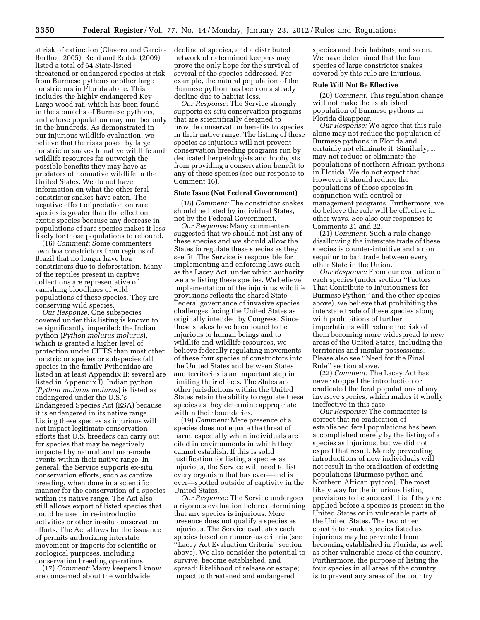at risk of extinction (Clavero and Garcia-Berthou 2005). Reed and Rodda (2009) listed a total of 64 State-listed threatened or endangered species at risk from Burmese pythons or other large constrictors in Florida alone. This includes the highly endangered Key Largo wood rat, which has been found in the stomachs of Burmese pythons, and whose population may number only in the hundreds. As demonstrated in our injurious wildlife evaluation, we believe that the risks posed by large constrictor snakes to native wildlife and wildlife resources far outweigh the possible benefits they may have as predators of nonnative wildlife in the United States. We do not have information on what the other feral constrictor snakes have eaten. The negative effect of predation on rare species is greater than the effect on exotic species because any decrease in populations of rare species makes it less likely for those populations to rebound.

(16) *Comment:* Some commenters own boa constrictors from regions of Brazil that no longer have boa constrictors due to deforestation. Many of the reptiles present in captive collections are representative of vanishing bloodlines of wild populations of these species. They are conserving wild species.

*Our Response:* One subspecies covered under this listing is known to be significantly imperiled: the Indian python (*Python molurus molurus*), which is granted a higher level of protection under CITES than most other constrictor species or subspecies (all species in the family Pythonidae are listed in at least Appendix II; several are listed in Appendix I). Indian python (*Python molurus molurus*) is listed as endangered under the U.S.'s Endangered Species Act (ESA) because it is endangered in its native range. Listing these species as injurious will not impact legitimate conservation efforts that U.S. breeders can carry out for species that may be negatively impacted by natural and man-made events within their native range. In general, the Service supports ex-situ conservation efforts, such as captive breeding, when done in a scientific manner for the conservation of a species within its native range. The Act also still allows export of listed species that could be used in re-introduction activities or other in-situ conservation efforts. The Act allows for the issuance of permits authorizing interstate movement or imports for scientific or zoological purposes, including conservation breeding operations.

(17) *Comment:* Many keepers I know are concerned about the worldwide

decline of species, and a distributed network of determined keepers may prove the only hope for the survival of several of the species addressed. For example, the natural population of the Burmese python has been on a steady decline due to habitat loss.

*Our Response:* The Service strongly supports ex-situ conservation programs that are scientifically designed to provide conservation benefits to species in their native range. The listing of these species as injurious will not prevent conservation breeding programs run by dedicated herpetologists and hobbyists from providing a conservation benefit to any of these species (see our response to Comment 16).

## **State Issue (Not Federal Government)**

(18) *Comment:* The constrictor snakes should be listed by individual States, not by the Federal Government.

*Our Response:* Many commenters suggested that we should not list any of these species and we should allow the States to regulate these species as they see fit. The Service is responsible for implementing and enforcing laws such as the Lacey Act, under which authority we are listing these species. We believe implementation of the injurious wildlife provisions reflects the shared State-Federal governance of invasive species challenges facing the United States as originally intended by Congress. Since these snakes have been found to be injurious to human beings and to wildlife and wildlife resources, we believe federally regulating movements of these four species of constrictors into the United States and between States and territories is an important step in limiting their effects. The States and other jurisdictions within the United States retain the ability to regulate these species as they determine appropriate within their boundaries.

(19) *Comment:* Mere presence of a species does not equate the threat of harm, especially when individuals are cited in environments in which they cannot establish. If this is solid justification for listing a species as injurious, the Service will need to list every organism that has ever—and is ever—spotted outside of captivity in the United States.

*Our Response:* The Service undergoes a rigorous evaluation before determining that any species is injurious. Mere presence does not qualify a species as injurious. The Service evaluates each species based on numerous criteria (see ''Lacey Act Evaluation Criteria'' section above). We also consider the potential to survive, become established, and spread; likelihood of release or escape; impact to threatened and endangered

species and their habitats; and so on. We have determined that the four species of large constrictor snakes covered by this rule are injurious.

# **Rule Will Not Be Effective**

(20) *Comment:* This regulation change will not make the established population of Burmese pythons in Florida disappear.

*Our Response:* We agree that this rule alone may not reduce the population of Burmese pythons in Florida and certainly not eliminate it. Similarly, it may not reduce or eliminate the populations of northern African pythons in Florida. We do not expect that. However it should reduce the populations of those species in conjunction with control or management programs. Furthermore, we do believe the rule will be effective in other ways. See also our responses to Comments 21 and 22.

(21) *Comment:* Such a rule change disallowing the interstate trade of these species is counter-intuitive and a non sequitur to ban trade between every other State in the Union.

*Our Response:* From our evaluation of each species (under section ''Factors That Contribute to Injuriousness for Burmese Python'' and the other species above), we believe that prohibiting the interstate trade of these species along with prohibitions of further importations will reduce the risk of them becoming more widespread to new areas of the United States, including the territories and insular possessions. Please also see ''Need for the Final Rule'' section above.

(22) *Comment:* The Lacey Act has never stopped the introduction or eradicated the feral populations of any invasive species, which makes it wholly ineffective in this case.

*Our Response:* The commenter is correct that no eradication of established feral populations has been accomplished merely by the listing of a species as injurious, but we did not expect that result. Merely preventing introductions of new individuals will not result in the eradication of existing populations (Burmese python and Northern African python). The most likely way for the injurious listing provisions to be successful is if they are applied before a species is present in the United States or in vulnerable parts of the United States. The two other constrictor snake species listed as injurious may be prevented from becoming established in Florida, as well as other vulnerable areas of the country. Furthermore, the purpose of listing the four species in all areas of the country is to prevent any areas of the country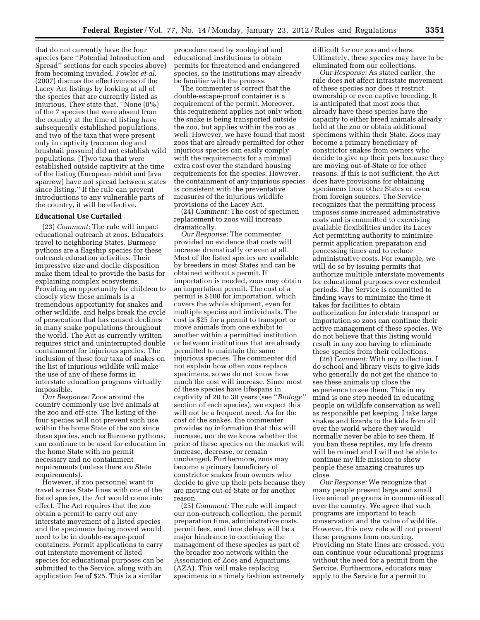that do not currently have the four species (see ''Potential Introduction and Spread'' sections for each species above) from becoming invaded. Fowler *et al.*  (2007) discuss the effectiveness of the Lacey Act listings by looking at all of the species that are currently listed as injurious. They state that, ''None (0%) of the 7 species that were absent from the country at the time of listing have subsequently established populations, and two of the taxa that were present only in captivity (raccoon dog and brushtail possum) did not establish wild populations. [T]wo taxa that were established outside captivity at the time of the listing (European rabbit and Java sparrow) have not spread between states since listing.'' If the rule can prevent introductions to any vulnerable parts of the country, it will be effective.

# **Educational Use Curtailed**

(23) *Comment:* The rule will impact educational outreach at zoos. Educators travel to neighboring States. Burmese pythons are a flagship species for these outreach education activities. Their impressive size and docile disposition make them ideal to provide the basis for explaining complex ecosystems. Providing an opportunity for children to closely view these animals is a tremendous opportunity for snakes and other wildlife, and helps break the cycle of persecution that has caused declines in many snake populations throughout the world. The Act as currently written requires strict and uninterrupted double containment for injurious species. The inclusion of these four taxa of snakes on the list of injurious wildlife will make the use of any of these forms in interstate education programs virtually impossible.

*Our Response:* Zoos around the country commonly use live animals at the zoo and off-site. The listing of the four species will not prevent such use within the home State of the zoo since these species, such as Burmese pythons, can continue to be used for education in the home State with no permit necessary and no containment requirements (unless there are State requirements).

However, if zoo personnel want to travel across State lines with one of the listed species, the Act would come into effect. The Act requires that the zoo obtain a permit to carry out any interstate movement of a listed species and the specimens being moved would need to be in double-escape-proof containers. Permit applications to carry out interstate movement of listed species for educational purposes can be submitted to the Service, along with an application fee of \$25. This is a similar

procedure used by zoological and educational institutions to obtain permits for threatened and endangered species, so the institutions may already be familiar with the process.

The commenter is correct that the double-escape-proof container is a requirement of the permit. Moreover, this requirement applies not only when the snake is being transported outside the zoo, but applies within the zoo as well. However, we have found that most zoos that are already permitted for other injurious species can easily comply with the requirements for a minimal extra cost over the standard housing requirements for the species. However, the containment of any injurious species is consistent with the preventative measures of the injurious wildlife provisions of the Lacey Act.

(24) *Comment:* The cost of specimen replacement to zoos will increase dramatically.

*Our Response:* The commenter provided no evidence that costs will increase dramatically or even at all. Most of the listed species are available by breeders in most States and can be obtained without a permit. If importation is needed, zoos may obtain an importation permit. The cost of a permit is \$100 for importation, which covers the whole shipment, even for multiple species and individuals. The cost is \$25 for a permit to transport or move animals from one exhibit to another within a permitted institution or between institutions that are already permitted to maintain the same injurious species. The commenter did not explain how often zoos replace specimens, so we do not know how much the cost will increase. Since most of these species have lifespans in captivity of 20 to 30 years (see ''*Biology''*  section of each species), we expect this will not be a frequent need. As for the cost of the snakes, the commenter provides no information that this will increase, nor do we know whether the price of these species on the market will increase, decrease, or remain unchanged. Furthermore, zoos may become a primary beneficiary of constrictor snakes from owners who decide to give up their pets because they are moving out-of-State or for another reason.

(25) *Comment:* The rule will impact our non-outreach collection, the permit preparation time, administrative costs, permit fees, and time delays will be a major hindrance to continuing the management of these species as part of the broader zoo network within the Association of Zoos and Aquariums (AZA). This will make replacing specimens in a timely fashion extremely difficult for our zoo and others. Ultimately, these species may have to be eliminated from our collections.

*Our Response:* As stated earlier, the rule does not affect intrastate movement of these species nor does it restrict ownership or even captive breeding. It is anticipated that most zoos that already have these species have the capacity to either breed animals already held at the zoo or obtain additional specimens within their State. Zoos may become a primary beneficiary of constrictor snakes from owners who decide to give up their pets because they are moving out-of-State or for other reasons. If this is not sufficient, the Act does have provisions for obtaining specimens from other States or even from foreign sources. The Service recognizes that the permitting process imposes some increased administrative costs and is committed to exercising available flexibilities under its Lacey Act permitting authority to minimize permit application preparation and processing times and to reduce administrative costs. For example, we will do so by issuing permits that authorize multiple interstate movements for educational purposes over extended periods. The Service is committed to finding ways to minimize the time it takes for facilities to obtain authorization for interstate transport or importation so zoos can continue their active management of these species. We do not believe that this listing would result in any zoo having to eliminate these species from their collections.

(26) *Comment:* With my collection, I do school and library visits to give kids who generally do not get the chance to see these animals up close the experience to see them. This in my mind is one step needed in educating people on wildlife conservation as well as responsible pet keeping. I take large snakes and lizards to the kids from all over the world where they would normally never be able to see them. If you ban these reptiles, my life dream will be ruined and I will not be able to continue my life mission to show people these amazing creatures up close.

*Our Response:* We recognize that many people present large and small live animal programs in communities all over the country. We agree that such programs are important to teach conservation and the value of wildlife. However, this new rule will not prevent these programs from occurring. Providing no State lines are crossed, you can continue your educational programs without the need for a permit from the Service. Furthermore, educators may apply to the Service for a permit to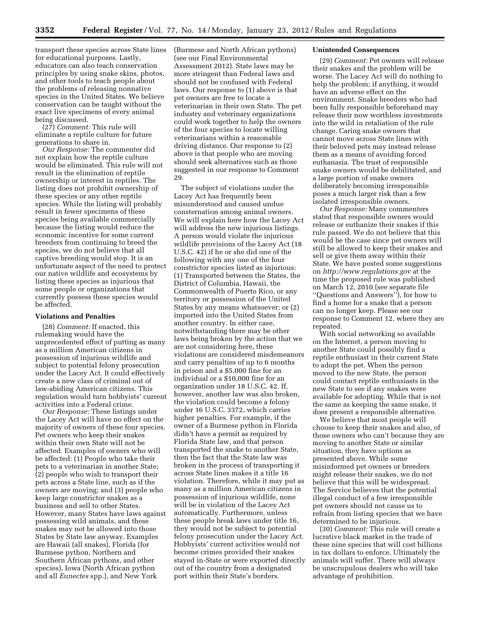transport these species across State lines for educational purposes. Lastly, educators can also teach conservation principles by using snake skins, photos, and other tools to teach people about the problems of releasing nonnative species in the United States. We believe conservation can be taught without the exact live specimens of every animal being discussed.

(27) *Comment:* This rule will eliminate a reptile culture for future generations to share in.

*Our Response:* The commenter did not explain how the reptile culture would be eliminated. This rule will not result in the elimination of reptile ownership or interest in reptiles. The listing does not prohibit ownership of these species or any other reptile species. While the listing will probably result in fewer specimens of these species being available commercially because the listing would reduce the economic incentive for some current breeders from continuing to breed the species, we do not believe that all captive breeding would stop. It is an unfortunate aspect of the need to protect our native wildlife and ecosystems by listing these species as injurious that some people or organizations that currently possess these species would be affected.

## **Violations and Penalties**

(28) *Comment:* If enacted, this rulemaking would have the unprecedented effect of putting as many as a million American citizens in possession of injurious wildlife and subject to potential felony prosecution under the Lacey Act. It could effectively create a new class of criminal out of law-abiding American citizens. This regulation would turn hobbyists' current activities into a Federal crime.

*Our Response:* These listings under the Lacey Act will have no effect on the majority of owners of these four species. Pet owners who keep their snakes within their own State will not be affected. Examples of owners who will be affected: (1) People who take their pets to a veterinarian in another State; (2) people who wish to transport their pets across a State line, such as if the owners are moving; and (3) people who keep large constrictor snakes as a business and sell to other States. However, many States have laws against possessing wild animals, and these snakes may not be allowed into those States by State law anyway. Examples are Hawaii (all snakes), Florida (for Burmese python, Northern and Southern African pythons, and other species), Iowa (North African python and all *Eunectes* spp.), and New York

(Burmese and North African pythons) (see our Final Environmental Assessment 2012). State laws may be more stringent than Federal laws and should not be confused with Federal laws. Our response to (1) above is that pet owners are free to locate a veterinarian in their own State. The pet industry and veterinary organizations could work together to help the owners of the four species to locate willing veterinarians within a reasonable driving distance. Our response to (2) above is that people who are moving should seek alternatives such as those suggested in our response to Comment 29.

The subject of violations under the Lacey Act has frequently been misunderstood and caused undue consternation among animal owners. We will explain here how the Lacey Act will address the new injurious listings. A person would violate the injurious wildlife provisions of the Lacey Act (18 U.S.C. 42) if he or she did one of the following with any one of the four constrictor species listed as injurious: (1) Transported between the States, the District of Columbia, Hawaii, the Commonwealth of Puerto Rico, or any territory or possession of the United States by any means whatsoever; or (2) imported into the United States from another country. In either case, notwithstanding there may be other laws being broken by the action that we are not considering here, these violations are considered misdemeanors and carry penalties of up to 6 months in prison and a \$5,000 fine for an individual or a \$10,000 fine for an organization under 18 U.S.C. 42. If, however, another law was also broken, the violation could become a felony under 16 U.S.C. 3372, which carries higher penalties. For example, if the owner of a Burmese python in Florida didn't have a permit as required by Florida State law, and that person transported the snake to another State, then the fact that the State law was broken in the process of transporting it across State lines makes it a title 16 violation. Therefore, while it may put as many as a million American citizens in possession of injurious wildlife, none will be in violation of the Lacey Act automatically. Furthermore, unless these people break laws under title 16, they would not be subject to potential felony prosecution under the Lacey Act. Hobbyists' current activities would not become crimes provided their snakes stayed in-State or were exported directly out of the country from a designated port within their State's borders.

# **Unintended Consequences**

(29) *Comment:* Pet owners will release their snakes and the problem will be worse. The Lacey Act will do nothing to help the problem; if anything, it would have an adverse effect on the environment. Snake breeders who had been fully responsible beforehand may release their now worthless investments into the wild in retaliation of the rule change. Caring snake owners that cannot move across State lines with their beloved pets may instead release them as a means of avoiding forced euthanasia. The trust of responsible snake owners would be debilitated, and a large portion of snake owners deliberately becoming irresponsible poses a much larger risk than a few isolated irresponsible owners.

*Our Response:* Many commenters stated that responsible owners would release or euthanize their snakes if this rule passed. We do not believe that this would be the case since pet owners will still be allowed to keep their snakes and sell or give them away within their State. We have posted some suggestions on *<http://www.regulations.gov>* at the time the proposed rule was published on March 12, 2010 (see separate file ''Questions and Answers''), for how to find a home for a snake that a person can no longer keep. Please see our response to Comment 12, where they are repeated.

With social networking so available on the Internet, a person moving to another State could possibly find a reptile enthusiast in their current State to adopt the pet. When the person moved to the new State, the person could contact reptile enthusiasts in the new State to see if any snakes were available for adopting. While that is not the same as keeping the same snake, it does present a responsible alternative.

We believe that most people will choose to keep their snakes and also, of those owners who can't because they are moving to another State or similar situation, they have options as presented above. While some misinformed pet owners or breeders might release their snakes, we do not believe that this will be widespread. The Service believes that the potential illegal conduct of a few irresponsible pet owners should not cause us to refrain from listing species that we have determined to be injurious.

(30) *Comment:* This rule will create a lucrative black market in the trade of these nine species that will cost billions in tax dollars to enforce. Ultimately the animals will suffer. There will always be unscrupulous dealers who will take advantage of prohibition.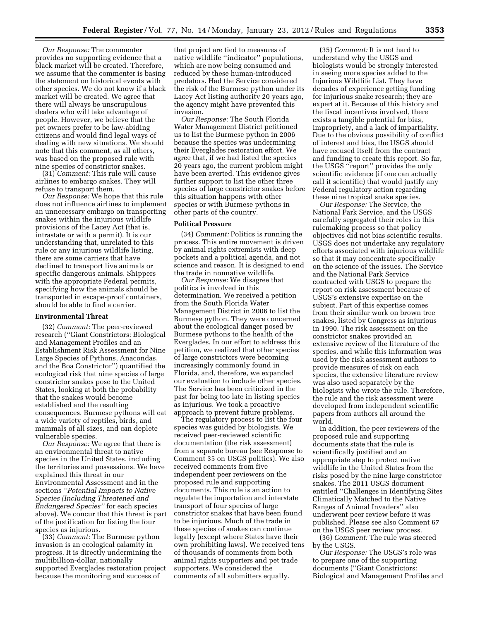*Our Response:* The commenter provides no supporting evidence that a black market will be created. Therefore, we assume that the commenter is basing the statement on historical events with other species. We do not know if a black market will be created. We agree that there will always be unscrupulous dealers who will take advantage of people. However, we believe that the pet owners prefer to be law-abiding citizens and would find legal ways of dealing with new situations. We should note that this comment, as all others, was based on the proposed rule with nine species of constrictor snakes.

(31) *Comment:* This rule will cause airlines to embargo snakes. They will refuse to transport them.

*Our Response:* We hope that this rule does not influence airlines to implement an unnecessary embargo on transporting snakes within the injurious wildlife provisions of the Lacey Act (that is, intrastate or with a permit). It is our understanding that, unrelated to this rule or any injurious wildlife listing, there are some carriers that have declined to transport live animals or specific dangerous animals. Shippers with the appropriate Federal permits, specifying how the animals should be transported in escape-proof containers, should be able to find a carrier.

## **Environmental Threat**

(32) *Comment:* The peer-reviewed research (''Giant Constrictors: Biological and Management Profiles and an Establishment Risk Assessment for Nine Large Species of Pythons, Anacondas, and the Boa Constrictor'') quantified the ecological risk that nine species of large constrictor snakes pose to the United States, looking at both the probability that the snakes would become established and the resulting consequences. Burmese pythons will eat a wide variety of reptiles, birds, and mammals of all sizes, and can deplete vulnerable species.

*Our Response:* We agree that there is an environmental threat to native species in the United States, including the territories and possessions. We have explained this threat in our Environmental Assessment and in the sections *''Potential Impacts to Native Species (Including Threatened and Endangered Species''* for each species above). We concur that this threat is part of the justification for listing the four species as injurious.

(33) *Comment:* The Burmese python invasion is an ecological calamity in progress. It is directly undermining the multibillion-dollar, nationally supported Everglades restoration project because the monitoring and success of

that project are tied to measures of native wildlife ''indicator'' populations, which are now being consumed and reduced by these human-introduced predators. Had the Service considered the risk of the Burmese python under its Lacey Act listing authority 20 years ago, the agency might have prevented this invasion.

*Our Response:* The South Florida Water Management District petitioned us to list the Burmese python in 2006 because the species was undermining their Everglades restoration effort. We agree that, if we had listed the species 20 years ago, the current problem might have been averted. This evidence gives further support to list the other three species of large constrictor snakes before this situation happens with other species or with Burmese pythons in other parts of the country.

# **Political Pressure**

(34) *Comment:* Politics is running the process. This entire movement is driven by animal rights extremists with deep pockets and a political agenda, and not science and reason. It is designed to end the trade in nonnative wildlife.

*Our Response:* We disagree that politics is involved in this determination. We received a petition from the South Florida Water Management District in 2006 to list the Burmese python. They were concerned about the ecological danger posed by Burmese pythons to the health of the Everglades. In our effort to address this petition, we realized that other species of large constrictors were becoming increasingly commonly found in Florida, and, therefore, we expanded our evaluation to include other species. The Service has been criticized in the past for being too late in listing species as injurious. We took a proactive approach to prevent future problems.

The regulatory process to list the four species was guided by biologists. We received peer-reviewed scientific documentation (the risk assessment) from a separate bureau (see Response to Comment 35 on USGS politics). We also received comments from five independent peer reviewers on the proposed rule and supporting documents. This rule is an action to regulate the importation and interstate transport of four species of large constrictor snakes that have been found to be injurious. Much of the trade in these species of snakes can continue legally (except where States have their own prohibiting laws). We received tens of thousands of comments from both animal rights supporters and pet trade supporters. We considered the comments of all submitters equally.

(35) *Comment:* It is not hard to understand why the USGS and biologists would be strongly interested in seeing more species added to the Injurious Wildlife List. They have decades of experience getting funding for injurious snake research; they are expert at it. Because of this history and the fiscal incentives involved, there exists a tangible potential for bias, impropriety, and a lack of impartiality. Due to the obvious possibility of conflict of interest and bias, the USGS should have recused itself from the contract and funding to create this report. So far, the USGS ''report'' provides the only scientific evidence (if one can actually call it scientific) that would justify any Federal regulatory action regarding these nine tropical snake species.

*Our Response:* The Service, the National Park Service, and the USGS carefully segregated their roles in this rulemaking process so that policy objectives did not bias scientific results. USGS does not undertake any regulatory efforts associated with injurious wildlife so that it may concentrate specifically on the science of the issues. The Service and the National Park Service contracted with USGS to prepare the report on risk assessment because of USGS's extensive expertise on the subject. Part of this expertise comes from their similar work on brown tree snakes, listed by Congress as injurious in 1990. The risk assessment on the constrictor snakes provided an extensive review of the literature of the species, and while this information was used by the risk assessment authors to provide measures of risk on each species, the extensive literature review was also used separately by the biologists who wrote the rule. Therefore, the rule and the risk assessment were developed from independent scientific papers from authors all around the world.

In addition, the peer reviewers of the proposed rule and supporting documents state that the rule is scientifically justified and an appropriate step to protect native wildlife in the United States from the risks posed by the nine large constrictor snakes. The 2011 USGS document entitled ''Challenges in Identifying Sites Climatically Matched to the Native Ranges of Animal Invaders'' also underwent peer review before it was published. Please see also Comment 67 on the USGS peer review process.

(36) *Comment:* The rule was steered by the USGS.

*Our Response:* The USGS's role was to prepare one of the supporting documents (''Giant Constrictors: Biological and Management Profiles and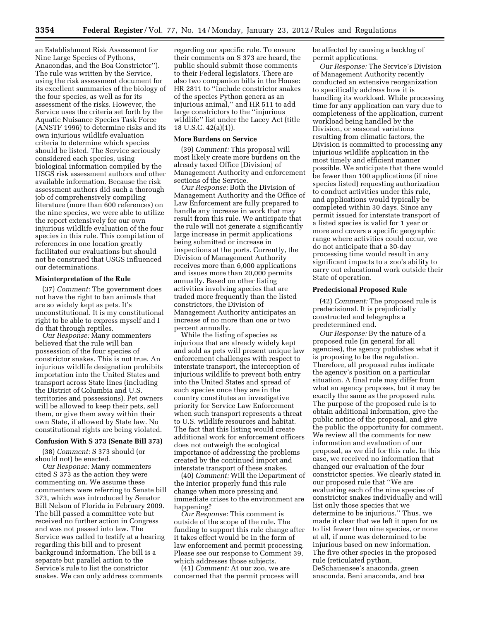an Establishment Risk Assessment for Nine Large Species of Pythons, Anacondas, and the Boa Constrictor''). The rule was written by the Service, using the risk assessment document for its excellent summaries of the biology of the four species, as well as for its assessment of the risks. However, the Service uses the criteria set forth by the Aquatic Nuisance Species Task Force (ANSTF 1996) to determine risks and its own injurious wildlife evaluation criteria to determine which species should be listed. The Service seriously considered each species, using biological information compiled by the USGS risk assessment authors and other available information. Because the risk assessment authors did such a thorough job of comprehensively compiling literature (more than 600 references) on the nine species, we were able to utilize the report extensively for our own injurious wildlife evaluation of the four species in this rule. This compilation of references in one location greatly facilitated our evaluations but should not be construed that USGS influenced our determinations.

# **Misinterpretation of the Rule**

(37) *Comment:* The government does not have the right to ban animals that are so widely kept as pets. It's unconstitutional. It is my constitutional right to be able to express myself and I do that through reptiles.

*Our Response:* Many commenters believed that the rule will ban possession of the four species of constrictor snakes. This is not true. An injurious wildlife designation prohibits importation into the United States and transport across State lines (including the District of Columbia and U.S. territories and possessions). Pet owners will be allowed to keep their pets, sell them, or give them away within their own State, if allowed by State law. No constitutional rights are being violated.

## **Confusion With S 373 (Senate Bill 373)**

(38) *Comment:* S 373 should (or should not) be enacted.

*Our Response:* Many commenters cited S 373 as the action they were commenting on. We assume these commenters were referring to Senate bill 373, which was introduced by Senator Bill Nelson of Florida in February 2009. The bill passed a committee vote but received no further action in Congress and was not passed into law. The Service was called to testify at a hearing regarding this bill and to present background information. The bill is a separate but parallel action to the Service's rule to list the constrictor snakes. We can only address comments

regarding our specific rule. To ensure their comments on S 373 are heard, the public should submit those comments to their Federal legislators. There are also two companion bills in the House: HR 2811 to ''include constrictor snakes of the species Python genera as an injurious animal,'' and HR 511 to add large constrictors to the ''injurious wildlife'' list under the Lacey Act (title 18 U.S.C. 42(a)(1)).

### **More Burdens on Service**

(39) *Comment:* This proposal will most likely create more burdens on the already taxed Office [Division] of Management Authority and enforcement sections of the Service.

*Our Response:* Both the Division of Management Authority and the Office of Law Enforcement are fully prepared to handle any increase in work that may result from this rule. We anticipate that the rule will not generate a significantly large increase in permit applications being submitted or increase in inspections at the ports. Currently, the Division of Management Authority receives more than 6,000 applications and issues more than 20,000 permits annually. Based on other listing activities involving species that are traded more frequently than the listed constrictors, the Division of Management Authority anticipates an increase of no more than one or two percent annually.

While the listing of species as injurious that are already widely kept and sold as pets will present unique law enforcement challenges with respect to interstate transport, the interception of injurious wildlife to prevent both entry into the United States and spread of such species once they are in the country constitutes an investigative priority for Service Law Enforcement when such transport represents a threat to U.S. wildlife resources and habitat. The fact that this listing would create additional work for enforcement officers does not outweigh the ecological importance of addressing the problems created by the continued import and interstate transport of these snakes.

(40) *Comment:* Will the Department of the Interior properly fund this rule change when more pressing and immediate crises to the environment are happening?

*Our Response:* This comment is outside of the scope of the rule. The funding to support this rule change after it takes effect would be in the form of law enforcement and permit processing. Please see our response to Comment 39, which addresses those subjects.

(41) *Comment:* At our zoo, we are concerned that the permit process will be affected by causing a backlog of permit applications.

*Our Response:* The Service's Division of Management Authority recently conducted an extensive reorganization to specifically address how it is handling its workload. While processing time for any application can vary due to completeness of the application, current workload being handled by the Division, or seasonal variations resulting from climatic factors, the Division is committed to processing any injurious wildlife application in the most timely and efficient manner possible. We anticipate that there would be fewer than 100 applications (if nine species listed) requesting authorization to conduct activities under this rule, and applications would typically be completed within 30 days. Since any permit issued for interstate transport of a listed species is valid for 1 year or more and covers a specific geographic range where activities could occur, we do not anticipate that a 30-day processing time would result in any significant impacts to a zoo's ability to carry out educational work outside their State of operation.

# **Predecisional Proposed Rule**

(42) *Comment:* The proposed rule is predecisional. It is prejudicially constructed and telegraphs a predetermined end.

*Our Response:* By the nature of a proposed rule (in general for all agencies), the agency publishes what it is proposing to be the regulation. Therefore, all proposed rules indicate the agency's position on a particular situation. A final rule may differ from what an agency proposes, but it may be exactly the same as the proposed rule. The purpose of the proposed rule is to obtain additional information, give the public notice of the proposal, and give the public the opportunity for comment. We review all the comments for new information and evaluation of our proposal, as we did for this rule. In this case, we received no information that changed our evaluation of the four constrictor species. We clearly stated in our proposed rule that ''We are evaluating each of the nine species of constrictor snakes individually and will list only those species that we determine to be injurious.'' Thus, we made it clear that we left it open for us to list fewer than nine species, or none at all, if none was determined to be injurious based on new information. The five other species in the proposed rule (reticulated python, DeSchauensee's anaconda, green anaconda, Beni anaconda, and boa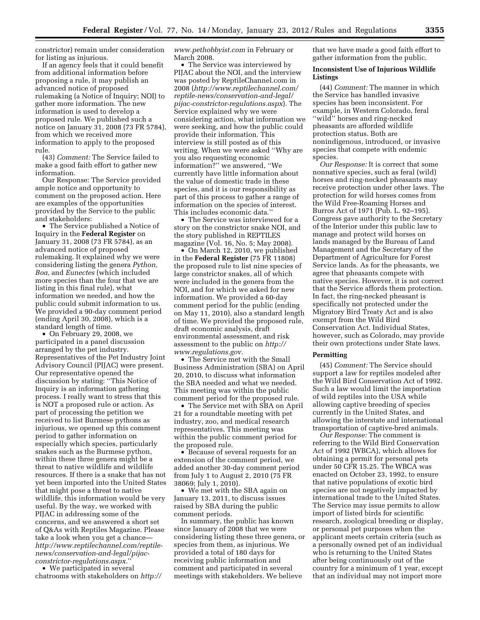constrictor) remain under consideration for listing as injurious.

If an agency feels that it could benefit from additional information before proposing a rule, it may publish an advanced notice of proposed rulemaking (a Notice of Inquiry; NOI) to gather more information. The new information is used to develop a proposed rule. We published such a notice on January 31, 2008 (73 FR 5784), from which we received more information to apply to the proposed rule.

(43) *Comment:* The Service failed to make a good faith effort to gather new information.

Our Response: The Service provided ample notice and opportunity to comment on the proposed action. Here are examples of the opportunities provided by the Service to the public and stakeholders:

• The Service published a Notice of Inquiry in the **Federal Register** on January 31, 2008 (73 FR 5784), as an advanced notice of proposed rulemaking. It explained why we were considering listing the genera *Python, Boa,* and *Eunectes* (which included more species than the four that we are listing in this final rule), what information we needed, and how the public could submit information to us. We provided a 90-day comment period (ending April 30, 2008), which is a standard length of time.

• On February 29, 2008, we participated in a panel discussion arranged by the pet industry. Representatives of the Pet Industry Joint Advisory Council (PIJAC) were present. Our representative opened the discussion by stating: ''This Notice of Inquiry is an information gathering process. I really want to stress that this is NOT a proposed rule or action. As part of processing the petition we received to list Burmese pythons as injurious, we opened up this comment period to gather information on especially which species, particularly snakes such as the Burmese python, within these three genera might be a threat to native wildlife and wildlife resources. If there is a snake that has not yet been imported into the United States that might pose a threat to native wildlife, this information would be very useful. By the way, we worked with PIJAC in addressing some of the concerns, and we answered a short set of Q&As with Reptiles Magazine. Please take a look when you get a chance *[http://www.reptilechannel.com/reptile](http://www.reptilechannel.com/reptile-news/conservation-and-legal/pijac-constrictor-regulations.aspx)[news/conservation-and-legal/pijac](http://www.reptilechannel.com/reptile-news/conservation-and-legal/pijac-constrictor-regulations.aspx)[constrictor-regulations.aspx.](http://www.reptilechannel.com/reptile-news/conservation-and-legal/pijac-constrictor-regulations.aspx)*''

• We participated in several chatrooms with stakeholders on *[http://](http://www.pethobbyist.com)*  *[www.pethobbyist.com](http://www.pethobbyist.com)* in February or March 2008.

• The Service was interviewed by PIJAC about the NOI, and the interview was posted by ReptileChannel.com in 2008 (*[http://www.reptilechannel.com/](http://www.reptilechannel.com/reptile-news/conservation-and-legal/pijac-constrictor-regulations.aspx) [reptile-news/conservation-and-legal/](http://www.reptilechannel.com/reptile-news/conservation-and-legal/pijac-constrictor-regulations.aspx) [pijac-constrictor-regulations.aspx](http://www.reptilechannel.com/reptile-news/conservation-and-legal/pijac-constrictor-regulations.aspx)*). The Service explained why we were considering action, what information we were seeking, and how the public could provide their information. This interview is still posted as of this writing. When we were asked ''Why are you also requesting economic information?'' we answered, ''We currently have little information about the value of domestic trade in these species, and it is our responsibility as part of this process to gather a range of information on the species of interest. This includes economic data.''

• The Service was interviewed for a story on the constrictor snake NOI, and the story published in REPTILES magazine (Vol. 16, No. 5; May 2008).

• On March 12, 2010, we published in the **Federal Register** (75 FR 11808) the proposed rule to list nine species of large constrictor snakes, all of which were included in the genera from the NOI, and for which we asked for new information. We provided a 60-day comment period for the public (ending on May 11, 2010), also a standard length of time. We provided the proposed rule, draft economic analysis, draft environmental assessment, and risk assessment to the public on *[http://](http://www.regulations.gov)  [www.regulations.gov.](http://www.regulations.gov)* 

• The Service met with the Small Business Administration (SBA) on April 20, 2010, to discuss what information the SBA needed and what we needed. This meeting was within the public comment period for the proposed rule.

• The Service met with SBA on April 21 for a roundtable meeting with pet industry, zoo, and medical research representatives. This meeting was within the public comment period for the proposed rule.

• Because of several requests for an extension of the comment period, we added another 30-day comment period from July 1 to August 2, 2010 (75 FR 38069; July 1, 2010).

• We met with the SBA again on January 13, 2011, to discuss issues raised by SBA during the public comment periods.

In summary, the public has known since January of 2008 that we were considering listing these three genera, or species from them, as injurious. We provided a total of 180 days for receiving public information and comment and participated in several meetings with stakeholders. We believe

that we have made a good faith effort to gather information from the public.

# **Inconsistent Use of Injurious Wildlife Listings**

(44) *Comment:* The manner in which the Service has handled invasive species has been inconsistent. For example, in Western Colorado, feral ''wild'' horses and ring-necked pheasants are afforded wildlife protection status. Both are nonindigenous, introduced, or invasive species that compete with endemic species.

*Our Response:* It is correct that some nonnative species, such as feral (wild) horses and ring-necked pheasants may receive protection under other laws. The protection for wild horses comes from the Wild Free-Roaming Horses and Burros Act of 1971 (Pub. L. 92–195). Congress gave authority to the Secretary of the Interior under this public law to manage and protect wild horses on lands managed by the Bureau of Land Management and the Secretary of the Department of Agriculture for Forest Service lands. As for the pheasants, we agree that pheasants compete with native species. However, it is not correct that the Service affords them protection. In fact, the ring-necked pheasant is specifically not protected under the Migratory Bird Treaty Act and is also exempt from the Wild Bird Conservation Act. Individual States, however, such as Colorado, may provide their own protections under State laws.

# **Permitting**

(45) *Comment:* The Service should support a law for reptiles modeled after the Wild Bird Conservation Act of 1992. Such a law would limit the importation of wild reptiles into the USA while allowing captive breeding of species currently in the United States, and allowing the interstate and international transportation of captive-bred animals.

*Our Response:* The comment is referring to the Wild Bird Conservation Act of 1992 (WBCA), which allows for obtaining a permit for personal pets under 50 CFR 15.25. The WBCA was enacted on October 23, 1992, to ensure that native populations of exotic bird species are not negatively impacted by international trade to the United States. The Service may issue permits to allow import of listed birds for scientific research, zoological breeding or display, or personal pet purposes when the applicant meets certain criteria (such as a personally owned pet of an individual who is returning to the United States after being continuously out of the country for a minimum of 1 year, except that an individual may not import more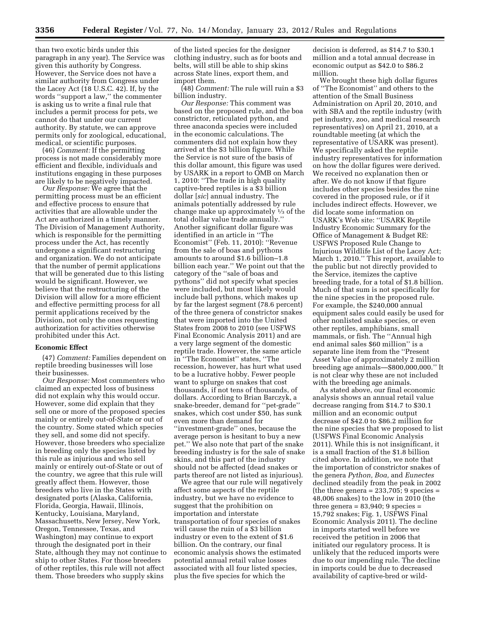than two exotic birds under this paragraph in any year). The Service was given this authority by Congress. However, the Service does not have a similar authority from Congress under the Lacey Act (18 U.S.C. 42). If, by the words ''support a law,'' the commenter is asking us to write a final rule that includes a permit process for pets, we cannot do that under our current authority. By statute, we can approve permits only for zoological, educational, medical, or scientific purposes.

(46) *Comment:* If the permitting process is not made considerably more efficient and flexible, individuals and institutions engaging in these purposes are likely to be negatively impacted.

*Our Response:* We agree that the permitting process must be an efficient and effective process to ensure that activities that are allowable under the Act are authorized in a timely manner. The Division of Management Authority, which is responsible for the permitting process under the Act, has recently undergone a significant restructuring and organization. We do not anticipate that the number of permit applications that will be generated due to this listing would be significant. However, we believe that the restructuring of the Division will allow for a more efficient and effective permitting process for all permit applications received by the Division, not only the ones requesting authorization for activities otherwise prohibited under this Act.

# **Economic Effect**

(47) *Comment:* Families dependent on reptile breeding businesses will lose their businesses.

*Our Response:* Most commenters who claimed an expected loss of business did not explain why this would occur. However, some did explain that they sell one or more of the proposed species mainly or entirely out-of-State or out of the country. Some stated which species they sell, and some did not specify. However, those breeders who specialize in breeding only the species listed by this rule as injurious and who sell mainly or entirely out-of-State or out of the country, we agree that this rule will greatly affect them. However, those breeders who live in the States with designated ports (Alaska, California, Florida, Georgia, Hawaii, Illinois, Kentucky, Louisiana, Maryland, Massachusetts, New Jersey, New York, Oregon, Tennessee, Texas, and Washington) may continue to export through the designated port in their State, although they may not continue to ship to other States. For those breeders of other reptiles, this rule will not affect them. Those breeders who supply skins

of the listed species for the designer clothing industry, such as for boots and belts, will still be able to ship skins across State lines, export them, and import them.

(48) *Comment:* The rule will ruin a \$3 billion industry.

*Our Response:* This comment was based on the proposed rule, and the boa constrictor, reticulated python, and three anaconda species were included in the economic calculations. The commenters did not explain how they arrived at the \$3 billion figure. While the Service is not sure of the basis of this dollar amount, this figure was used by USARK in a report to OMB on March 1, 2010: ''The trade in high quality captive-bred reptiles is a \$3 billion dollar [*sic*] annual industry. The animals potentially addressed by rule change make up approximately 1⁄3 of the total dollar value trade annually.'' Another significant dollar figure was identified in an article in ''The Economist'' (Feb. 11, 2010): ''Revenue from the sale of boas and pythons amounts to around \$1.6 billion–1.8 billion each year.'' We point out that the category of the ''sale of boas and pythons'' did not specify what species were included, but most likely would include ball pythons, which makes up by far the largest segment (78.6 percent) of the three genera of constrictor snakes that were imported into the United States from 2008 to 2010 (see USFWS Final Economic Analysis 2011) and are a very large segment of the domestic reptile trade. However, the same article in ''The Economist'' states, ''The recession, however, has hurt what used to be a lucrative hobby. Fewer people want to splurge on snakes that cost thousands, if not tens of thousands, of dollars. According to Brian Barczyk, a snake-breeder, demand for ''pet-grade'' snakes, which cost under \$50, has sunk even more than demand for ''investment-grade'' ones, because the average person is hesitant to buy a new pet.'' We also note that part of the snake breeding industry is for the sale of snake skins, and this part of the industry should not be affected (dead snakes or parts thereof are not listed as injurious).

We agree that our rule will negatively affect some aspects of the reptile industry, but we have no evidence to suggest that the prohibition on importation and interstate transportation of four species of snakes will cause the ruin of a \$3 billion industry or even to the extent of \$1.6 billion. On the contrary, our final economic analysis shows the estimated potential annual retail value losses associated with all four listed species, plus the five species for which the

decision is deferred, as \$14.7 to \$30.1 million and a total annual decrease in economic output as \$42.0 to \$86.2 million.

We brought these high dollar figures of ''The Economist'' and others to the attention of the Small Business Administration on April 20, 2010, and with SBA and the reptile industry (with pet industry, zoo, and medical research representatives) on April 21, 2010, at a roundtable meeting (at which the representative of USARK was present). We specifically asked the reptile industry representatives for information on how the dollar figures were derived. We received no explanation then or after. We do not know if that figure includes other species besides the nine covered in the proposed rule, or if it includes indirect effects. However, we did locate some information on USARK's Web site: ''USARK Reptile Industry Economic Summary for the Office of Management & Budget RE: USFWS Proposed Rule Change to Injurious Wildlife List of the Lacey Act; March 1, 2010.'' This report, available to the public but not directly provided to the Service, itemizes the captive breeding trade, for a total of \$1.8 billion. Much of that sum is not specifically for the nine species in the proposed rule. For example, the \$240,000 annual equipment sales could easily be used for other nonlisted snake species, or even other reptiles, amphibians, small mammals, or fish. The ''Annual high end animal sales \$60 million'' is a separate line item from the ''Present Asset Value of approximately 2 million breeding age animals—\$800,000,000.'' It is not clear why these are not included with the breeding age animals.

As stated above, our final economic analysis shows an annual retail value decrease ranging from \$14.7 to \$30.1 million and an economic output decrease of \$42.0 to \$86.2 million for the nine species that we proposed to list (USFWS Final Economic Analysis 2011). While this is not insignificant, it is a small fraction of the \$1.8 billion cited above. In addition, we note that the importation of constrictor snakes of the genera *Python, Boa,* and *Eunectes*  declined steadily from the peak in 2002 (the three genera  $= 233,705; 9$  species  $=$ 48,006 snakes) to the low in 2010 (the three genera =  $83,940$ ; 9 species = 15,792 snakes; Fig. 1, USFWS Final Economic Analysis 2011). The decline in imports started well before we received the petition in 2006 that initiated our regulatory process. It is unlikely that the reduced imports were due to our impending rule. The decline in imports could be due to decreased availability of captive-bred or wild-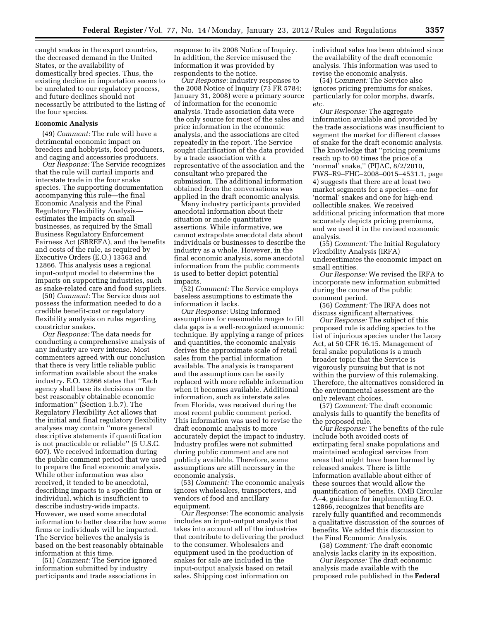caught snakes in the export countries, the decreased demand in the United States, or the availability of domestically bred species. Thus, the existing decline in importation seems to be unrelated to our regulatory process, and future declines should not necessarily be attributed to the listing of the four species.

# **Economic Analysis**

(49) *Comment:* The rule will have a detrimental economic impact on breeders and hobbyists, food producers, and caging and accessories producers.

*Our Response:* The Service recognizes that the rule will curtail imports and interstate trade in the four snake species. The supporting documentation accompanying this rule—the final Economic Analysis and the Final Regulatory Flexibility Analysis estimates the impacts on small businesses, as required by the Small Business Regulatory Enforcement Fairness Act (SBREFA), and the benefits and costs of the rule, as required by Executive Orders (E.O.) 13563 and 12866. This analysis uses a regional input-output model to determine the impacts on supporting industries, such as snake-related care and food suppliers.

(50) *Comment:* The Service does not possess the information needed to do a credible benefit-cost or regulatory flexibility analysis on rules regarding constrictor snakes.

*Our Response:* The data needs for conducting a comprehensive analysis of any industry are very intense. Most commenters agreed with our conclusion that there is very little reliable public information available about the snake industry. E.O. 12866 states that ''Each agency shall base its decisions on the best reasonably obtainable economic information'' (Section 1.b.7). The Regulatory Flexibility Act allows that the initial and final regulatory flexibility analyses may contain ''more general descriptive statements if quantification is not practicable or reliable'' (5 U.S.C. 607). We received information during the public comment period that we used to prepare the final economic analysis. While other information was also received, it tended to be anecdotal, describing impacts to a specific firm or individual, which is insufficient to describe industry-wide impacts. However, we used some anecdotal information to better describe how some firms or individuals will be impacted. The Service believes the analysis is based on the best reasonably obtainable information at this time.

(51) *Comment:* The Service ignored information submitted by industry participants and trade associations in

response to its 2008 Notice of Inquiry. In addition, the Service misused the information it was provided by respondents to the notice.

*Our Response:* Industry responses to the 2008 Notice of Inquiry (73 FR 5784; January 31, 2008) were a primary source of information for the economic analysis. Trade association data were the only source for most of the sales and price information in the economic analysis, and the associations are cited repeatedly in the report. The Service sought clarification of the data provided by a trade association with a representative of the association and the consultant who prepared the submission. The additional information obtained from the conversations was applied in the draft economic analysis.

Many industry participants provided anecdotal information about their situation or made quantitative assertions. While informative, we cannot extrapolate anecdotal data about individuals or businesses to describe the industry as a whole. However, in the final economic analysis, some anecdotal information from the public comments is used to better depict potential impacts.

(52) *Comment:* The Service employs baseless assumptions to estimate the information it lacks.

*Our Response:* Using informed assumptions for reasonable ranges to fill data gaps is a well-recognized economic technique. By applying a range of prices and quantities, the economic analysis derives the approximate scale of retail sales from the partial information available. The analysis is transparent and the assumptions can be easily replaced with more reliable information when it becomes available. Additional information, such as interstate sales from Florida, was received during the most recent public comment period. This information was used to revise the draft economic analysis to more accurately depict the impact to industry. Industry profiles were not submitted during public comment and are not publicly available. Therefore, some assumptions are still necessary in the economic analysis.

(53) *Comment:* The economic analysis ignores wholesalers, transporters, and vendors of food and ancillary equipment.

*Our Response:* The economic analysis includes an input-output analysis that takes into account all of the industries that contribute to delivering the product to the consumer. Wholesalers and equipment used in the production of snakes for sale are included in the input-output analysis based on retail sales. Shipping cost information on

individual sales has been obtained since the availability of the draft economic analysis. This information was used to revise the economic analysis.

(54) *Comment:* The Service also ignores pricing premiums for snakes, particularly for color morphs, dwarfs, *etc.* 

*Our Response:* The aggregate information available and provided by the trade associations was insufficient to segment the market for different classes of snake for the draft economic analysis. The knowledge that ''pricing premiums reach up to 60 times the price of a 'normal' snake,'' (PIJAC, 8/2/2010, FWS–R9–FHC–2008–0015–4531.1, page 4) suggests that there are at least two market segments for a species—one for 'normal' snakes and one for high-end collectible snakes. We received additional pricing information that more accurately depicts pricing premiums, and we used it in the revised economic analysis.

(55) *Comment:* The Initial Regulatory Flexibility Analysis (IRFA) underestimates the economic impact on small entities.

*Our Response:* We revised the IRFA to incorporate new information submitted during the course of the public comment period.

(56) *Comment:* The IRFA does not discuss significant alternatives.

*Our Response:* The subject of this proposed rule is adding species to the list of injurious species under the Lacey Act, at 50 CFR 16.15. Management of feral snake populations is a much broader topic that the Service is vigorously pursuing but that is not within the purview of this rulemaking. Therefore, the alternatives considered in the environmental assessment are the only relevant choices.

(57) *Comment:* The draft economic analysis fails to quantify the benefits of the proposed rule.

*Our Response:* The benefits of the rule include both avoided costs of extirpating feral snake populations and maintained ecological services from areas that might have been harmed by released snakes. There is little information available about either of these sources that would allow the quantification of benefits. OMB Circular A–4, guidance for implementing E.O. 12866, recognizes that benefits are rarely fully quantified and recommends a qualitative discussion of the sources of benefits. We added this discussion to the Final Economic Analysis.

(58) *Comment:* The draft economic analysis lacks clarity in its exposition.

*Our Response:* The draft economic analysis made available with the proposed rule published in the **Federal**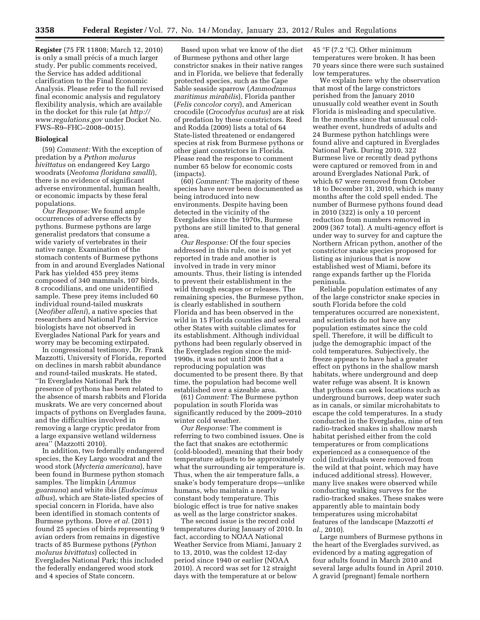**Register** (75 FR 11808; March 12, 2010) is only a small précis of a much larger study. Per public comments received, the Service has added additional clarification to the Final Economic Analysis. Please refer to the full revised final economic analysis and regulatory flexibility analysis, which are available in the docket for this rule (at *[http://](http://www.regulations.gov)  [www.regulations.gov](http://www.regulations.gov)* under Docket No. FWS–R9–FHC–2008–0015).

#### **Biological**

(59) *Comment:* With the exception of predation by a *Python molurus bivittatus* on endangered Key Largo woodrats (*Neotoma floridana smalli*), there is no evidence of significant adverse environmental, human health, or economic impacts by these feral populations.

*Our Response:* We found ample occurrences of adverse effects by pythons. Burmese pythons are large generalist predators that consume a wide variety of vertebrates in their native range. Examination of the stomach contents of Burmese pythons from in and around Everglades National Park has yielded 455 prey items composed of 340 mammals, 107 birds, 8 crocodilians, and one unidentified sample. These prey items included 60 individual round-tailed muskrats (*Neofiber alleni*), a native species that researchers and National Park Service biologists have not observed in Everglades National Park for years and worry may be becoming extirpated.

In congressional testimony, Dr. Frank Mazzotti, University of Florida, reported on declines in marsh rabbit abundance and round-tailed muskrats. He stated, ''In Everglades National Park the presence of pythons has been related to the absence of marsh rabbits and Florida muskrats. We are very concerned about impacts of pythons on Everglades fauna, and the difficulties involved in removing a large cryptic predator from a large expansive wetland wilderness area'' (Mazzotti 2010).

In addition, two federally endangered species, the Key Largo woodrat and the wood stork (*Mycteria americana*), have been found in Burmese python stomach samples. The limpkin (*Aramus guarauna*) and white ibis (*Eudocimus albus*), which are State-listed species of special concern in Florida, have also been identified in stomach contents of Burmese pythons. Dove *et al.* (2011) found 25 species of birds representing 9 avian orders from remains in digestive tracts of 85 Burmese pythons (*Python molurus bivittatus*) collected in Everglades National Park; this included the federally endangered wood stork and 4 species of State concern.

Based upon what we know of the diet of Burmese pythons and other large constrictor snakes in their native ranges and in Florida, we believe that federally protected species, such as the Cape Sable seaside sparrow (*Ammodramus maritimus mirabilis*), Florida panther (*Felis concolor coryi*), and American crocodile (*Crocodylus acutus*) are at risk of predation by these constrictors. Reed and Rodda (2009) lists a total of 64 State-listed threatened or endangered species at risk from Burmese pythons or other giant constrictors in Florida. Please read the response to comment number 65 below for economic costs (impacts).

(60) *Comment:* The majority of these species have never been documented as being introduced into new environments. Despite having been detected in the vicinity of the Everglades since the 1970s, Burmese pythons are still limited to that general area.

*Our Response:* Of the four species addressed in this rule, one is not yet reported in trade and another is involved in trade in very minor amounts. Thus, their listing is intended to prevent their establishment in the wild through escapes or releases. The remaining species, the Burmese python, is clearly established in southern Florida and has been observed in the wild in 15 Florida counties and several other States with suitable climates for its establishment. Although individual pythons had been regularly observed in the Everglades region since the mid-1990s, it was not until 2006 that a reproducing population was documented to be present there. By that time, the population had become well established over a sizeable area.

(61) *Comment:* The Burmese python population in south Florida was significantly reduced by the 2009–2010 winter cold weather.

*Our Response:* The comment is referring to two combined issues. One is the fact that snakes are ectothermic (cold-blooded), meaning that their body temperature adjusts to be approximately what the surrounding air temperature is. Thus, when the air temperature falls, a snake's body temperature drops—unlike humans, who maintain a nearly constant body temperature. This biologic effect is true for native snakes as well as the large constrictor snakes.

The second issue is the record cold temperatures during January of 2010. In fact, according to NOAA National Weather Service from Miami, January 2 to 13, 2010, was the coldest 12-day period since 1940 or earlier (NOAA 2010). A record was set for 12 straight days with the temperature at or below

45 °F (7.2 °C). Other minimum temperatures were broken. It has been 70 years since there were such sustained low temperatures.

We explain here why the observation that most of the large constrictors perished from the January 2010 unusually cold weather event in South Florida is misleading and speculative. In the months since that unusual coldweather event, hundreds of adults and 24 Burmese python hatchlings were found alive and captured in Everglades National Park. During 2010, 322 Burmese live or recently dead pythons were captured or removed from in and around Everglades National Park, of which 67 were removed from October 18 to December 31, 2010, which is many months after the cold spell ended. The number of Burmese pythons found dead in 2010 (322) is only a 10 percent reduction from numbers removed in 2009 (367 total). A multi-agency effort is under way to survey for and capture the Northern African python, another of the constrictor snake species proposed for listing as injurious that is now established west of Miami, before its range expands farther up the Florida peninsula.

Reliable population estimates of any of the large constrictor snake species in south Florida before the cold temperatures occurred are nonexistent, and scientists do not have any population estimates since the cold spell. Therefore, it will be difficult to judge the demographic impact of the cold temperatures. Subjectively, the freeze appears to have had a greater effect on pythons in the shallow marsh habitats, where underground and deep water refuge was absent. It is known that pythons can seek locations such as underground burrows, deep water such as in canals, or similar microhabitats to escape the cold temperatures. In a study conducted in the Everglades, nine of ten radio-tracked snakes in shallow marsh habitat perished either from the cold temperatures or from complications experienced as a consequence of the cold (individuals were removed from the wild at that point, which may have induced additional stress). However, many live snakes were observed while conducting walking surveys for the radio-tracked snakes. These snakes were apparently able to maintain body temperatures using microhabitat features of the landscape (Mazzotti *et al.,* 2010).

Large numbers of Burmese pythons in the heart of the Everglades survived, as evidenced by a mating aggregation of four adults found in March 2010 and several large adults found in April 2010. A gravid (pregnant) female northern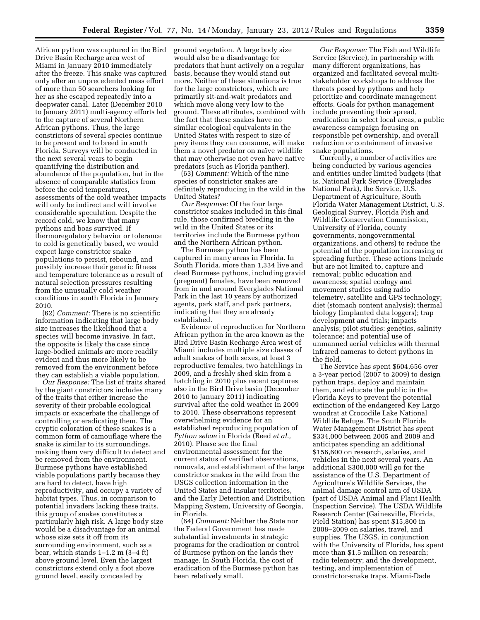African python was captured in the Bird Drive Basin Recharge area west of Miami in January 2010 immediately after the freeze. This snake was captured only after an unprecedented mass effort of more than 50 searchers looking for her as she escaped repeatedly into a deepwater canal. Later (December 2010 to January 2011) multi-agency efforts led to the capture of several Northern African pythons. Thus, the large constrictors of several species continue to be present and to breed in south Florida. Surveys will be conducted in the next several years to begin quantifying the distribution and abundance of the population, but in the absence of comparable statistics from before the cold temperatures, assessments of the cold weather impacts will only be indirect and will involve considerable speculation. Despite the record cold, we know that many pythons and boas survived. If thermoregulatory behavior or tolerance to cold is genetically based, we would expect large constrictor snake populations to persist, rebound, and possibly increase their genetic fitness and temperature tolerance as a result of natural selection pressures resulting from the unusually cold weather conditions in south Florida in January 2010.

(62) *Comment:* There is no scientific information indicating that large body size increases the likelihood that a species will become invasive. In fact, the opposite is likely the case since large-bodied animals are more readily evident and thus more likely to be removed from the environment before they can establish a viable population.

*Our Response:* The list of traits shared by the giant constrictors includes many of the traits that either increase the severity of their probable ecological impacts or exacerbate the challenge of controlling or eradicating them. The cryptic coloration of these snakes is a common form of camouflage where the snake is similar to its surroundings, making them very difficult to detect and be removed from the environment. Burmese pythons have established viable populations partly because they are hard to detect, have high reproductivity, and occupy a variety of habitat types. Thus, in comparison to potential invaders lacking these traits, this group of snakes constitutes a particularly high risk. A large body size would be a disadvantage for an animal whose size sets it off from its surrounding environment, such as a bear, which stands 1–1.2 m (3–4 ft) above ground level. Even the largest constrictors extend only a foot above ground level, easily concealed by

ground vegetation. A large body size would also be a disadvantage for predators that hunt actively on a regular basis, because they would stand out more. Neither of these situations is true for the large constrictors, which are primarily sit-and-wait predators and which move along very low to the ground. These attributes, combined with the fact that these snakes have no similar ecological equivalents in the United States with respect to size of prey items they can consume, will make them a novel predator on naïve wildlife that may otherwise not even have native predators (such as Florida panther).

(63) *Comment:* Which of the nine species of constrictor snakes are definitely reproducing in the wild in the United States?

*Our Response:* Of the four large constrictor snakes included in this final rule, those confirmed breeding in the wild in the United States or its territories include the Burmese python and the Northern African python.

The Burmese python has been captured in many areas in Florida. In South Florida, more than 1,334 live and dead Burmese pythons, including gravid (pregnant) females, have been removed from in and around Everglades National Park in the last 10 years by authorized agents, park staff, and park partners, indicating that they are already established.

Evidence of reproduction for Northern African python in the area known as the Bird Drive Basin Recharge Area west of Miami includes multiple size classes of adult snakes of both sexes, at least 3 reproductive females, two hatchlings in 2009, and a freshly shed skin from a hatchling in 2010 plus recent captures also in the Bird Drive basin (December 2010 to January 2011) indicating survival after the cold weather in 2009 to 2010. These observations represent overwhelming evidence for an established reproducing population of *Python sebae* in Florida (Reed *et al.,*  2010). Please see the final environmental assessment for the current status of verified observations, removals, and establishment of the large constrictor snakes in the wild from the USGS collection information in the United States and insular territories, and the Early Detection and Distribution Mapping System, University of Georgia, in Florida.

(64) *Comment:* Neither the State nor the Federal Government has made substantial investments in strategic programs for the eradication or control of Burmese python on the lands they manage. In South Florida, the cost of eradication of the Burmese python has been relatively small.

*Our Response:* The Fish and Wildlife Service (Service), in partnership with many different organizations, has organized and facilitated several multistakeholder workshops to address the threats posed by pythons and help prioritize and coordinate management efforts. Goals for python management include preventing their spread, eradication in select local areas, a public awareness campaign focusing on responsible pet ownership, and overall reduction or containment of invasive snake populations.

Currently, a number of activities are being conducted by various agencies and entities under limited budgets (that is, National Park Service (Everglades National Park), the Service, U.S. Department of Agriculture, South Florida Water Management District, U.S. Geological Survey, Florida Fish and Wildlife Conservation Commission, University of Florida, county governments, nongovernmental organizations, and others) to reduce the potential of the population increasing or spreading further. These actions include but are not limited to, capture and removal; public education and awareness; spatial ecology and movement studies using radio telemetry, satellite and GPS technology; diet (stomach content analysis); thermal biology (implanted data loggers); trap development and trials; impacts analysis; pilot studies: genetics, salinity tolerance; and potential use of unmanned aerial vehicles with thermal infrared cameras to detect pythons in the field.

The Service has spent \$604,656 over a 3-year period (2007 to 2009) to design python traps, deploy and maintain them, and educate the public in the Florida Keys to prevent the potential extinction of the endangered Key Largo woodrat at Crocodile Lake National Wildlife Refuge. The South Florida Water Management District has spent \$334,000 between 2005 and 2009 and anticipates spending an additional \$156,600 on research, salaries, and vehicles in the next several years. An additional \$300,000 will go for the assistance of the U.S. Department of Agriculture's Wildlife Services, the animal damage control arm of USDA (part of USDA Animal and Plant Health Inspection Service). The USDA Wildlife Research Center (Gainesville, Florida, Field Station) has spent \$15,800 in 2008–2009 on salaries, travel, and supplies. The USGS, in conjunction with the University of Florida, has spent more than \$1.5 million on research; radio telemetry; and the development, testing, and implementation of constrictor-snake traps. Miami-Dade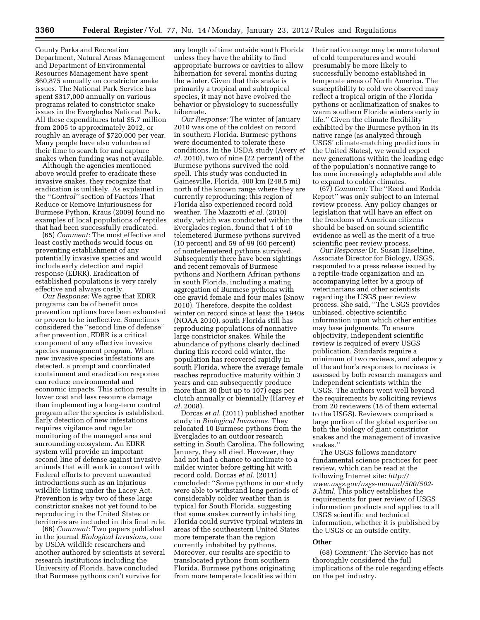County Parks and Recreation Department, Natural Areas Management and Department of Environmental Resources Management have spent \$60,875 annually on constrictor snake issues. The National Park Service has spent \$317,000 annually on various programs related to constrictor snake issues in the Everglades National Park. All these expenditures total \$5.7 million from 2005 to approximately 2012, or roughly an average of \$720,000 per year. Many people have also volunteered their time to search for and capture snakes when funding was not available.

Although the agencies mentioned above would prefer to eradicate these invasive snakes, they recognize that eradication is unlikely. As explained in the ''*Control''* section of Factors That Reduce or Remove Injuriousness for Burmese Python, Kraus (2009) found no examples of local populations of reptiles that had been successfully eradicated.

(65) *Comment:* The most effective and least costly methods would focus on preventing establishment of any potentially invasive species and would include early detection and rapid response (EDRR). Eradication of established populations is very rarely effective and always costly.

*Our Response:* We agree that EDRR programs can be of benefit once prevention options have been exhausted or proven to be ineffective. Sometimes considered the ''second line of defense'' after prevention, EDRR is a critical component of any effective invasive species management program. When new invasive species infestations are detected, a prompt and coordinated containment and eradication response can reduce environmental and economic impacts. This action results in lower cost and less resource damage than implementing a long-term control program after the species is established. Early detection of new infestations requires vigilance and regular monitoring of the managed area and surrounding ecosystem. An EDRR system will provide an important second line of defense against invasive animals that will work in concert with Federal efforts to prevent unwanted introductions such as an injurious wildlife listing under the Lacey Act. Prevention is why two of these large constrictor snakes not yet found to be reproducing in the United States or territories are included in this final rule.

(66) *Comment:* Two papers published in the journal *Biological Invasions,* one by USDA wildlife researchers and another authored by scientists at several research institutions including the University of Florida, have concluded that Burmese pythons can't survive for

any length of time outside south Florida unless they have the ability to find appropriate burrows or cavities to allow hibernation for several months during the winter. Given that this snake is primarily a tropical and subtropical species, it may not have evolved the behavior or physiology to successfully hibernate.

*Our Response:* The winter of January 2010 was one of the coldest on record in southern Florida. Burmese pythons were documented to tolerate these conditions. In the USDA study (Avery *et al.* 2010), two of nine (22 percent) of the Burmese pythons survived the cold spell. This study was conducted in Gainesville, Florida, 400 km (248.5 mi) north of the known range where they are currently reproducing; this region of Florida also experienced record cold weather. The Mazzotti *et al.* (2010) study, which was conducted within the Everglades region, found that 1 of 10 telemetered Burmese pythons survived (10 percent) and 59 of 99 (60 percent) of nontelemetered pythons survived. Subsequently there have been sightings and recent removals of Burmese pythons and Northern African pythons in south Florida, including a mating aggregation of Burmese pythons with one gravid female and four males (Snow 2010). Therefore, despite the coldest winter on record since at least the 1940s (NOAA 2010), south Florida still has reproducing populations of nonnative large constrictor snakes. While the abundance of pythons clearly declined during this record cold winter, the population has recovered rapidly in south Florida, where the average female reaches reproductive maturity within 3 years and can subsequently produce more than 30 (but up to 107) eggs per clutch annually or biennially (Harvey *et al.* 2008).

Dorcas *et al.* (2011) published another study in *Biological Invasions.* They relocated 10 Burmese pythons from the Everglades to an outdoor research setting in South Carolina. The following January, they all died. However, they had not had a chance to acclimate to a milder winter before getting hit with record cold. Dorcas *et al.* (2011) concluded: ''Some pythons in our study were able to withstand long periods of considerably colder weather than is typical for South Florida, suggesting that some snakes currently inhabiting Florida could survive typical winters in areas of the southeastern United States more temperate than the region currently inhabited by pythons. Moreover, our results are specific to translocated pythons from southern Florida. Burmese pythons originating from more temperate localities within

their native range may be more tolerant of cold temperatures and would presumably be more likely to successfully become established in temperate areas of North America. The susceptibility to cold we observed may reflect a tropical origin of the Florida pythons or acclimatization of snakes to warm southern Florida winters early in life.'' Given the climate flexibility exhibited by the Burmese python in its native range (as analyzed through USGS' climate-matching predictions in the United States), we would expect new generations within the leading edge of the population's nonnative range to become increasingly adaptable and able to expand to colder climates.

(67) *Comment:* The ''Reed and Rodda Report'' was only subject to an internal review process. Any policy changes or legislation that will have an effect on the freedoms of American citizens should be based on sound scientific evidence as well as the merit of a true scientific peer review process.

*Our Response:* Dr. Susan Haseltine, Associate Director for Biology, USGS, responded to a press release issued by a reptile-trade organization and an accompanying letter by a group of veterinarians and other scientists regarding the USGS peer review process. She said, ''The USGS provides unbiased, objective scientific information upon which other entities may base judgments. To ensure objectivity, independent scientific review is required of every USGS publication. Standards require a minimum of two reviews, and adequacy of the author's responses to reviews is assessed by both research managers and independent scientists within the USGS. The authors went well beyond the requirements by soliciting reviews from 20 reviewers (18 of them external to the USGS). Reviewers comprised a large portion of the global expertise on both the biology of giant constrictor snakes and the management of invasive snakes.''

The USGS follows mandatory fundamental science practices for peer review, which can be read at the following Internet site: *[http://](http://www.usgs.gov/usgs-manual/500/502-3.html)  [www.usgs.gov/usgs-manual/500/502-](http://www.usgs.gov/usgs-manual/500/502-3.html) [3.html.](http://www.usgs.gov/usgs-manual/500/502-3.html)* This policy establishes the requirements for peer review of USGS information products and applies to all USGS scientific and technical information, whether it is published by the USGS or an outside entity.

#### **Other**

(68) *Comment:* The Service has not thoroughly considered the full implications of the rule regarding effects on the pet industry.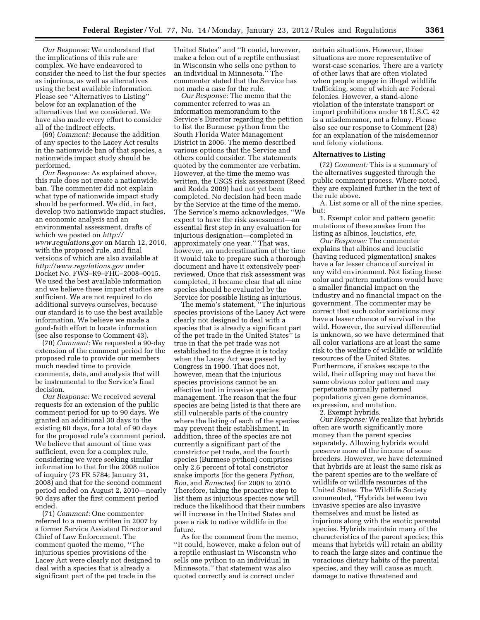*Our Response:* We understand that the implications of this rule are complex. We have endeavored to consider the need to list the four species as injurious, as well as alternatives using the best available information. Please see ''Alternatives to Listing'' below for an explanation of the alternatives that we considered. We have also made every effort to consider all of the indirect effects.

(69) *Comment:* Because the addition of any species to the Lacey Act results in the nationwide ban of that species, a nationwide impact study should be performed.

*Our Response:* As explained above, this rule does not create a nationwide ban. The commenter did not explain what type of nationwide impact study should be performed. We did, in fact, develop two nationwide impact studies, an economic analysis and an environmental assessment, drafts of which we posted on *[http://](http://www.regulations.gov) [www.regulations.gov](http://www.regulations.gov)* on March 12, 2010, with the proposed rule, and final versions of which are also available at *<http://www.regulations.gov>* under Docket No. FWS–R9–FHC–2008–0015. We used the best available information and we believe these impact studies are sufficient. We are not required to do additional surveys ourselves, because our standard is to use the best available information. We believe we made a good-faith effort to locate information (see also response to Comment 43).

(70) *Comment:* We requested a 90-day extension of the comment period for the proposed rule to provide our members much needed time to provide comments, data, and analysis that will be instrumental to the Service's final decision.

*Our Response:* We received several requests for an extension of the public comment period for up to 90 days. We granted an additional 30 days to the existing 60 days, for a total of 90 days for the proposed rule's comment period. We believe that amount of time was sufficient, even for a complex rule, considering we were seeking similar information to that for the 2008 notice of inquiry (73 FR 5784; January 31, 2008) and that for the second comment period ended on August 2, 2010—nearly 90 days after the first comment period ended.

(71) *Comment:* One commenter referred to a memo written in 2007 by a former Service Assistant Director and Chief of Law Enforcement. The comment quoted the memo, ''The injurious species provisions of the Lacey Act were clearly not designed to deal with a species that is already a significant part of the pet trade in the

United States'' and ''It could, however, make a felon out of a reptile enthusiast in Wisconsin who sells one python to an individual in Minnesota.'' The commenter stated that the Service has not made a case for the rule.

*Our Response:* The memo that the commenter referred to was an information memorandum to the Service's Director regarding the petition to list the Burmese python from the South Florida Water Management District in 2006. The memo described various options that the Service and others could consider. The statements quoted by the commenter are verbatim. However, at the time the memo was written, the USGS risk assessment (Reed and Rodda 2009) had not yet been completed. No decision had been made by the Service at the time of the memo. The Service's memo acknowledges, ''We expect to have the risk assessment—an essential first step in any evaluation for injurious designation—completed in approximately one year.'' That was, however, an underestimation of the time it would take to prepare such a thorough document and have it extensively peerreviewed. Once that risk assessment was completed, it became clear that all nine species should be evaluated by the Service for possible listing as injurious.

The memo's statement, ''The injurious species provisions of the Lacey Act were clearly not designed to deal with a species that is already a significant part of the pet trade in the United States'' is true in that the pet trade was not established to the degree it is today when the Lacey Act was passed by Congress in 1900. That does not, however, mean that the injurious species provisions cannot be an effective tool in invasive species management. The reason that the four species are being listed is that there are still vulnerable parts of the country where the listing of each of the species may prevent their establishment. In addition, three of the species are not currently a significant part of the constrictor pet trade, and the fourth species (Burmese python) comprises only 2.6 percent of total constrictor snake imports (for the genera *Python, Boa,* and *Eunectes*) for 2008 to 2010. Therefore, taking the proactive step to list them as injurious species now will reduce the likelihood that their numbers will increase in the United States and pose a risk to native wildlife in the future.

As for the comment from the memo, ''It could, however, make a felon out of a reptile enthusiast in Wisconsin who sells one python to an individual in Minnesota,'' that statement was also quoted correctly and is correct under

certain situations. However, those situations are more representative of worst-case scenarios. There are a variety of other laws that are often violated when people engage in illegal wildlife trafficking, some of which are Federal felonies. However, a stand-alone violation of the interstate transport or import prohibitions under 18 U.S.C. 42 is a misdemeanor, not a felony. Please also see our response to Comment (28) for an explanation of the misdemeanor and felony violations.

# **Alternatives to Listing**

(72) *Comment:* This is a summary of the alternatives suggested through the public comment process. Where noted, they are explained further in the text of the rule above.

A. List some or all of the nine species, but:

1. Exempt color and pattern genetic mutations of these snakes from the listing as albinos, leucistics, *etc.* 

*Our Response:* The commenter explains that albinos and leucistic (having reduced pigmentation) snakes have a far lesser chance of survival in any wild environment. Not listing these color and pattern mutations would have a smaller financial impact on the industry and no financial impact on the government. The commenter may be correct that such color variations may have a lesser chance of survival in the wild. However, the survival differential is unknown, so we have determined that all color variations are at least the same risk to the welfare of wildlife or wildlife resources of the United States. Furthermore, if snakes escape to the wild, their offspring may not have the same obvious color pattern and may perpetuate normally patterned populations given gene dominance, expression, and mutation.

2. Exempt hybrids.

*Our Response:* We realize that hybrids often are worth significantly more money than the parent species separately. Allowing hybrids would preserve more of the income of some breeders. However, we have determined that hybrids are at least the same risk as the parent species are to the welfare of wildlife or wildlife resources of the United States. The Wildlife Society commented, ''Hybrids between two invasive species are also invasive themselves and must be listed as injurious along with the exotic parental species. Hybrids maintain many of the characteristics of the parent species; this means that hybrids will retain an ability to reach the large sizes and continue the voracious dietary habits of the parental species, and they will cause as much damage to native threatened and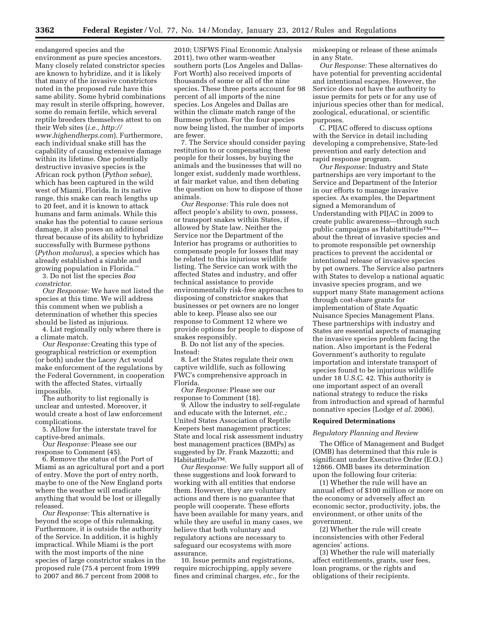endangered species and the environment as pure species ancestors. Many closely related constrictor species are known to hybridize, and it is likely that many of the invasive constrictors noted in the proposed rule have this same ability. Some hybrid combinations may result in sterile offspring, however, some do remain fertile, which several reptile breeders themselves attest to on their Web sites (*i.e., [http://](http://www.highendherps.com)  [www.highendherps.com](http://www.highendherps.com)*). Furthermore, each individual snake still has the capability of causing extensive damage within its lifetime. One potentially destructive invasive species is the African rock python (*Python sebae*), which has been captured in the wild west of Miami, Florida. In its native range, this snake can reach lengths up to 20 feet, and it is known to attack humans and farm animals. While this snake has the potential to cause serious damage, it also poses an additional threat because of its ability to hybridize successfully with Burmese pythons (*Python molurus*), a species which has already established a sizable and growing population in Florida.''

3. Do not list the species *Boa constrictor.* 

*Our Response:* We have not listed the species at this time. We will address this comment when we publish a determination of whether this species should be listed as injurious.

4. List regionally only where there is a climate match.

*Our Response:* Creating this type of geographical restriction or exemption (or both) under the Lacey Act would make enforcement of the regulations by the Federal Government, in cooperation with the affected States, virtually impossible.

The authority to list regionally is unclear and untested. Moreover, it would create a host of law enforcement complications.

5. Allow for the interstate travel for captive-bred animals.

*Our Response:* Please see our response to Comment (45).

6. Remove the status of the Port of Miami as an agricultural port and a port of entry. Move the port of entry north, maybe to one of the New England ports where the weather will eradicate anything that would be lost or illegally released.

*Our Response:* This alternative is beyond the scope of this rulemaking. Furthermore, it is outside the authority of the Service. In addition, it is highly impractical. While Miami is the port with the most imports of the nine species of large constrictor snakes in the proposed rule (75.4 percent from 1999 to 2007 and 86.7 percent from 2008 to

2010; USFWS Final Economic Analysis 2011), two other warm-weather southern ports (Los Angeles and Dallas-Fort Worth) also received imports of thousands of some or all of the nine species. These three ports account for 98 percent of all imports of the nine species. Los Angeles and Dallas are within the climate match range of the Burmese python. For the four species now being listed, the number of imports are fewer.

7. The Service should consider paying restitution to or compensating these people for their losses, by buying the animals and the businesses that will no longer exist, suddenly made worthless, at fair market value, and then debating the question on how to dispose of those animals.

*Our Response:* This rule does not affect people's ability to own, possess, or transport snakes within States, if allowed by State law. Neither the Service nor the Department of the Interior has programs or authorities to compensate people for losses that may be related to this injurious wildlife listing. The Service can work with the affected States and industry, and offer technical assistance to provide environmentally risk-free approaches to disposing of constrictor snakes that businesses or pet owners are no longer able to keep. Please also see our response to Comment 12 where we provide options for people to dispose of snakes responsibly.

B. Do not list any of the species. Instead:

8. Let the States regulate their own captive wildlife, such as following FWC's comprehensive approach in Florida.

*Our Response:* Please see our response to Comment (18).

9. Allow the industry to self-regulate and educate with the Internet, *etc.;*  United States Association of Reptile Keepers best management practices; State and local risk assessment industry best management practices (BMPs) as suggested by Dr. Frank Mazzotti; and HabitattitudeTM.

*Our Response:* We fully support all of these suggestions and look forward to working with all entities that endorse them. However, they are voluntary actions and there is no guarantee that people will cooperate. These efforts have been available for many years, and while they are useful in many cases, we believe that both voluntary and regulatory actions are necessary to safeguard our ecosystems with more assurance.

10. Issue permits and registrations, require microchipping, apply severe fines and criminal charges, *etc.,* for the miskeeping or release of these animals in any State.

*Our Response:* These alternatives do have potential for preventing accidental and intentional escapes. However, the Service does not have the authority to issue permits for pets or for any use of injurious species other than for medical, zoological, educational, or scientific purposes.

C. PIJAC offered to discuss options with the Service in detail including developing a comprehensive, State-led prevention and early detection and rapid response program.

*Our Response:* Industry and State partnerships are very important to the Service and Department of the Interior in our efforts to manage invasive species. As examples, the Department signed a Memorandum of Understanding with PIJAC in 2009 to create public awareness—through such public campaigns as HabitattitudeTM about the threat of invasive species and to promote responsible pet ownership practices to prevent the accidental or intentional release of invasive species by pet owners. The Service also partners with States to develop a national aquatic invasive species program, and we support many State management actions through cost-share grants for implementation of State Aquatic Nuisance Species Management Plans. These partnerships with industry and States are essential aspects of managing the invasive species problem facing the nation. Also important is the Federal Government's authority to regulate importation and interstate transport of species found to be injurious wildlife under 18 U.S.C. 42. This authority is one important aspect of an overall national strategy to reduce the risks from introduction and spread of harmful nonnative species (Lodge *et al.* 2006).

# **Required Determinations**

#### *Regulatory Planning and Review*

The Office of Management and Budget (OMB) has determined that this rule is significant under Executive Order (E.O.) 12866. OMB bases its determination upon the following four criteria:

(1) Whether the rule will have an annual effect of \$100 million or more on the economy or adversely affect an economic sector, productivity, jobs, the environment, or other units of the government.

(2) Whether the rule will create inconsistencies with other Federal agencies' actions.

(3) Whether the rule will materially affect entitlements, grants, user fees, loan programs, or the rights and obligations of their recipients.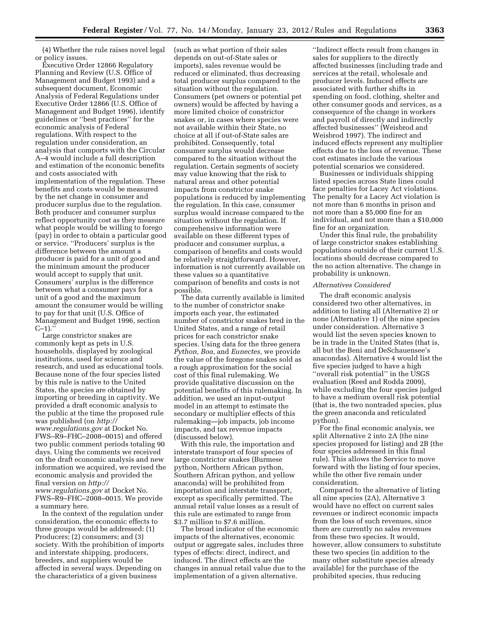(4) Whether the rule raises novel legal or policy issues.

Executive Order 12866 Regulatory Planning and Review (U.S. Office of Management and Budget 1993) and a subsequent document, Economic Analysis of Federal Regulations under Executive Order 12866 (U.S. Office of Management and Budget 1996), identify guidelines or ''best practices'' for the economic analysis of Federal regulations. With respect to the regulation under consideration, an analysis that comports with the Circular A–4 would include a full description and estimation of the economic benefits and costs associated with implementation of the regulation. These benefits and costs would be measured by the net change in consumer and producer surplus due to the regulation. Both producer and consumer surplus reflect opportunity cost as they measure what people would be willing to forego (pay) in order to obtain a particular good or service. ''Producers' surplus is the difference between the amount a producer is paid for a unit of good and the minimum amount the producer would accept to supply that unit. Consumers' surplus is the difference between what a consumer pays for a unit of a good and the maximum amount the consumer would be willing to pay for that unit (U.S. Office of Management and Budget 1996, section  $C-1$ ).''

Large constrictor snakes are commonly kept as pets in U.S. households, displayed by zoological institutions, used for science and research, and used as educational tools. Because none of the four species listed by this rule is native to the United States, the species are obtained by importing or breeding in captivity. We provided a draft economic analysis to the public at the time the proposed rule was published (on *[http://](http://www.regulations.gov)  [www.regulations.gov](http://www.regulations.gov)* at Docket No. FWS–R9–FHC–2008–0015) and offered two public comment periods totaling 90 days. Using the comments we received on the draft economic analysis and new information we acquired, we revised the economic analysis and provided the final version on *[http://](http://www.regulations.gov)  [www.regulations.gov](http://www.regulations.gov)* at Docket No. FWS–R9–FHC–2008–0015. We provide a summary here.

In the context of the regulation under consideration, the economic effects to three groups would be addressed: (1) Producers; (2) consumers; and (3) society. With the prohibition of imports and interstate shipping, producers, breeders, and suppliers would be affected in several ways. Depending on the characteristics of a given business

(such as what portion of their sales depends on out-of-State sales or imports), sales revenue would be reduced or eliminated, thus decreasing total producer surplus compared to the situation without the regulation. Consumers (pet owners or potential pet owners) would be affected by having a more limited choice of constrictor snakes or, in cases where species were not available within their State, no choice at all if out-of-State sales are prohibited. Consequently, total consumer surplus would decrease compared to the situation without the regulation. Certain segments of society may value knowing that the risk to natural areas and other potential impacts from constrictor snake populations is reduced by implementing the regulation. In this case, consumer surplus would increase compared to the situation without the regulation. If comprehensive information were available on these different types of producer and consumer surplus, a comparison of benefits and costs would be relatively straightforward. However, information is not currently available on these values so a quantitative comparison of benefits and costs is not possible.

The data currently available is limited to the number of constrictor snake imports each year, the estimated number of constrictor snakes bred in the United States, and a range of retail prices for each constrictor snake species. Using data for the three genera *Python, Boa,* and *Eunectes,* we provide the value of the foregone snakes sold as a rough approximation for the social cost of this final rulemaking. We provide qualitative discussion on the potential benefits of this rulemaking. In addition, we used an input-output model in an attempt to estimate the secondary or multiplier effects of this rulemaking—job impacts, job income impacts, and tax revenue impacts (discussed below).

With this rule, the importation and interstate transport of four species of large constrictor snakes (Burmese python, Northern African python, Southern African python, and yellow anaconda) will be prohibited from importation and interstate transport, except as specifically permitted. The annual retail value losses as a result of this rule are estimated to range from \$3.7 million to \$7.6 million.

The broad indicator of the economic impacts of the alternatives, economic output or aggregate sales, includes three types of effects: direct, indirect, and induced. The direct effects are the changes in annual retail value due to the implementation of a given alternative.

''Indirect effects result from changes in sales for suppliers to the directly affected businesses (including trade and services at the retail, wholesale and producer levels. Induced effects are associated with further shifts in spending on food, clothing, shelter and other consumer goods and services, as a consequence of the change in workers and payroll of directly and indirectly affected businesses'' (Weisbrod and Weisbrod 1997). The indirect and induced effects represent any multiplier effects due to the loss of revenue. These cost estimates include the various potential scenarios we considered.

Businesses or individuals shipping listed species across State lines could face penalties for Lacey Act violations. The penalty for a Lacey Act violation is not more than 6 months in prison and not more than a \$5,000 fine for an individual, and not more than a \$10,000 fine for an organization.

Under this final rule, the probability of large constrictor snakes establishing populations outside of their current U.S. locations should decrease compared to the no action alternative. The change in probability is unknown.

# *Alternatives Considered*

The draft economic analysis considered two other alternatives, in addition to listing all (Alternative 2) or none (Alternative 1) of the nine species under consideration. Alternative 3 would list the seven species known to be in trade in the United States (that is, all but the Beni and DeSchauensee's anacondas). Alternative 4 would list the five species judged to have a high ''overall risk potential'' in the USGS evaluation (Reed and Rodda 2009), while excluding the four species judged to have a medium overall risk potential (that is, the two nontraded species, plus the green anaconda and reticulated python).

For the final economic analysis, we split Alternative 2 into 2A (the nine species proposed for listing) and 2B (the four species addressed in this final rule). This allows the Service to move forward with the listing of four species, while the other five remain under consideration.

Compared to the alternative of listing all nine species (2A), Alternative 3 would have no effect on current sales revenues or indirect economic impacts from the loss of such revenues, since there are currently no sales revenues from these two species. It would, however, allow consumers to substitute these two species (in addition to the many other substitute species already available) for the purchase of the prohibited species, thus reducing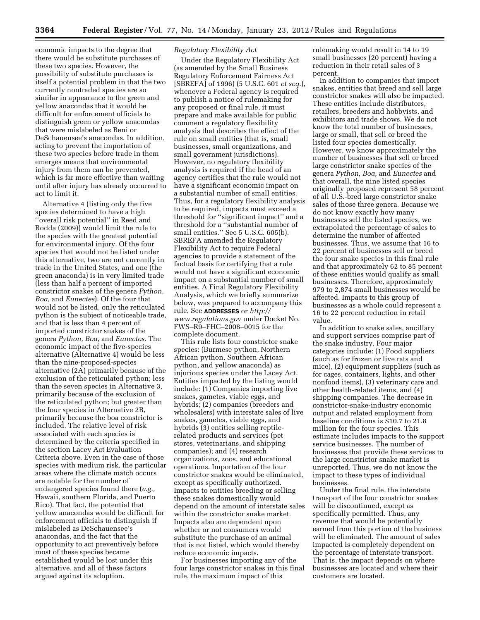economic impacts to the degree that there would be substitute purchases of these two species. However, the possibility of substitute purchases is itself a potential problem in that the two currently nontraded species are so similar in appearance to the green and yellow anacondas that it would be difficult for enforcement officials to distinguish green or yellow anacondas that were mislabeled as Beni or DeSchauensee's anacondas. In addition, acting to prevent the importation of these two species before trade in them emerges means that environmental injury from them can be prevented, which is far more effective than waiting until after injury has already occurred to act to limit it.

Alternative 4 (listing only the five species determined to have a high ''overall risk potential'' in Reed and Rodda (2009)) would limit the rule to the species with the greatest potential for environmental injury. Of the four species that would not be listed under this alternative, two are not currently in trade in the United States, and one (the green anaconda) is in very limited trade (less than half a percent of imported constrictor snakes of the genera *Python, Boa,* and *Eunectes*). Of the four that would not be listed, only the reticulated python is the subject of noticeable trade, and that is less than 4 percent of imported constrictor snakes of the genera *Python, Boa,* and *Eunectes.* The economic impact of the five-species alternative (Alternative 4) would be less than the nine-proposed-species alternative (2A) primarily because of the exclusion of the reticulated python; less than the seven species in Alternative 3, primarily because of the exclusion of the reticulated python; but greater than the four species in Alternative 2B, primarily because the boa constrictor is included. The relative level of risk associated with each species is determined by the criteria specified in the section Lacey Act Evaluation Criteria above. Even in the case of those species with medium risk, the particular areas where the climate match occurs are notable for the number of endangered species found there (*e.g.,*  Hawaii, southern Florida, and Puerto Rico). That fact, the potential that yellow anacondas would be difficult for enforcement officials to distinguish if mislabeled as DeSchauensee's anacondas, and the fact that the opportunity to act preventively before most of these species became established would be lost under this alternative, and all of these factors argued against its adoption.

# *Regulatory Flexibility Act*

Under the Regulatory Flexibility Act (as amended by the Small Business Regulatory Enforcement Fairness Act [SBREFA] of 1996) (5 U.S.C. 601 *et seq.*), whenever a Federal agency is required to publish a notice of rulemaking for any proposed or final rule, it must prepare and make available for public comment a regulatory flexibility analysis that describes the effect of the rule on small entities (that is, small businesses, small organizations, and small government jurisdictions). However, no regulatory flexibility analysis is required if the head of an agency certifies that the rule would not have a significant economic impact on a substantial number of small entities. Thus, for a regulatory flexibility analysis to be required, impacts must exceed a threshold for ''significant impact'' and a threshold for a ''substantial number of small entities.'' See 5 U.S.C. 605(b). SBREFA amended the Regulatory Flexibility Act to require Federal agencies to provide a statement of the factual basis for certifying that a rule would not have a significant economic impact on a substantial number of small entities. A Final Regulatory Flexibility Analysis, which we briefly summarize below, was prepared to accompany this rule. See **ADDRESSES** or *[http://](http://www.regulations.gov) [www.regulations.gov](http://www.regulations.gov)* under Docket No. FWS–R9–FHC–2008–0015 for the complete document.

This rule lists four constrictor snake species: (Burmese python, Northern African python, Southern African python, and yellow anaconda) as injurious species under the Lacey Act. Entities impacted by the listing would include: (1) Companies importing live snakes, gametes, viable eggs, and hybrids; (2) companies (breeders and wholesalers) with interstate sales of live snakes, gametes, viable eggs, and hybrids (3) entities selling reptilerelated products and services (pet stores, veterinarians, and shipping companies); and (4) research organizations, zoos, and educational operations. Importation of the four constrictor snakes would be eliminated, except as specifically authorized. Impacts to entities breeding or selling these snakes domestically would depend on the amount of interstate sales within the constrictor snake market. Impacts also are dependent upon whether or not consumers would substitute the purchase of an animal that is not listed, which would thereby reduce economic impacts.

For businesses importing any of the four large constrictor snakes in this final rule, the maximum impact of this

rulemaking would result in 14 to 19 small businesses (20 percent) having a reduction in their retail sales of 3 percent.

In addition to companies that import snakes, entities that breed and sell large constrictor snakes will also be impacted. These entities include distributors, retailers, breeders and hobbyists, and exhibitors and trade shows. We do not know the total number of businesses, large or small, that sell or breed the listed four species domestically. However, we know approximately the number of businesses that sell or breed large constrictor snake species of the genera *Python, Boa,* and *Eunectes* and that overall, the nine listed species originally proposed represent 58 percent of all U.S.-bred large constrictor snake sales of those three genera. Because we do not know exactly how many businesses sell the listed species, we extrapolated the percentage of sales to determine the number of affected businesses. Thus, we assume that 16 to 22 percent of businesses sell or breed the four snake species in this final rule and that approximately 62 to 85 percent of these entities would qualify as small businesses. Therefore, approximately 979 to 2,874 small businesses would be affected. Impacts to this group of businesses as a whole could represent a 16 to 22 percent reduction in retail value.

In addition to snake sales, ancillary and support services comprise part of the snake industry. Four major categories include: (1) Food suppliers (such as for frozen or live rats and mice), (2) equipment suppliers (such as for cages, containers, lights, and other nonfood items), (3) veterinary care and other health-related items, and (4) shipping companies. The decrease in constrictor-snake-industry economic output and related employment from baseline conditions is \$10.7 to 21.8 million for the four species. This estimate includes impacts to the support service businesses. The number of businesses that provide these services to the large constrictor snake market is unreported. Thus, we do not know the impact to these types of individual businesses.

Under the final rule, the interstate transport of the four constrictor snakes will be discontinued, except as specifically permitted. Thus, any revenue that would be potentially earned from this portion of the business will be eliminated. The amount of sales impacted is completely dependent on the percentage of interstate transport. That is, the impact depends on where businesses are located and where their customers are located.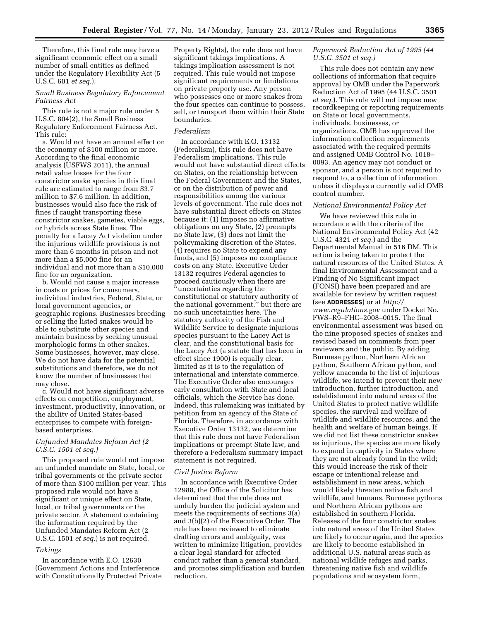Therefore, this final rule may have a significant economic effect on a small number of small entities as defined under the Regulatory Flexibility Act (5 U.S.C. 601 *et seq.*).

# *Small Business Regulatory Enforcement Fairness Act*

This rule is not a major rule under 5 U.S.C. 804(2), the Small Business Regulatory Enforcement Fairness Act. This rule:

a. Would not have an annual effect on the economy of \$100 million or more. According to the final economic analysis (USFWS 2011), the annual retail value losses for the four constrictor snake species in this final rule are estimated to range from \$3.7 million to \$7.6 million. In addition, businesses would also face the risk of fines if caught transporting these constrictor snakes, gametes, viable eggs, or hybrids across State lines. The penalty for a Lacey Act violation under the injurious wildlife provisions is not more than 6 months in prison and not more than a \$5,000 fine for an individual and not more than a \$10,000 fine for an organization.

b. Would not cause a major increase in costs or prices for consumers, individual industries, Federal, State, or local government agencies, or geographic regions. Businesses breeding or selling the listed snakes would be able to substitute other species and maintain business by seeking unusual morphologic forms in other snakes. Some businesses, however, may close. We do not have data for the potential substitutions and therefore, we do not know the number of businesses that may close.

c. Would not have significant adverse effects on competition, employment, investment, productivity, innovation, or the ability of United States-based enterprises to compete with foreignbased enterprises.

# *Unfunded Mandates Reform Act (2 U.S.C. 1501 et seq.)*

This proposed rule would not impose an unfunded mandate on State, local, or tribal governments or the private sector of more than \$100 million per year. This proposed rule would not have a significant or unique effect on State, local, or tribal governments or the private sector. A statement containing the information required by the Unfunded Mandates Reform Act (2 U.S.C. 1501 *et seq.*) is not required.

# *Takings*

In accordance with E.O. 12630 (Government Actions and Interference with Constitutionally Protected Private Property Rights), the rule does not have significant takings implications. A takings implication assessment is not required. This rule would not impose significant requirements or limitations on private property use. Any person who possesses one or more snakes from the four species can continue to possess, sell, or transport them within their State boundaries.

# *Federalism*

In accordance with E.O. 13132 (Federalism), this rule does not have Federalism implications. This rule would not have substantial direct effects on States, on the relationship between the Federal Government and the States, or on the distribution of power and responsibilities among the various levels of government. The rule does not have substantial direct effects on States because it: (1) Imposes no affirmative obligations on any State, (2) preempts no State law, (3) does not limit the policymaking discretion of the States, (4) requires no State to expend any funds, and (5) imposes no compliance costs on any State. Executive Order 13132 requires Federal agencies to proceed cautiously when there are ''uncertainties regarding the constitutional or statutory authority of the national government,'' but there are no such uncertainties here. The statutory authority of the Fish and Wildlife Service to designate injurious species pursuant to the Lacey Act is clear, and the constitutional basis for the Lacey Act (a statute that has been in effect since 1900) is equally clear, limited as it is to the regulation of international and interstate commerce. The Executive Order also encourages early consultation with State and local officials, which the Service has done. Indeed, this rulemaking was initiated by petition from an agency of the State of Florida. Therefore, in accordance with Executive Order 13132, we determine that this rule does not have Federalism implications or preempt State law, and therefore a Federalism summary impact statement is not required.

# *Civil Justice Reform*

In accordance with Executive Order 12988, the Office of the Solicitor has determined that the rule does not unduly burden the judicial system and meets the requirements of sections 3(a) and 3(b)(2) of the Executive Order. The rule has been reviewed to eliminate drafting errors and ambiguity, was written to minimize litigation, provides a clear legal standard for affected conduct rather than a general standard, and promotes simplification and burden reduction.

# *Paperwork Reduction Act of 1995 (44 U.S.C. 3501 et seq.)*

This rule does not contain any new collections of information that require approval by OMB under the Paperwork Reduction Act of 1995 (44 U.S.C. 3501 *et seq.*). This rule will not impose new recordkeeping or reporting requirements on State or local governments, individuals, businesses, or organizations. OMB has approved the information collection requirements associated with the required permits and assigned OMB Control No. 1018– 0093. An agency may not conduct or sponsor, and a person is not required to respond to, a collection of information unless it displays a currently valid OMB control number.

## *National Environmental Policy Act*

We have reviewed this rule in accordance with the criteria of the National Environmental Policy Act (42 U.S.C. 4321 *et seq.*) and the Departmental Manual in 516 DM. This action is being taken to protect the natural resources of the United States. A final Environmental Assessment and a Finding of No Significant Impact (FONSI) have been prepared and are available for review by written request (see **ADDRESSES**) or at *[http://](http://www.regulations.gov) [www.regulations.gov](http://www.regulations.gov)* under Docket No. FWS–R9–FHC–2008–0015. The final environmental assessment was based on the nine proposed species of snakes and revised based on comments from peer reviewers and the public. By adding Burmese python, Northern African python, Southern African python, and yellow anaconda to the list of injurious wildlife, we intend to prevent their new introduction, further introduction, and establishment into natural areas of the United States to protect native wildlife species, the survival and welfare of wildlife and wildlife resources, and the health and welfare of human beings. If we did not list these constrictor snakes as injurious, the species are more likely to expand in captivity in States where they are not already found in the wild; this would increase the risk of their escape or intentional release and establishment in new areas, which would likely threaten native fish and wildlife, and humans. Burmese pythons and Northern African pythons are established in southern Florida. Releases of the four constrictor snakes into natural areas of the United States are likely to occur again, and the species are likely to become established in additional U.S. natural areas such as national wildlife refuges and parks, threatening native fish and wildlife populations and ecosystem form,